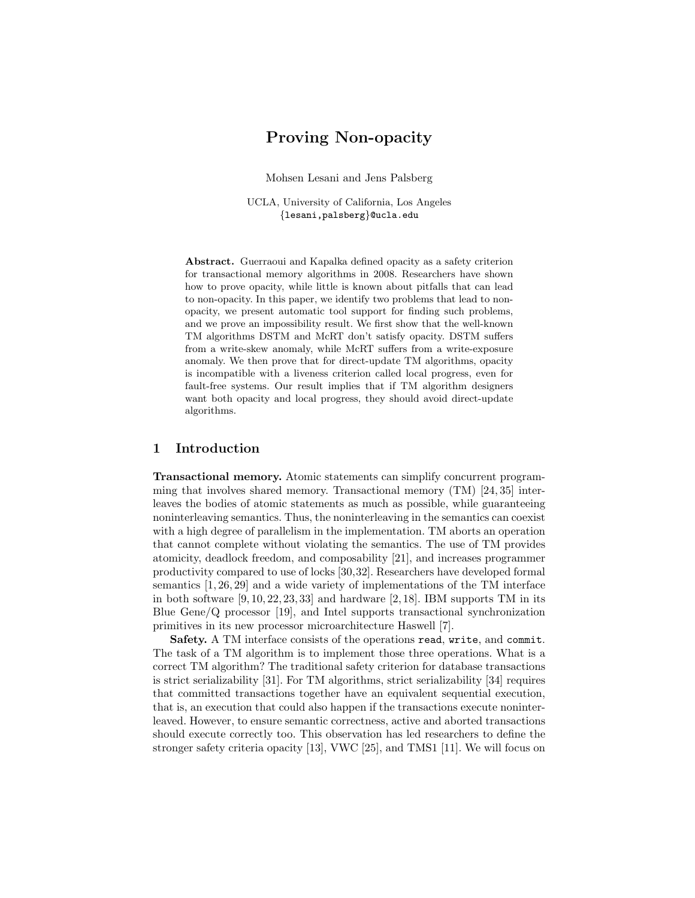# Proving Non-opacity

Mohsen Lesani and Jens Palsberg

UCLA, University of California, Los Angeles {lesani,palsberg}@ucla.edu

Abstract. Guerraoui and Kapalka defined opacity as a safety criterion for transactional memory algorithms in 2008. Researchers have shown how to prove opacity, while little is known about pitfalls that can lead to non-opacity. In this paper, we identify two problems that lead to nonopacity, we present automatic tool support for finding such problems, and we prove an impossibility result. We first show that the well-known TM algorithms DSTM and McRT don't satisfy opacity. DSTM suffers from a write-skew anomaly, while McRT suffers from a write-exposure anomaly. We then prove that for direct-update TM algorithms, opacity is incompatible with a liveness criterion called local progress, even for fault-free systems. Our result implies that if TM algorithm designers want both opacity and local progress, they should avoid direct-update algorithms.

## 1 Introduction

Transactional memory. Atomic statements can simplify concurrent programming that involves shared memory. Transactional memory  $(TM)$  [24, 35] interleaves the bodies of atomic statements as much as possible, while guaranteeing noninterleaving semantics. Thus, the noninterleaving in the semantics can coexist with a high degree of parallelism in the implementation. TM aborts an operation that cannot complete without violating the semantics. The use of TM provides atomicity, deadlock freedom, and composability [21], and increases programmer productivity compared to use of locks [30,32]. Researchers have developed formal semantics [1, 26, 29] and a wide variety of implementations of the TM interface in both software  $[9, 10, 22, 23, 33]$  and hardware  $[2, 18]$ . IBM supports TM in its Blue Gene/Q processor [19], and Intel supports transactional synchronization primitives in its new processor microarchitecture Haswell [7].

Safety. A TM interface consists of the operations read, write, and commit. The task of a TM algorithm is to implement those three operations. What is a correct TM algorithm? The traditional safety criterion for database transactions is strict serializability [31]. For TM algorithms, strict serializability [34] requires that committed transactions together have an equivalent sequential execution, that is, an execution that could also happen if the transactions execute noninterleaved. However, to ensure semantic correctness, active and aborted transactions should execute correctly too. This observation has led researchers to define the stronger safety criteria opacity [13], VWC [25], and TMS1 [11]. We will focus on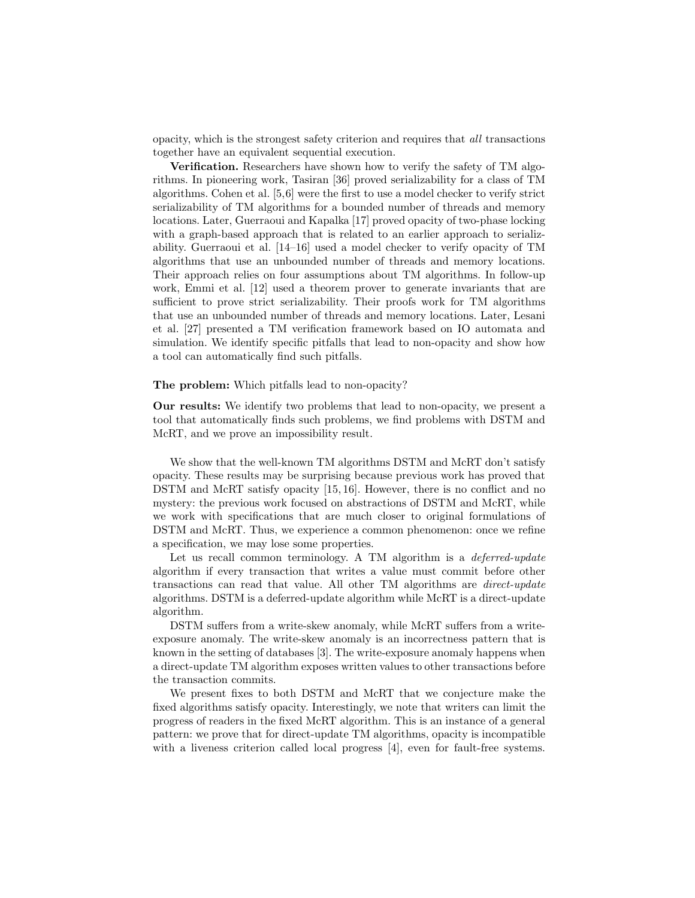opacity, which is the strongest safety criterion and requires that all transactions together have an equivalent sequential execution.

Verification. Researchers have shown how to verify the safety of TM algorithms. In pioneering work, Tasiran [36] proved serializability for a class of TM algorithms. Cohen et al. [5,6] were the first to use a model checker to verify strict serializability of TM algorithms for a bounded number of threads and memory locations. Later, Guerraoui and Kapalka [17] proved opacity of two-phase locking with a graph-based approach that is related to an earlier approach to serializability. Guerraoui et al. [14–16] used a model checker to verify opacity of TM algorithms that use an unbounded number of threads and memory locations. Their approach relies on four assumptions about TM algorithms. In follow-up work, Emmi et al. [12] used a theorem prover to generate invariants that are sufficient to prove strict serializability. Their proofs work for TM algorithms that use an unbounded number of threads and memory locations. Later, Lesani et al. [27] presented a TM verification framework based on IO automata and simulation. We identify specific pitfalls that lead to non-opacity and show how a tool can automatically find such pitfalls.

### The problem: Which pitfalls lead to non-opacity?

Our results: We identify two problems that lead to non-opacity, we present a tool that automatically finds such problems, we find problems with DSTM and McRT, and we prove an impossibility result.

We show that the well-known TM algorithms DSTM and McRT don't satisfy opacity. These results may be surprising because previous work has proved that DSTM and McRT satisfy opacity [15, 16]. However, there is no conflict and no mystery: the previous work focused on abstractions of DSTM and McRT, while we work with specifications that are much closer to original formulations of DSTM and McRT. Thus, we experience a common phenomenon: once we refine a specification, we may lose some properties.

Let us recall common terminology. A TM algorithm is a *deferred-update* algorithm if every transaction that writes a value must commit before other transactions can read that value. All other TM algorithms are direct-update algorithms. DSTM is a deferred-update algorithm while McRT is a direct-update algorithm.

DSTM suffers from a write-skew anomaly, while McRT suffers from a writeexposure anomaly. The write-skew anomaly is an incorrectness pattern that is known in the setting of databases [3]. The write-exposure anomaly happens when a direct-update TM algorithm exposes written values to other transactions before the transaction commits.

We present fixes to both DSTM and McRT that we conjecture make the fixed algorithms satisfy opacity. Interestingly, we note that writers can limit the progress of readers in the fixed McRT algorithm. This is an instance of a general pattern: we prove that for direct-update TM algorithms, opacity is incompatible with a liveness criterion called local progress [4], even for fault-free systems.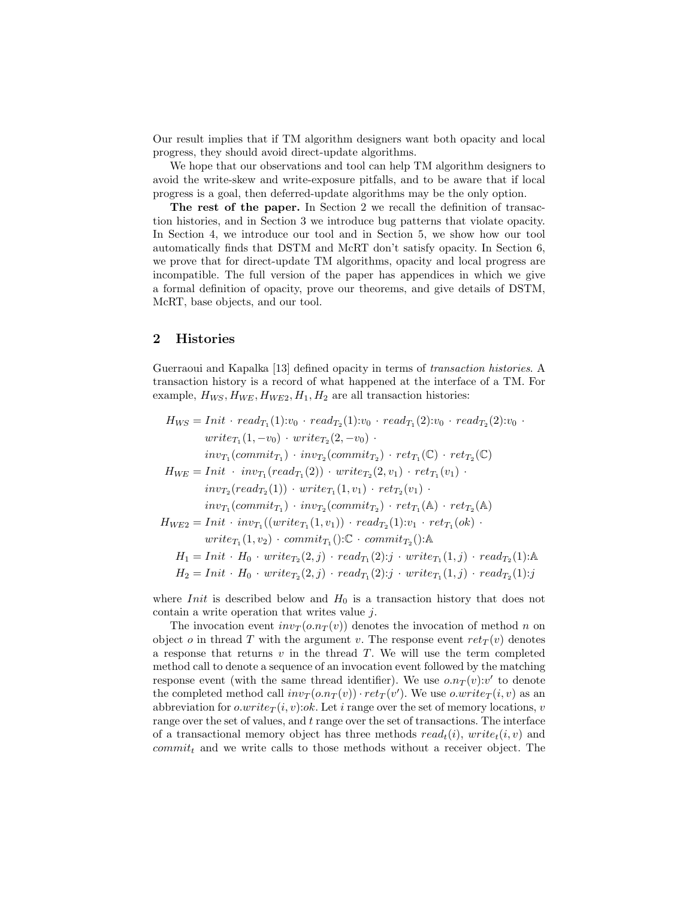Our result implies that if TM algorithm designers want both opacity and local progress, they should avoid direct-update algorithms.

We hope that our observations and tool can help TM algorithm designers to avoid the write-skew and write-exposure pitfalls, and to be aware that if local progress is a goal, then deferred-update algorithms may be the only option.

The rest of the paper. In Section 2 we recall the definition of transaction histories, and in Section 3 we introduce bug patterns that violate opacity. In Section 4, we introduce our tool and in Section 5, we show how our tool automatically finds that DSTM and McRT don't satisfy opacity. In Section 6, we prove that for direct-update TM algorithms, opacity and local progress are incompatible. The full version of the paper has appendices in which we give a formal definition of opacity, prove our theorems, and give details of DSTM, McRT, base objects, and our tool.

## 2 Histories

Guerraoui and Kapalka [13] defined opacity in terms of transaction histories. A transaction history is a record of what happened at the interface of a TM. For example,  $H_{WS}, H_{WE}, H_{WE2}, H_1, H_2$  are all transaction histories:

```
H_{WS} =Init \cdot read_{T_1}(1): v_0 \cdot read_{T_2}(1): v_0 \cdot read_{T_1}(2): v_0 \cdot read_{T_2}(2): v_0 \cdotwrite_{T_1}(1, -v_0) \cdot write_{T_2}(2, -v_0) \cdotinv_{T_1}(commit_{T_1}) \cdot inv_{T_2}(commit_{T_2}) \cdot ret_{T_1}(\mathbb{C}) \cdot ret_{T_2}(\mathbb{C})H_{WE} = Init \cdot inv_{T_1}(read_{T_1}(2)) \cdot write_{T_2}(2, v_1) \cdot ret_{T_1}(v_1) \cdotinv_{T_2}(read_{T_2}(1)) \cdot write_{T_1}(1, v_1) \cdot ret_{T_2}(v_1) \cdotinv_{T_1}(commit_{T_1}) \cdot inv_{T_2}(commit_{T_2}) \cdot ret_{T_1}(\mathbb{A}) \cdot ret_{T_2}(\mathbb{A})H_{WE2} = Init \cdot inv_{T_1}((write_{T_1}(1, v_1)) \cdot read_{T_2}(1):v_1 \cdot ret_{T_1}(ok) \cdotwrite_{T_1}(1, v_2) \cdot commit_{T_1}():\mathbb{C} \cdot commit_{T_2}():\mathbb{A})H_1 =Init \cdot H_0 \cdot write_{T_2}(2, j) \cdot read_{T_1}(2): j \cdot write_{T_1}(1, j) \cdot read_{T_2}(1):A
     H_2 =Init \cdot H_0 \cdot write_{T_2}(2, j) \cdot read_{T_1}(2); j \cdot write_{T_1}(1, j) \cdot read_{T_2}(1); j
```
where  $Init$  is described below and  $H_0$  is a transaction history that does not contain a write operation that writes value j.

The invocation event  $inv_T(o.n_T(v))$  denotes the invocation of method n on object o in thread T with the argument v. The response event  $ret_T(v)$  denotes a response that returns  $v$  in the thread  $T$ . We will use the term completed method call to denote a sequence of an invocation event followed by the matching response event (with the same thread identifier). We use  $o.n<sub>T</sub>(v):v'$  to denote the completed method call  $inv_T( o.n_T(v) ) \cdot ret_T(v')$ . We use  $o.write_T(i, v)$  as an abbreviation for o.write $T(i, v):$ ok. Let i range over the set of memory locations, v range over the set of values, and t range over the set of transactions. The interface of a transactional memory object has three methods  $read_t(i)$ ,  $write_t(i, v)$  and  $commit<sub>t</sub>$  and we write calls to those methods without a receiver object. The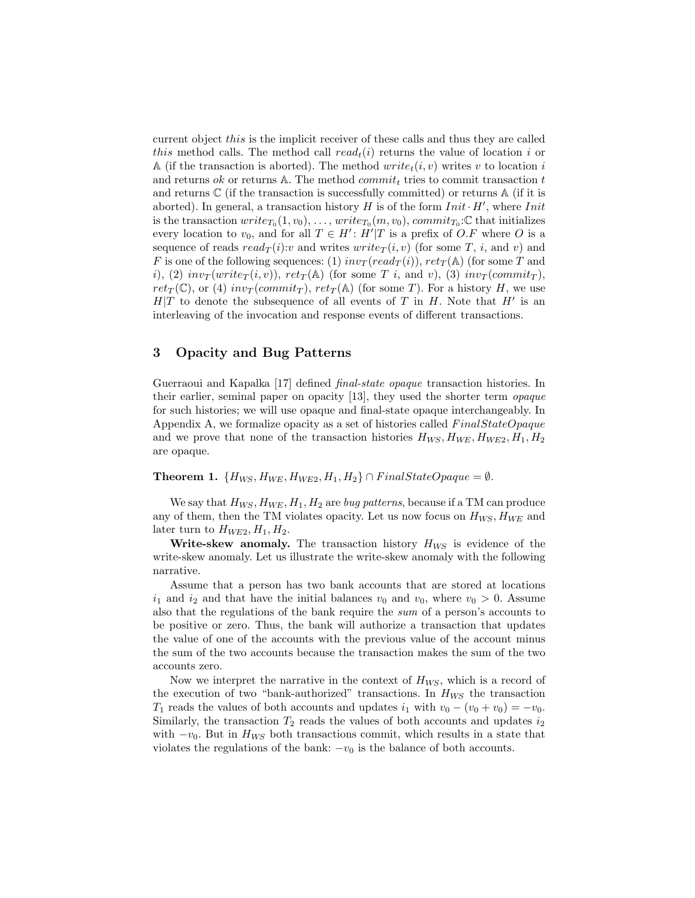current object this is the implicit receiver of these calls and thus they are called this method calls. The method call  $read_t(i)$  returns the value of location i or A (if the transaction is aborted). The method  $write_t(i, v)$  writes v to location i and returns ok or returns  $A$ . The method committ<sub>t</sub> tries to commit transaction t and returns  $\mathbb C$  (if the transaction is successfully committed) or returns  $\mathbb A$  (if it is aborted). In general, a transaction history  $H$  is of the form  $Init \cdot H'$ , where  $Init$ is the transaction  $write_{T_0}(1, v_0), \ldots, write_{T_0}(m, v_0), commit_{T_0}$ : C that initializes every location to  $v_0$ , and for all  $T \in H'$ :  $H'|T$  is a prefix of  $O.F$  where  $O$  is a sequence of reads  $read_T(i):v$  and writes  $write_T(i, v)$  (for some T, i, and v) and F is one of the following sequences: (1)  $inv_T(read_T(i))$ ,  $ret_T(\mathbb{A})$  (for some T and i), (2)  $inv_T(write_T(i, v))$ ,  $ret_T(\mathbb{A})$  (for some T i, and v), (3)  $inv_T(commit_T)$ ,  $ret_T(\mathbb{C})$ , or (4)  $inv_T(commit_T)$ ,  $ret_T(\mathbb{A})$  (for some T). For a history H, we use  $H|T$  to denote the subsequence of all events of T in H. Note that H' is an interleaving of the invocation and response events of different transactions.

## 3 Opacity and Bug Patterns

Guerraoui and Kapalka [17] defined final-state opaque transaction histories. In their earlier, seminal paper on opacity [13], they used the shorter term opaque for such histories; we will use opaque and final-state opaque interchangeably. In Appendix A, we formalize opacity as a set of histories called FinalStateOpaque and we prove that none of the transaction histories  $H_{WS}, H_{WE}, H_{WE2}, H_1, H_2$ are opaque.

### **Theorem 1.**  $\{H_{WS}, H_{WE}, H_{WE2}, H_1, H_2\} \cap FinalStateOpaque = \emptyset.$

We say that  $H_{WS}$ ,  $H_{WE}$ ,  $H_1$ ,  $H_2$  are bug patterns, because if a TM can produce any of them, then the TM violates opacity. Let us now focus on  $H_{WS}, H_{WE}$  and later turn to  $H_{WE2}, H_1, H_2$ .

Write-skew anomaly. The transaction history  $H_{WS}$  is evidence of the write-skew anomaly. Let us illustrate the write-skew anomaly with the following narrative.

Assume that a person has two bank accounts that are stored at locations  $i_1$  and  $i_2$  and that have the initial balances  $v_0$  and  $v_0$ , where  $v_0 > 0$ . Assume also that the regulations of the bank require the sum of a person's accounts to be positive or zero. Thus, the bank will authorize a transaction that updates the value of one of the accounts with the previous value of the account minus the sum of the two accounts because the transaction makes the sum of the two accounts zero.

Now we interpret the narrative in the context of  $H_{WS}$ , which is a record of the execution of two "bank-authorized" transactions. In  $H_{WS}$  the transaction  $T_1$  reads the values of both accounts and updates  $i_1$  with  $v_0 - (v_0 + v_0) = -v_0$ . Similarly, the transaction  $T_2$  reads the values of both accounts and updates  $i_2$ with  $-v_0$ . But in  $H_{WS}$  both transactions commit, which results in a state that violates the regulations of the bank:  $-v_0$  is the balance of both accounts.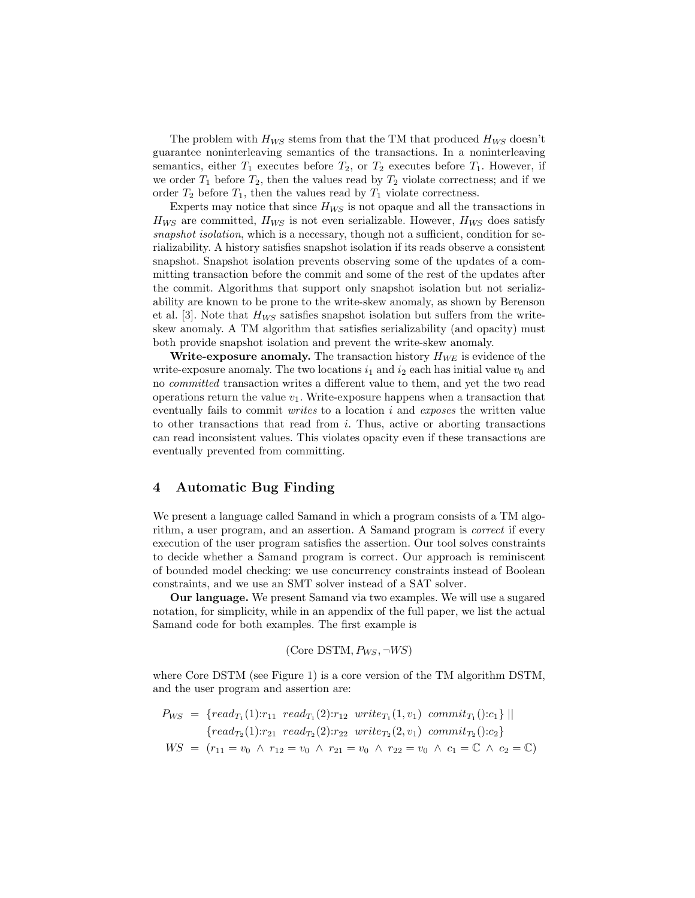The problem with  $H_{WS}$  stems from that the TM that produced  $H_{WS}$  doesn't guarantee noninterleaving semantics of the transactions. In a noninterleaving semantics, either  $T_1$  executes before  $T_2$ , or  $T_2$  executes before  $T_1$ . However, if we order  $T_1$  before  $T_2$ , then the values read by  $T_2$  violate correctness; and if we order  $T_2$  before  $T_1$ , then the values read by  $T_1$  violate correctness.

Experts may notice that since  $H_{WS}$  is not opaque and all the transactions in  $H_{WS}$  are committed,  $H_{WS}$  is not even serializable. However,  $H_{WS}$  does satisfy snapshot isolation, which is a necessary, though not a sufficient, condition for serializability. A history satisfies snapshot isolation if its reads observe a consistent snapshot. Snapshot isolation prevents observing some of the updates of a committing transaction before the commit and some of the rest of the updates after the commit. Algorithms that support only snapshot isolation but not serializability are known to be prone to the write-skew anomaly, as shown by Berenson et al. [3]. Note that  $H_{WS}$  satisfies snapshot isolation but suffers from the writeskew anomaly. A TM algorithm that satisfies serializability (and opacity) must both provide snapshot isolation and prevent the write-skew anomaly.

Write-exposure anomaly. The transaction history  $H_{WE}$  is evidence of the write-exposure anomaly. The two locations  $i_1$  and  $i_2$  each has initial value  $v_0$  and no committed transaction writes a different value to them, and yet the two read operations return the value  $v_1$ . Write-exposure happens when a transaction that eventually fails to commit writes to a location i and exposes the written value to other transactions that read from  $i$ . Thus, active or aborting transactions can read inconsistent values. This violates opacity even if these transactions are eventually prevented from committing.

## 4 Automatic Bug Finding

We present a language called Samand in which a program consists of a TM algorithm, a user program, and an assertion. A Samand program is correct if every execution of the user program satisfies the assertion. Our tool solves constraints to decide whether a Samand program is correct. Our approach is reminiscent of bounded model checking: we use concurrency constraints instead of Boolean constraints, and we use an SMT solver instead of a SAT solver.

Our language. We present Samand via two examples. We will use a sugared notation, for simplicity, while in an appendix of the full paper, we list the actual Samand code for both examples. The first example is

(Core DSTM, 
$$
P_{WS}
$$
,  $\neg WS$ )

where Core DSTM (see Figure 1) is a core version of the TM algorithm DSTM, and the user program and assertion are:

$$
P_{WS} = \{ read_{T_1}(1): r_{11} read_{T_1}(2): r_{12} write_{T_1}(1, v_1) commit_{T_1}(): c_1 \} ||
$$
  

$$
\{ read_{T_2}(1): r_{21} read_{T_2}(2): r_{22} write_{T_2}(2, v_1) commit_{T_2}(): c_2 \}
$$
  

$$
WS = (r_{11} = v_0 \land r_{12} = v_0 \land r_{21} = v_0 \land r_{22} = v_0 \land c_1 = \mathbb{C} \land c_2 = \mathbb{C})
$$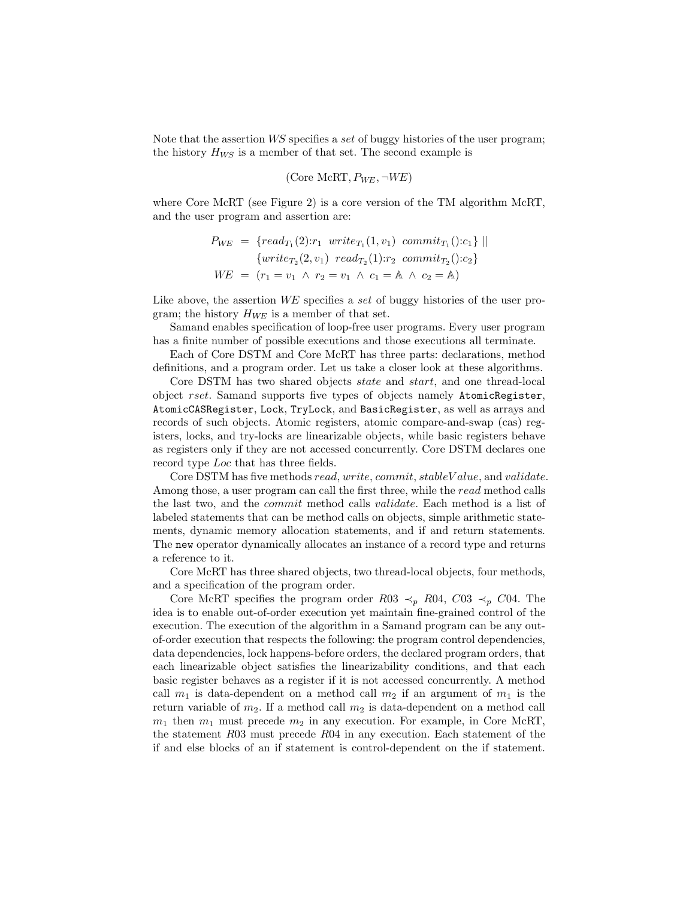Note that the assertion WS specifies a set of buggy histories of the user program; the history  $H_{WS}$  is a member of that set. The second example is

(Core McRT, 
$$
P_{WE}
$$
,  $\neg WE$ )

where Core McRT (see Figure 2) is a core version of the TM algorithm McRT, and the user program and assertion are:

$$
P_{WE} = \{ read_{T_1}(2): r_1 \ write_{T_1}(1, v_1) \ commit_{T_1}(:c_1) \mid \}
$$
  

$$
\{write_{T_2}(2, v_1) \ read_{T_2}(1): r_2 \ commit_{T_2}(:c_2)
$$
  

$$
WE = (r_1 = v_1 \land r_2 = v_1 \land c_1 = \mathbb{A} \land c_2 = \mathbb{A})
$$

Like above, the assertion WE specifies a set of buggy histories of the user program; the history  $H_{WE}$  is a member of that set.

Samand enables specification of loop-free user programs. Every user program has a finite number of possible executions and those executions all terminate.

Each of Core DSTM and Core McRT has three parts: declarations, method definitions, and a program order. Let us take a closer look at these algorithms.

Core DSTM has two shared objects state and start, and one thread-local object rset. Samand supports five types of objects namely AtomicRegister, AtomicCASRegister, Lock, TryLock, and BasicRegister, as well as arrays and records of such objects. Atomic registers, atomic compare-and-swap (cas) registers, locks, and try-locks are linearizable objects, while basic registers behave as registers only if they are not accessed concurrently. Core DSTM declares one record type Loc that has three fields.

Core DSTM has five methods read, write, commit, stableV alue, and validate. Among those, a user program can call the first three, while the read method calls the last two, and the commit method calls validate. Each method is a list of labeled statements that can be method calls on objects, simple arithmetic statements, dynamic memory allocation statements, and if and return statements. The new operator dynamically allocates an instance of a record type and returns a reference to it.

Core McRT has three shared objects, two thread-local objects, four methods, and a specification of the program order.

Core McRT specifies the program order R03  $\prec_p$  R04, C03  $\prec_p$  C04. The idea is to enable out-of-order execution yet maintain fine-grained control of the execution. The execution of the algorithm in a Samand program can be any outof-order execution that respects the following: the program control dependencies, data dependencies, lock happens-before orders, the declared program orders, that each linearizable object satisfies the linearizability conditions, and that each basic register behaves as a register if it is not accessed concurrently. A method call  $m_1$  is data-dependent on a method call  $m_2$  if an argument of  $m_1$  is the return variable of  $m_2$ . If a method call  $m_2$  is data-dependent on a method call  $m_1$  then  $m_1$  must precede  $m_2$  in any execution. For example, in Core McRT, the statement R03 must precede R04 in any execution. Each statement of the if and else blocks of an if statement is control-dependent on the if statement.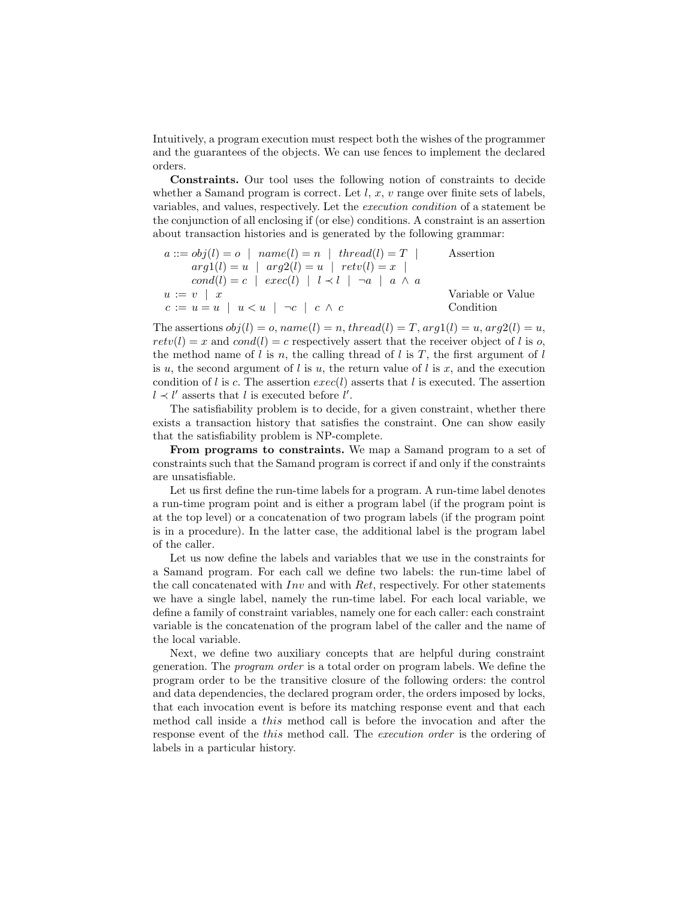Intuitively, a program execution must respect both the wishes of the programmer and the guarantees of the objects. We can use fences to implement the declared orders.

Constraints. Our tool uses the following notion of constraints to decide whether a Samand program is correct. Let  $l, x, v$  range over finite sets of labels, variables, and values, respectively. Let the execution condition of a statement be the conjunction of all enclosing if (or else) conditions. A constraint is an assertion about transaction histories and is generated by the following grammar:

$$
a ::= obj(l) = o \mid name(l) = n \mid thread(l) = T \mid
$$
assertion  
\n
$$
arg1(l) = u \mid arg2(l) = u \mid retv(l) = x \mid
$$
  
\n
$$
cond(l) = c \mid exec(l) \mid l \prec l \mid \neg a \mid a \land a
$$
  
\n
$$
u := v \mid x
$$
  
\n
$$
c := u = u \mid u \prec u \mid \neg c \mid c \land c
$$
Condition

The assertions  $obj(l) = o$ ,  $name(l) = n$ ,  $thread(l) = T$ ,  $arg(l) = u$ ,  $arg2(l) = u$ ,  $retv(l) = x$  and  $cond(l) = c$  respectively assert that the receiver object of l is o, the method name of  $l$  is  $n$ , the calling thread of  $l$  is  $T$ , the first argument of  $l$ is u, the second argument of l is u, the return value of l is x, and the execution condition of l is c. The assertion  $exec(l)$  asserts that l is executed. The assertion  $l \prec l'$  asserts that l is executed before l'.

The satisfiability problem is to decide, for a given constraint, whether there exists a transaction history that satisfies the constraint. One can show easily that the satisfiability problem is NP-complete.

From programs to constraints. We map a Samand program to a set of constraints such that the Samand program is correct if and only if the constraints are unsatisfiable.

Let us first define the run-time labels for a program. A run-time label denotes a run-time program point and is either a program label (if the program point is at the top level) or a concatenation of two program labels (if the program point is in a procedure). In the latter case, the additional label is the program label of the caller.

Let us now define the labels and variables that we use in the constraints for a Samand program. For each call we define two labels: the run-time label of the call concatenated with  $Inv$  and with  $Ret$ , respectively. For other statements we have a single label, namely the run-time label. For each local variable, we define a family of constraint variables, namely one for each caller: each constraint variable is the concatenation of the program label of the caller and the name of the local variable.

Next, we define two auxiliary concepts that are helpful during constraint generation. The program order is a total order on program labels. We define the program order to be the transitive closure of the following orders: the control and data dependencies, the declared program order, the orders imposed by locks, that each invocation event is before its matching response event and that each method call inside a this method call is before the invocation and after the response event of the this method call. The execution order is the ordering of labels in a particular history.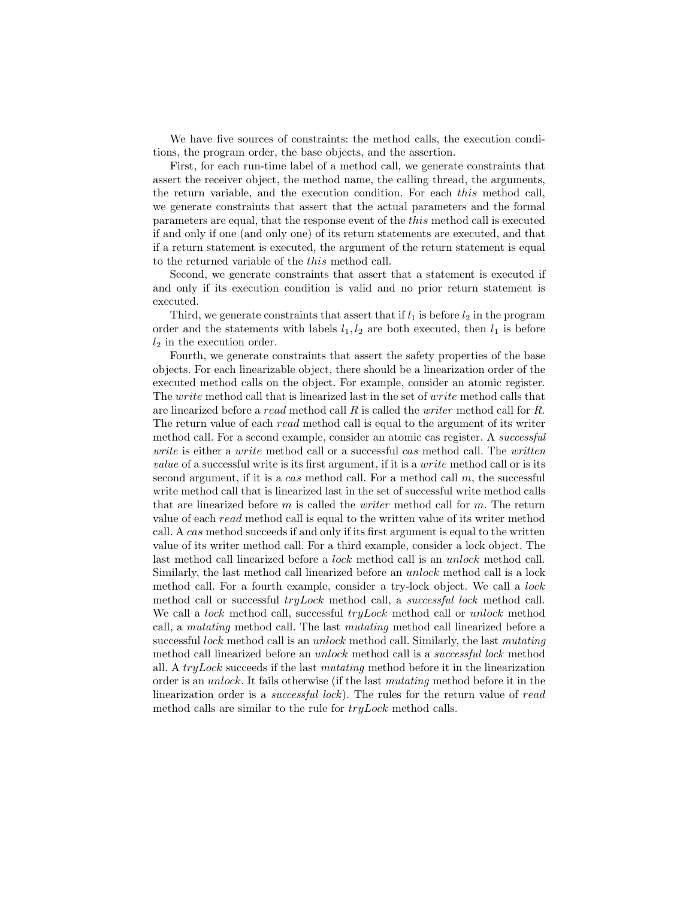We have five sources of constraints: the method calls, the execution conditions, the program order, the base objects, and the assertion.

First, for each run-time label of a method call, we generate constraints that assert the receiver object, the method name, the calling thread, the arguments, the return variable, and the execution condition. For each this method call, we generate constraints that assert that the actual parameters and the formal parameters are equal, that the response event of the this method call is executed if and only if one (and only one) of its return statements are executed, and that if a return statement is executed, the argument of the return statement is equal to the returned variable of the this method call.

Second, we generate constraints that assert that a statement is executed if and only if its execution condition is valid and no prior return statement is executed.

Third, we generate constraints that assert that if  $l_1$  is before  $l_2$  in the program order and the statements with labels  $l_1, l_2$  are both executed, then  $l_1$  is before  $l_2$  in the execution order.

Fourth, we generate constraints that assert the safety properties of the base objects. For each linearizable object, there should be a linearization order of the executed method calls on the object. For example, consider an atomic register. The write method call that is linearized last in the set of write method calls that are linearized before a read method call R is called the writer method call for R. The return value of each read method call is equal to the argument of its writer method call. For a second example, consider an atomic cas register. A successful write is either a write method call or a successful case method call. The written value of a successful write is its first argument, if it is a write method call or is its second argument, if it is a cas method call. For a method call  $m$ , the successful write method call that is linearized last in the set of successful write method calls that are linearized before  $m$  is called the *writer* method call for  $m$ . The return value of each read method call is equal to the written value of its writer method call. A cas method succeeds if and only if its first argument is equal to the written value of its writer method call. For a third example, consider a lock object. The last method call linearized before a lock method call is an unlock method call. Similarly, the last method call linearized before an unlock method call is a lock method call. For a fourth example, consider a try-lock object. We call a *lock* method call or successful tryLock method call, a successful lock method call. We call a *lock* method call, successful  $tryLock$  method call or *unlock* method call, a mutating method call. The last mutating method call linearized before a successful *lock* method call is an *unlock* method call. Similarly, the last *mutating* method call linearized before an unlock method call is a successful lock method all. A tryLock succeeds if the last mutating method before it in the linearization order is an unlock. It fails otherwise (if the last mutating method before it in the linearization order is a *successful lock*). The rules for the return value of read method calls are similar to the rule for  $tryLock$  method calls.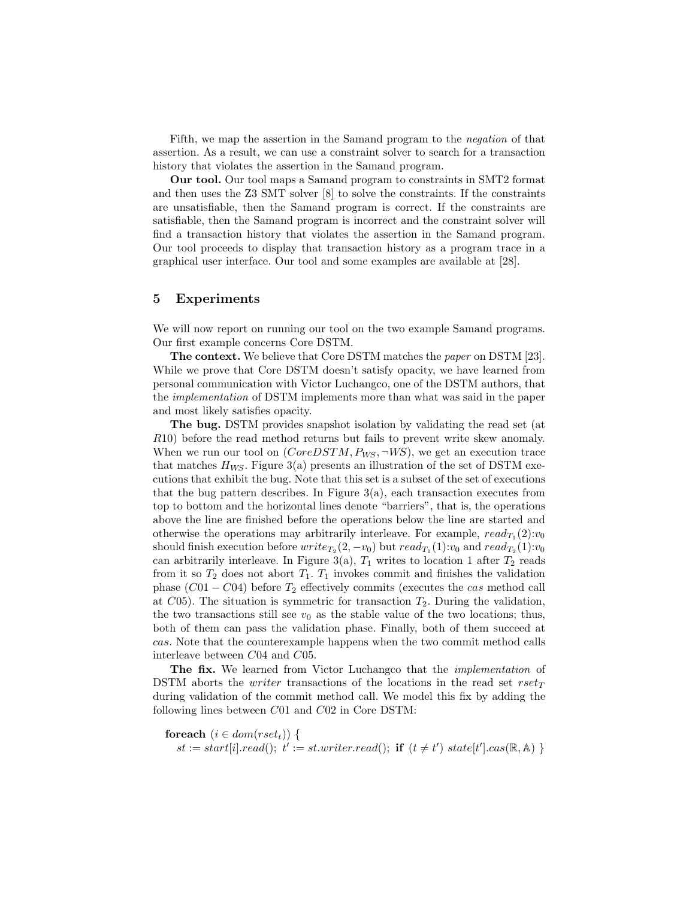Fifth, we map the assertion in the Samand program to the negation of that assertion. As a result, we can use a constraint solver to search for a transaction history that violates the assertion in the Samand program.

Our tool. Our tool maps a Samand program to constraints in SMT2 format and then uses the Z3 SMT solver [8] to solve the constraints. If the constraints are unsatisfiable, then the Samand program is correct. If the constraints are satisfiable, then the Samand program is incorrect and the constraint solver will find a transaction history that violates the assertion in the Samand program. Our tool proceeds to display that transaction history as a program trace in a graphical user interface. Our tool and some examples are available at [28].

## 5 Experiments

We will now report on running our tool on the two example Samand programs. Our first example concerns Core DSTM.

The context. We believe that Core DSTM matches the paper on DSTM [23]. While we prove that Core DSTM doesn't satisfy opacity, we have learned from personal communication with Victor Luchangco, one of the DSTM authors, that the implementation of DSTM implements more than what was said in the paper and most likely satisfies opacity.

The bug. DSTM provides snapshot isolation by validating the read set (at R10) before the read method returns but fails to prevent write skew anomaly. When we run our tool on  $(CoreDSTM, P_{WS}, \neg WS)$ , we get an execution trace that matches  $H_{WS}$ . Figure 3(a) presents an illustration of the set of DSTM executions that exhibit the bug. Note that this set is a subset of the set of executions that the bug pattern describes. In Figure  $3(a)$ , each transaction executes from top to bottom and the horizontal lines denote "barriers", that is, the operations above the line are finished before the operations below the line are started and otherwise the operations may arbitrarily interleave. For example,  $read_{T_1}(2): v_0$ should finish execution before  $\text{write}_{T_2}(2, -v_0)$  but  $\text{read}_{T_1}(1)$ : $v_0$  and  $\text{read}_{T_2}(1)$ : $v_0$ can arbitrarily interleave. In Figure 3(a),  $T_1$  writes to location 1 after  $T_2$  reads from it so  $T_2$  does not abort  $T_1$ .  $T_1$  invokes commit and finishes the validation phase  $(C01 - C04)$  before  $T_2$  effectively commits (executes the cas method call at  $C(05)$ . The situation is symmetric for transaction  $T_2$ . During the validation, the two transactions still see  $v_0$  as the stable value of the two locations; thus, both of them can pass the validation phase. Finally, both of them succeed at cas. Note that the counterexample happens when the two commit method calls interleave between C04 and C05.

The fix. We learned from Victor Luchangco that the *implementation* of DSTM aborts the *writer* transactions of the locations in the read set rset<sub>T</sub> during validation of the commit method call. We model this fix by adding the following lines between C01 and C02 in Core DSTM:

foreach  $(i \in dom(rset_t))$  {  $st := start[i].read();$   $t' := st.write.read();$  if  $(t \neq t') state[t'].cas(\mathbb{R}, \mathbb{A})$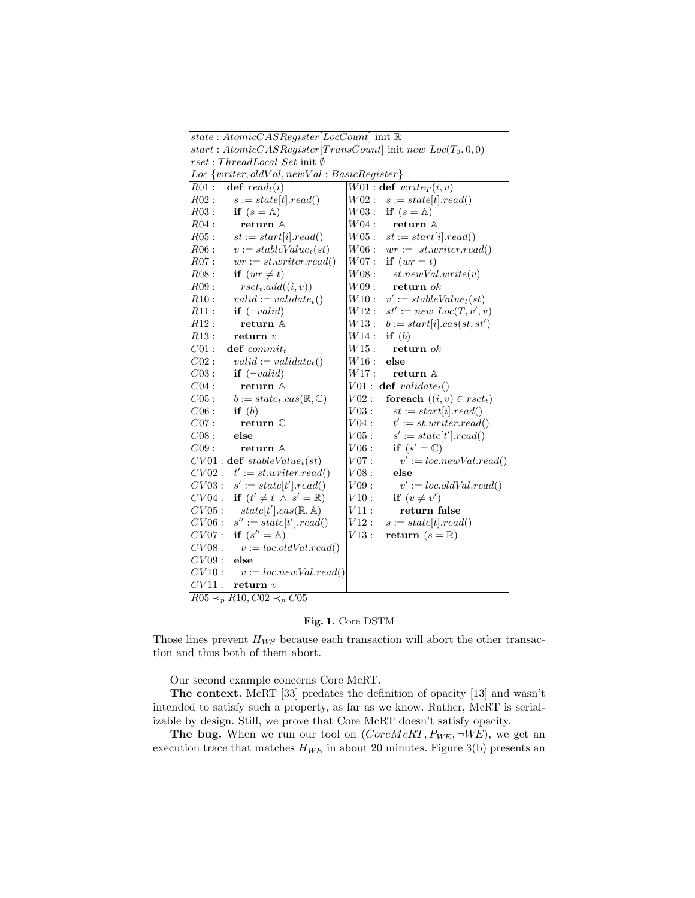| state: $AtomicCAS Register[LocCount]$ init R                    |                                                 |  |  |  |
|-----------------------------------------------------------------|-------------------------------------------------|--|--|--|
| $start: AtomicCASEgister[TransCount]$ init new $Loc(T_0, 0, 0)$ |                                                 |  |  |  |
| $rset: ThreadLocalSet$ init $\emptyset$                         |                                                 |  |  |  |
| $Loc\ {writer, oldVal, newVal : Basic Register}$                |                                                 |  |  |  |
| R01:<br>$\det \text{read}_t(i)$                                 | $W01$ : def $write_T(i, v)$                     |  |  |  |
| R02:                                                            | W02:                                            |  |  |  |
| $s := state[t].read()$                                          | $s := state[t].read()$                          |  |  |  |
| R03:                                                            | W03:                                            |  |  |  |
| if $(s = A)$                                                    | if $(s = A)$                                    |  |  |  |
| R04:                                                            | W04:                                            |  |  |  |
| return A                                                        | return $\mathbb A$                              |  |  |  |
| R05:                                                            | W05:                                            |  |  |  |
| $st := start[i].read()$                                         | $st := start[i].read()$                         |  |  |  |
| R06:                                                            | W06:                                            |  |  |  |
| $v := stableValue_t(st)$                                        | $wr := st.writer.read()$                        |  |  |  |
| R07:                                                            | W07:                                            |  |  |  |
| $wr := st.writer.read()$                                        | if $(wr = t)$                                   |  |  |  |
| R08:                                                            | st.newVal.write(v)                              |  |  |  |
| if $(wr \neq t)$                                                | W08:                                            |  |  |  |
| R09:                                                            | W09:                                            |  |  |  |
| $rset_t.add((i, v))$                                            | return $ok$                                     |  |  |  |
| R10:                                                            | $v' := stableValue_t(st)$                       |  |  |  |
| $valid := validate_t()$                                         | W10:                                            |  |  |  |
| R11:                                                            | $W12$ :                                         |  |  |  |
| if $(\neg valid)$                                               | $st' := new Loc(T, v', v)$                      |  |  |  |
| R12:                                                            | W13:                                            |  |  |  |
| return A                                                        | $b := start[i].cas(st, st')$                    |  |  |  |
| R13:                                                            | W14:                                            |  |  |  |
| return v                                                        | if $(b)$                                        |  |  |  |
| $C01$ :                                                         | W15:                                            |  |  |  |
| $\textbf{def}$ commit,                                          | return $ok$                                     |  |  |  |
| C02:                                                            | W16:                                            |  |  |  |
| $valid := validate_t()$                                         | else                                            |  |  |  |
| C03:                                                            | W17:                                            |  |  |  |
| if $(\neg valid)$                                               | return A                                        |  |  |  |
| C04:<br>return A                                                | $\overline{V01}$ : def validate <sub>t</sub> () |  |  |  |
| $C05$ :                                                         | V02:                                            |  |  |  |
| $b := state_t.cas(\mathbb{R}, \mathbb{C})$                      | for each $((i, v) \in \text{rset}_t)$           |  |  |  |
| C06:                                                            | V03:                                            |  |  |  |
| if $(b)$                                                        | $st := start[i].read()$                         |  |  |  |
| CO7:                                                            | V04:                                            |  |  |  |
| return $\mathbb C$                                              | $t' := st.write, read()$                        |  |  |  |
| C08:                                                            | V05:                                            |  |  |  |
| else                                                            | $s' := state[t'].read()$                        |  |  |  |
| C09:                                                            | V06:                                            |  |  |  |
| return A                                                        | if $(s' = \mathbb{C})$                          |  |  |  |
| $CV01:$ def stableValue <sub>t</sub> (st)                       | $v' := loc.newVal.read()$<br>V07:               |  |  |  |
| CV02:                                                           | V08:                                            |  |  |  |
| $t' := st.writer.read()$                                        | else                                            |  |  |  |
| $CV03:$                                                         | V09:                                            |  |  |  |
| $s' := state[t']$ .read()                                       | $v' := loc. oldVal.read()$                      |  |  |  |
| if $(t' \neq t \land s' = \mathbb{R})$                          | if $(v \neq v')$                                |  |  |  |
| CV04:                                                           | V10:                                            |  |  |  |
| CV05:                                                           | return false                                    |  |  |  |
| $state[t'].cas(\mathbb{R}, \mathbb{A})$                         | V11:                                            |  |  |  |
| $C V{\bf 06}$ :                                                 | V12:                                            |  |  |  |
| $s'':=state[t'].read()$                                         | $s := state[t].read()$                          |  |  |  |
| if $(s'' = A)$                                                  | V13:                                            |  |  |  |
| $C V07$ :                                                       | return $(s = \mathbb{R})$                       |  |  |  |
| $v := loc.oldVal.read()$<br>CV08:                               |                                                 |  |  |  |
| CV09:<br>else                                                   |                                                 |  |  |  |
| $CV10:$<br>$v := loc.newVal.read()$                             |                                                 |  |  |  |
| CV11:<br>return $\boldsymbol{v}$                                |                                                 |  |  |  |
| $\overline{R05 \prec_p R10, C02 \prec_p C05}$                   |                                                 |  |  |  |

### Fig. 1. Core DSTM

Those lines prevent  $H_{WS}$  because each transaction will abort the other transaction and thus both of them abort.

Our second example concerns Core McRT.

The context. McRT [33] predates the definition of opacity [13] and wasn't intended to satisfy such a property, as far as we know. Rather, McRT is serializable by design. Still, we prove that Core McRT doesn't satisfy opacity.

**The bug.** When we run our tool on  $(CoreMcRT, P_{WE}, \neg WE)$ , we get an execution trace that matches  $H_{WE}$  in about 20 minutes. Figure 3(b) presents an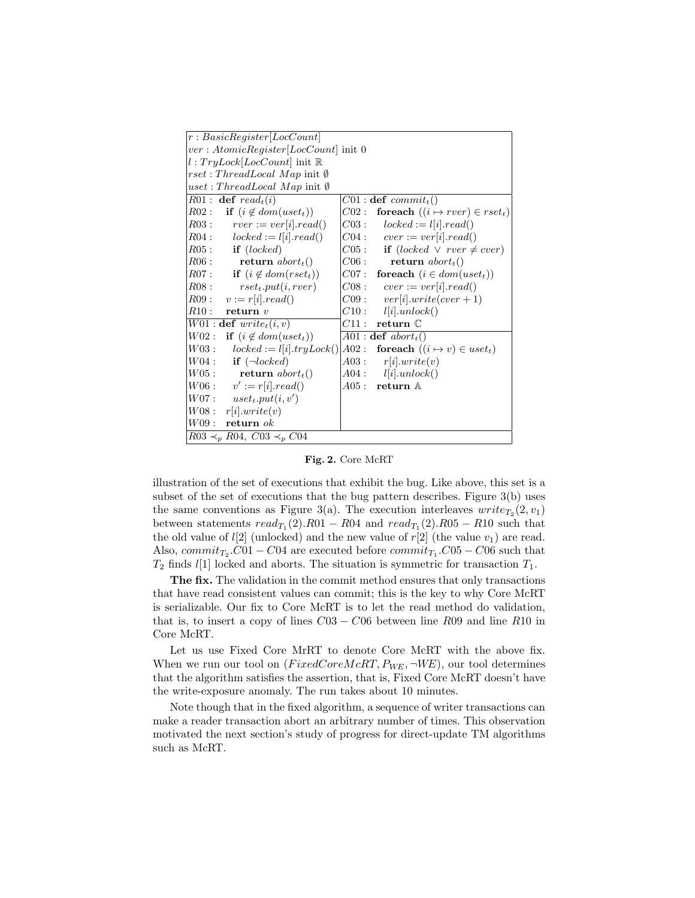| r : Basic Register[LocCount]                             |                                                         |
|----------------------------------------------------------|---------------------------------------------------------|
| $ver: Atomic Register[LocCount]$ init 0                  |                                                         |
| $l: TryLock[LocCount]$ init R                            |                                                         |
| $rset: ThreadLocal~Map$ init $\emptyset$                 |                                                         |
| uset : ThreadLocal Map init $\emptyset$                  |                                                         |
| $R01:$ def $read_t(i)$                                   | $C01:$ def $committ$                                    |
| if $(i \notin dom(user_t))$<br>R02:                      | C02:<br>for each $((i \mapsto rver) \in \text{rset}_t)$ |
| R03:<br>$rver := ver[i].read()$                          | C03:<br>$locked := l[i].read()$                         |
| $R04: \qquad locked := l[i].read()$                      | $C04: \quad \text{over} := \text{ver}[i].\text{read}()$ |
| R05:<br>if (locked)                                      | $C05:$ if (locked $\vee$ rver $\neq$ cver)              |
| R06:<br>return $abort_t()$                               | C06:<br>return $abort_t()$                              |
| R07:<br>if $(i \notin dom(rset_t))$                      | C07:<br>for each $(i \in dom(user_t))$                  |
| R08:<br>$rset_t.put(i, rver)$                            | $C08: \quad \text{over} := \text{ver}[i].\text{read}()$ |
| R09:<br>$v := r[i].read()$                               | $C09:$ $ver[i].write(cver + 1)$                         |
| R10:<br>return $v$                                       | $C10:$ $l[i].unlock()$                                  |
| $W01: \overline{\text{def}}$ write <sub>t</sub> $(i, v)$ | C11:<br>return $\mathbb C$                              |
| W02:<br>if $(i \notin dom(user_t))$                      | $\overline{A01 : \text{def} \; abort_t()}$              |
| $locked := l[i].tryLock()   A02 :$<br>W03:               | for each $((i \mapsto v) \in usett)$                    |
| W04:<br>if $(\neg locked)$                               | A03: r[i].write(v)                                      |
| W05:<br>return $abort_t()$                               | $A04: \quad l[i].unlock()$                              |
| $W06: v' := r[i].read()$                                 | A05:<br>return A                                        |
| $uset_t.put(i, v')$<br>W07:                              |                                                         |
| W08:<br>r[i].write(v)                                    |                                                         |
| W09:<br>return $ok$                                      |                                                         |
| $R03 \prec_p R04$ , $C03 \prec_p C04$                    |                                                         |

Fig. 2. Core McRT

illustration of the set of executions that exhibit the bug. Like above, this set is a subset of the set of executions that the bug pattern describes. Figure 3(b) uses the same conventions as Figure 3(a). The execution interleaves  $write_{T_2}(2, v_1)$ between statements  $read_{T_1}(2)$ . $R01 - R04$  and  $read_{T_1}(2)$ . $R05 - R10$  such that the old value of  $l[2]$  (unlocked) and the new value of  $r[2]$  (the value  $v_1$ ) are read. Also,  $commit_{T_2}.C01 - C04$  are executed before  $commit_{T_1}.C05 - C06$  such that  $T_2$  finds l[1] locked and aborts. The situation is symmetric for transaction  $T_1$ .

The fix. The validation in the commit method ensures that only transactions that have read consistent values can commit; this is the key to why Core McRT is serializable. Our fix to Core McRT is to let the read method do validation, that is, to insert a copy of lines  $C03 - C06$  between line R09 and line R10 in Core McRT.

Let us use Fixed Core MrRT to denote Core McRT with the above fix. When we run our tool on  $(FixedCoreMcRT, P_{WE}, \neg WE)$ , our tool determines that the algorithm satisfies the assertion, that is, Fixed Core McRT doesn't have the write-exposure anomaly. The run takes about 10 minutes.

Note though that in the fixed algorithm, a sequence of writer transactions can make a reader transaction abort an arbitrary number of times. This observation motivated the next section's study of progress for direct-update TM algorithms such as McRT.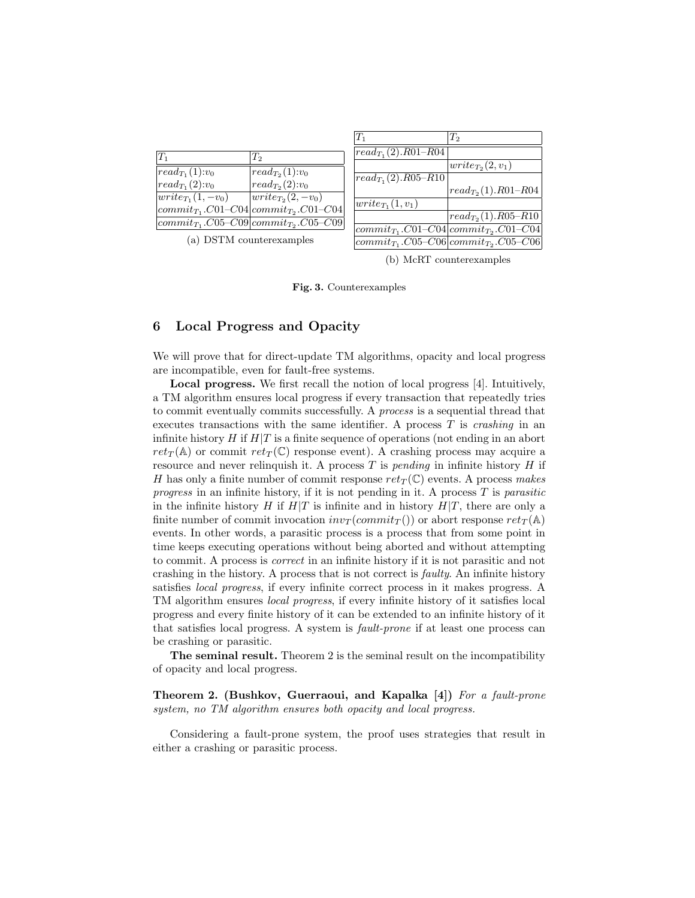|                        |                                               | Tı                        | $T_2$                                       |
|------------------------|-----------------------------------------------|---------------------------|---------------------------------------------|
| $T_1$                  | $T_2$                                         | $ read_{T_1}(2).R01-R04 $ |                                             |
| $read_{T_1}(1):v_0$    | $ read_{T_2}(1):v_0 $                         |                           | $ write_{T_2}(2, v_1) $                     |
| $read_{T_1}(2): v_0$   | $ read_{T_2}(2):v_0 $                         | $ read_{T_1}(2).R05-R10$  |                                             |
| $write_{T_1}(1, -v_0)$ | $ write_{T_2}(2, -v_0) $                      |                           | $ read_{T_2}(1).R01-R04 $                   |
|                        | $ commit_{T_1}.C01-C04 commit_{T_2}.C01-C04 $ | $ write_{T_1}(1, v_1) $   |                                             |
|                        | $ commit_{T_1}.C05-C09 commit_{T_2}.C05-C09 $ |                           | $ read_{T_2}(1).R05-R10 $                   |
|                        |                                               |                           | $commit_{T_1}.C01-C04 commit_{T_2}.C01-C04$ |
|                        | (a) DSTM counterexamples                      |                           | $commit_{T_1}.C05-C06 commit_{T_2}.C05-C06$ |

(b) McRT counterexamples

Fig. 3. Counterexamples

## 6 Local Progress and Opacity

We will prove that for direct-update TM algorithms, opacity and local progress are incompatible, even for fault-free systems.

Local progress. We first recall the notion of local progress [4]. Intuitively, a TM algorithm ensures local progress if every transaction that repeatedly tries to commit eventually commits successfully. A process is a sequential thread that executes transactions with the same identifier. A process  $T$  is *crashing* in an infinite history  $H$  if  $H/T$  is a finite sequence of operations (not ending in an abort  $ret_T(\mathbb{A})$  or commit  $ret_T(\mathbb{C})$  response event). A crashing process may acquire a resource and never relinquish it. A process  $T$  is *pending* in infinite history  $H$  if H has only a finite number of commit response  $ret_T(\mathbb{C})$  events. A process makes *progress* in an infinite history, if it is not pending in it. A process  $T$  is *parasitic* in the infinite history H if  $H|T$  is infinite and in history  $H|T$ , there are only a finite number of commit invocation  $inv_T(commit_T() )$  or abort response  $ret_T(\mathbb{A})$ events. In other words, a parasitic process is a process that from some point in time keeps executing operations without being aborted and without attempting to commit. A process is correct in an infinite history if it is not parasitic and not crashing in the history. A process that is not correct is faulty. An infinite history satisfies local progress, if every infinite correct process in it makes progress. A TM algorithm ensures local progress, if every infinite history of it satisfies local progress and every finite history of it can be extended to an infinite history of it that satisfies local progress. A system is fault-prone if at least one process can be crashing or parasitic.

The seminal result. Theorem 2 is the seminal result on the incompatibility of opacity and local progress.

Theorem 2. (Bushkov, Guerraoui, and Kapalka [4]) For a fault-prone system, no TM algorithm ensures both opacity and local progress.

Considering a fault-prone system, the proof uses strategies that result in either a crashing or parasitic process.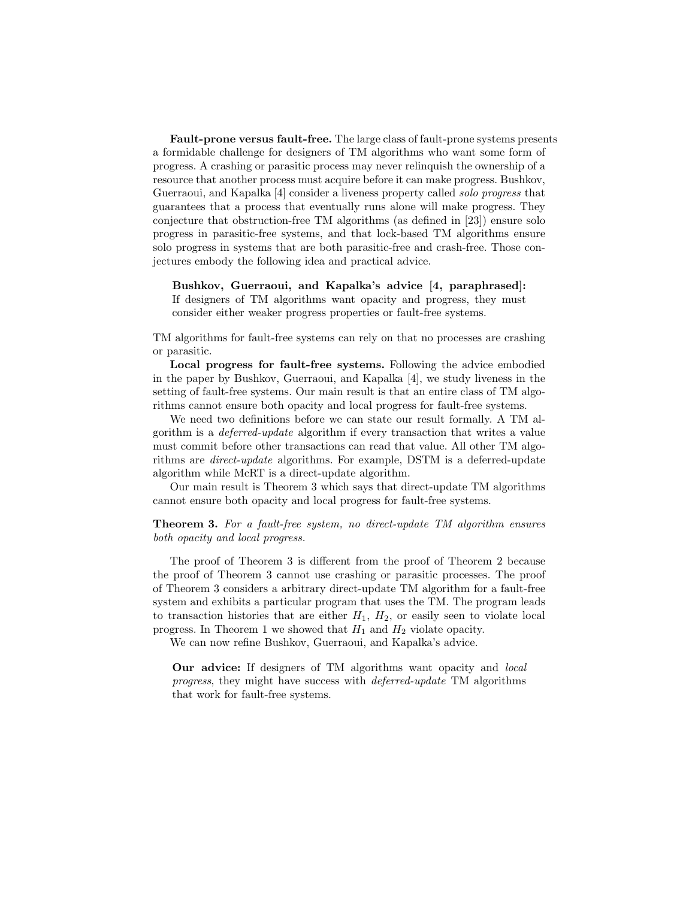Fault-prone versus fault-free. The large class of fault-prone systems presents a formidable challenge for designers of TM algorithms who want some form of progress. A crashing or parasitic process may never relinquish the ownership of a resource that another process must acquire before it can make progress. Bushkov, Guerraoui, and Kapalka [4] consider a liveness property called solo progress that guarantees that a process that eventually runs alone will make progress. They conjecture that obstruction-free TM algorithms (as defined in [23]) ensure solo progress in parasitic-free systems, and that lock-based TM algorithms ensure solo progress in systems that are both parasitic-free and crash-free. Those conjectures embody the following idea and practical advice.

## Bushkov, Guerraoui, and Kapalka's advice [4, paraphrased]:

If designers of TM algorithms want opacity and progress, they must consider either weaker progress properties or fault-free systems.

TM algorithms for fault-free systems can rely on that no processes are crashing or parasitic.

Local progress for fault-free systems. Following the advice embodied in the paper by Bushkov, Guerraoui, and Kapalka [4], we study liveness in the setting of fault-free systems. Our main result is that an entire class of TM algorithms cannot ensure both opacity and local progress for fault-free systems.

We need two definitions before we can state our result formally. A TM algorithm is a deferred-update algorithm if every transaction that writes a value must commit before other transactions can read that value. All other TM algorithms are direct-update algorithms. For example, DSTM is a deferred-update algorithm while McRT is a direct-update algorithm.

Our main result is Theorem 3 which says that direct-update TM algorithms cannot ensure both opacity and local progress for fault-free systems.

Theorem 3. For a fault-free system, no direct-update TM algorithm ensures both opacity and local progress.

The proof of Theorem 3 is different from the proof of Theorem 2 because the proof of Theorem 3 cannot use crashing or parasitic processes. The proof of Theorem 3 considers a arbitrary direct-update TM algorithm for a fault-free system and exhibits a particular program that uses the TM. The program leads to transaction histories that are either  $H_1$ ,  $H_2$ , or easily seen to violate local progress. In Theorem 1 we showed that  $H_1$  and  $H_2$  violate opacity.

We can now refine Bushkov, Guerraoui, and Kapalka's advice.

Our advice: If designers of TM algorithms want opacity and local progress, they might have success with deferred-update TM algorithms that work for fault-free systems.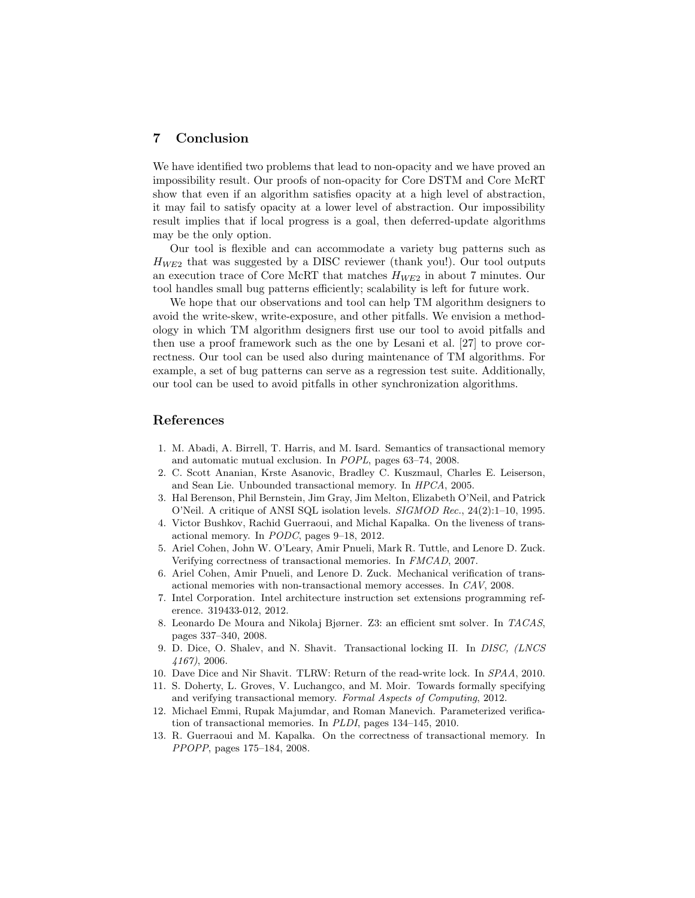## 7 Conclusion

We have identified two problems that lead to non-opacity and we have proved an impossibility result. Our proofs of non-opacity for Core DSTM and Core McRT show that even if an algorithm satisfies opacity at a high level of abstraction, it may fail to satisfy opacity at a lower level of abstraction. Our impossibility result implies that if local progress is a goal, then deferred-update algorithms may be the only option.

Our tool is flexible and can accommodate a variety bug patterns such as  $H_{WE2}$  that was suggested by a DISC reviewer (thank you!). Our tool outputs an execution trace of Core McRT that matches  $H_{WE2}$  in about 7 minutes. Our tool handles small bug patterns efficiently; scalability is left for future work.

We hope that our observations and tool can help TM algorithm designers to avoid the write-skew, write-exposure, and other pitfalls. We envision a methodology in which TM algorithm designers first use our tool to avoid pitfalls and then use a proof framework such as the one by Lesani et al. [27] to prove correctness. Our tool can be used also during maintenance of TM algorithms. For example, a set of bug patterns can serve as a regression test suite. Additionally, our tool can be used to avoid pitfalls in other synchronization algorithms.

## References

- 1. M. Abadi, A. Birrell, T. Harris, and M. Isard. Semantics of transactional memory and automatic mutual exclusion. In POPL, pages 63–74, 2008.
- 2. C. Scott Ananian, Krste Asanovic, Bradley C. Kuszmaul, Charles E. Leiserson, and Sean Lie. Unbounded transactional memory. In HPCA, 2005.
- 3. Hal Berenson, Phil Bernstein, Jim Gray, Jim Melton, Elizabeth O'Neil, and Patrick O'Neil. A critique of ANSI SQL isolation levels. SIGMOD Rec., 24(2):1–10, 1995.
- 4. Victor Bushkov, Rachid Guerraoui, and Michal Kapalka. On the liveness of transactional memory. In PODC, pages 9–18, 2012.
- 5. Ariel Cohen, John W. O'Leary, Amir Pnueli, Mark R. Tuttle, and Lenore D. Zuck. Verifying correctness of transactional memories. In FMCAD, 2007.
- 6. Ariel Cohen, Amir Pnueli, and Lenore D. Zuck. Mechanical verification of transactional memories with non-transactional memory accesses. In CAV, 2008.
- 7. Intel Corporation. Intel architecture instruction set extensions programming reference. 319433-012, 2012.
- 8. Leonardo De Moura and Nikolaj Bjørner. Z3: an efficient smt solver. In TACAS, pages 337–340, 2008.
- 9. D. Dice, O. Shalev, and N. Shavit. Transactional locking II. In DISC, (LNCS 4167), 2006.
- 10. Dave Dice and Nir Shavit. TLRW: Return of the read-write lock. In SPAA, 2010.
- 11. S. Doherty, L. Groves, V. Luchangco, and M. Moir. Towards formally specifying and verifying transactional memory. Formal Aspects of Computing, 2012.
- 12. Michael Emmi, Rupak Majumdar, and Roman Manevich. Parameterized verification of transactional memories. In PLDI, pages 134–145, 2010.
- 13. R. Guerraoui and M. Kapalka. On the correctness of transactional memory. In PPOPP, pages 175–184, 2008.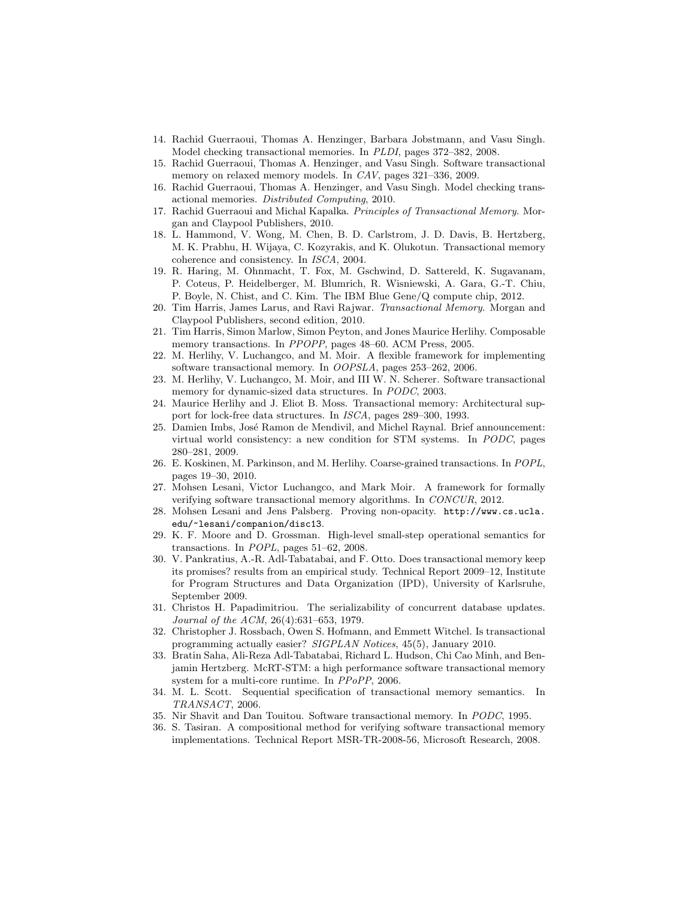- 14. Rachid Guerraoui, Thomas A. Henzinger, Barbara Jobstmann, and Vasu Singh. Model checking transactional memories. In PLDI, pages 372–382, 2008.
- 15. Rachid Guerraoui, Thomas A. Henzinger, and Vasu Singh. Software transactional memory on relaxed memory models. In CAV, pages 321–336, 2009.
- 16. Rachid Guerraoui, Thomas A. Henzinger, and Vasu Singh. Model checking transactional memories. Distributed Computing, 2010.
- 17. Rachid Guerraoui and Michal Kapalka. Principles of Transactional Memory. Morgan and Claypool Publishers, 2010.
- 18. L. Hammond, V. Wong, M. Chen, B. D. Carlstrom, J. D. Davis, B. Hertzberg, M. K. Prabhu, H. Wijaya, C. Kozyrakis, and K. Olukotun. Transactional memory coherence and consistency. In ISCA, 2004.
- 19. R. Haring, M. Ohnmacht, T. Fox, M. Gschwind, D. Sattereld, K. Sugavanam, P. Coteus, P. Heidelberger, M. Blumrich, R. Wisniewski, A. Gara, G.-T. Chiu, P. Boyle, N. Chist, and C. Kim. The IBM Blue Gene/Q compute chip, 2012.
- 20. Tim Harris, James Larus, and Ravi Rajwar. Transactional Memory. Morgan and Claypool Publishers, second edition, 2010.
- 21. Tim Harris, Simon Marlow, Simon Peyton, and Jones Maurice Herlihy. Composable memory transactions. In PPOPP, pages 48–60. ACM Press, 2005.
- 22. M. Herlihy, V. Luchangco, and M. Moir. A flexible framework for implementing software transactional memory. In OOPSLA, pages 253–262, 2006.
- 23. M. Herlihy, V. Luchangco, M. Moir, and III W. N. Scherer. Software transactional memory for dynamic-sized data structures. In PODC, 2003.
- 24. Maurice Herlihy and J. Eliot B. Moss. Transactional memory: Architectural support for lock-free data structures. In ISCA, pages 289–300, 1993.
- 25. Damien Imbs, José Ramon de Mendivil, and Michel Raynal. Brief announcement: virtual world consistency: a new condition for STM systems. In PODC, pages 280–281, 2009.
- 26. E. Koskinen, M. Parkinson, and M. Herlihy. Coarse-grained transactions. In POPL, pages 19–30, 2010.
- 27. Mohsen Lesani, Victor Luchangco, and Mark Moir. A framework for formally verifying software transactional memory algorithms. In CONCUR, 2012.
- 28. Mohsen Lesani and Jens Palsberg. Proving non-opacity. http://www.cs.ucla. edu/~lesani/companion/disc13.
- 29. K. F. Moore and D. Grossman. High-level small-step operational semantics for transactions. In POPL, pages 51–62, 2008.
- 30. V. Pankratius, A.-R. Adl-Tabatabai, and F. Otto. Does transactional memory keep its promises? results from an empirical study. Technical Report 2009–12, Institute for Program Structures and Data Organization (IPD), University of Karlsruhe, September 2009.
- 31. Christos H. Papadimitriou. The serializability of concurrent database updates. Journal of the ACM, 26(4):631–653, 1979.
- 32. Christopher J. Rossbach, Owen S. Hofmann, and Emmett Witchel. Is transactional programming actually easier? SIGPLAN Notices, 45(5), January 2010.
- 33. Bratin Saha, Ali-Reza Adl-Tabatabai, Richard L. Hudson, Chi Cao Minh, and Benjamin Hertzberg. McRT-STM: a high performance software transactional memory system for a multi-core runtime. In PPoPP, 2006.
- 34. M. L. Scott. Sequential specification of transactional memory semantics. In TRANSACT, 2006.
- 35. Nir Shavit and Dan Touitou. Software transactional memory. In PODC, 1995.
- 36. S. Tasiran. A compositional method for verifying software transactional memory implementations. Technical Report MSR-TR-2008-56, Microsoft Research, 2008.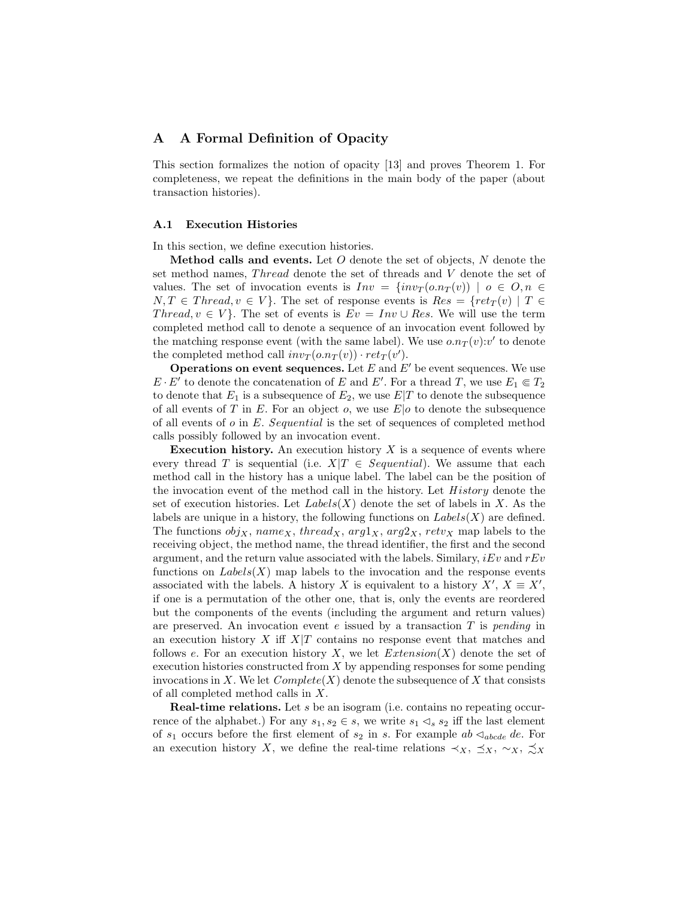## A A Formal Definition of Opacity

This section formalizes the notion of opacity [13] and proves Theorem 1. For completeness, we repeat the definitions in the main body of the paper (about transaction histories).

### A.1 Execution Histories

In this section, we define execution histories.

Method calls and events. Let  $O$  denote the set of objects,  $N$  denote the set method names,  $Thread$  denote the set of threads and  $V$  denote the set of values. The set of invocation events is  $Inv = \{inv_T(o.n_T(v)) \mid o \in O, n \in$  $N, T \in Thread, v \in V$ . The set of response events is  $Res = \{ret_T(v) | T \in$ Thread,  $v \in V$ . The set of events is  $Ev = Inv \cup Res$ . We will use the term completed method call to denote a sequence of an invocation event followed by the matching response event (with the same label). We use  $o.n_T(v):v'$  to denote the completed method call  $inv_T(o.n_T(v)) \cdot ret_T(v')$ .

**Operations on event sequences.** Let  $E$  and  $E'$  be event sequences. We use  $E \cdot E'$  to denote the concatenation of E and E'. For a thread T, we use  $E_1 \n\in T_2$ to denote that  $E_1$  is a subsequence of  $E_2$ , we use  $E|T$  to denote the subsequence of all events of T in E. For an object  $o$ , we use  $E|o$  to denote the subsequence of all events of o in E. Sequential is the set of sequences of completed method calls possibly followed by an invocation event.

Execution history. An execution history  $X$  is a sequence of events where every thread T is sequential (i.e.  $X|T \in Sequential$ ). We assume that each method call in the history has a unique label. The label can be the position of the invocation event of the method call in the history. Let  $History$  denote the set of execution histories. Let  $Labels(X)$  denote the set of labels in X. As the labels are unique in a history, the following functions on  $Labels(X)$  are defined. The functions  $obj_X$ , name<sub>X</sub>, thread<sub>X</sub>, arg1<sub>X</sub>, arg2<sub>X</sub>, retv<sub>X</sub> map labels to the receiving object, the method name, the thread identifier, the first and the second argument, and the return value associated with the labels. Similary,  $iEv$  and  $rEv$ functions on  $Labels(X)$  map labels to the invocation and the response events associated with the labels. A history X is equivalent to a history  $X', X \equiv X',$ if one is a permutation of the other one, that is, only the events are reordered but the components of the events (including the argument and return values) are preserved. An invocation event e issued by a transaction  $T$  is pending in an execution history X iff  $X|T$  contains no response event that matches and follows e. For an execution history X, we let  $Extension(X)$  denote the set of execution histories constructed from X by appending responses for some pending invocations in X. We let  $Complete(X)$  denote the subsequence of X that consists of all completed method calls in X.

Real-time relations. Let s be an isogram (i.e. contains no repeating occurrence of the alphabet.) For any  $s_1, s_2 \in s$ , we write  $s_1 \triangleleft_s s_2$  iff the last element of  $s_1$  occurs before the first element of  $s_2$  in s. For example  $ab \triangleleft_{abcde} de$ . For an execution history X, we define the real-time relations  $\prec_X$ ,  $\preceq_X$ ,  $\sim_X$ ,  $\preceq_X$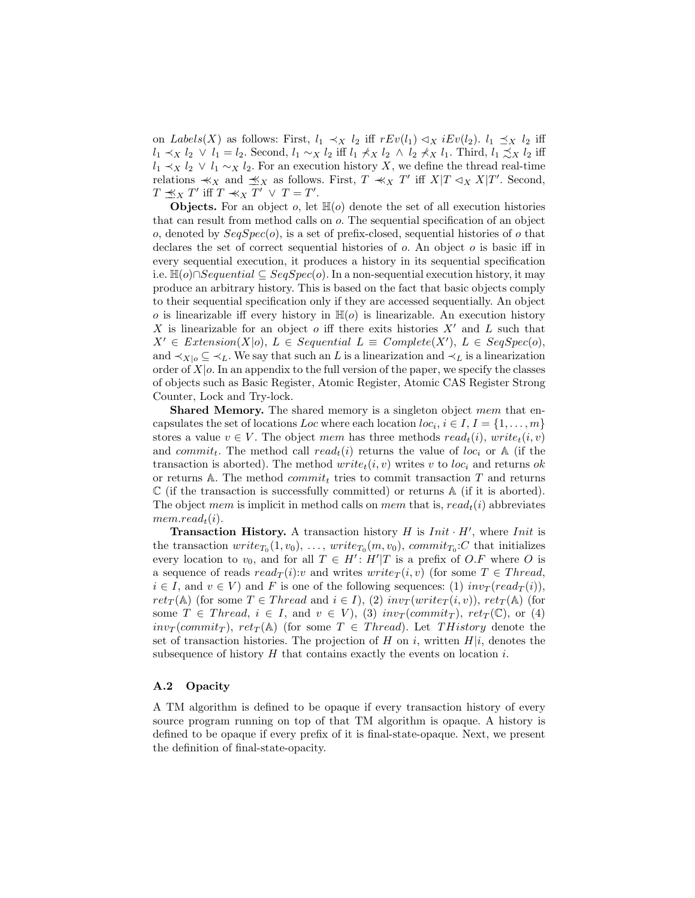on Labels(X) as follows: First,  $l_1 \prec_X l_2$  iff  $rEv(l_1) \lhd_X iEv(l_2)$ .  $l_1 \preceq_X l_2$  iff  $l_1 \prec_X l_2 \vee l_1 = l_2$ . Second,  $l_1 \sim_X l_2$  iff  $l_1 \nprec_X l_2 \wedge l_2 \nprec_X l_1$ . Third,  $l_1 \precsim_X l_2$  iff  $l_1 \prec_X l_2$  ∨  $l_1 \sim_X l_2$ . For an execution history X, we define the thread real-time relations  $\prec_X$  and  $\preceq_X$  as follows. First,  $T \prec_X T'$  iff  $X|T \lhd_X X|T'$ . Second,  $T \preceq_X T'$  iff  $T \prec_X T' \vee T = T'.$ 

**Objects.** For an object  $o$ , let  $\mathbb{H}(o)$  denote the set of all execution histories that can result from method calls on o. The sequential specification of an object o, denoted by  $SeqSpec(o)$ , is a set of prefix-closed, sequential histories of o that declares the set of correct sequential histories of  $o$ . An object  $o$  is basic iff in every sequential execution, it produces a history in its sequential specification i.e.  $\mathbb{H}(o) \cap Sequential \subseteq SegSpec(o)$ . In a non-sequential execution history, it may produce an arbitrary history. This is based on the fact that basic objects comply to their sequential specification only if they are accessed sequentially. An object o is linearizable iff every history in  $\mathbb{H}(o)$  is linearizable. An execution history X is linearizable for an object  $o$  iff there exits histories  $X'$  and L such that  $X' \in Extension(X|o), L \in Sequential L \equiv Complete(X'), L \in SeqSpec(o),$ and  $\prec_{X|o} \subseteq \prec_L$ . We say that such an L is a linearization and  $\prec_L$  is a linearization order of  $X|o$ . In an appendix to the full version of the paper, we specify the classes of objects such as Basic Register, Atomic Register, Atomic CAS Register Strong Counter, Lock and Try-lock.

Shared Memory. The shared memory is a singleton object mem that encapsulates the set of locations Loc where each location  $loc_i, i \in I, I = \{1, \ldots, m\}$ stores a value  $v \in V$ . The object mem has three methods  $read_t(i)$ ,  $write_t(i, v)$ and commit<sub>t</sub>. The method call read<sub>t</sub>(i) returns the value of loc<sub>i</sub> or  $\mathbb{A}$  (if the transaction is aborted). The method  $write_t(i, v)$  writes v to loc<sub>i</sub> and returns ok or returns A. The method *commit<sub>t</sub>* tries to commit transaction T and returns  $\mathbb C$  (if the transaction is successfully committed) or returns  $\mathbb A$  (if it is aborted). The object mem is implicit in method calls on mem that is,  $read<sub>t</sub>(i)$  abbreviates  $mem.read_t(i).$ 

**Transaction History.** A transaction history  $H$  is  $Init \cdot H'$ , where  $Init$  is the transaction  $write_{T_0}(1, v_0), \ldots, write_{T_0}(m, v_0), commit_{T_0}:C$  that initializes every location to  $v_0$ , and for all  $T \in H'$ :  $H'|T$  is a prefix of  $O.F$  where O is a sequence of reads  $read_T(i):v$  and writes  $write_T(i, v)$  (for some  $T \in Thread$ ,  $i \in I$ , and  $v \in V$ ) and F is one of the following sequences: (1)  $inv_T(read_T(i))$ ,  $ret_T(\mathbb{A})$  (for some  $T \in Thread$  and  $i \in I$ ), (2)  $inv_T(write_T(i, v))$ ,  $ret_T(\mathbb{A})$  (for some  $T \in Thread, i \in I$ , and  $v \in V$ , (3)  $inv_T(commit_T)$ ,  $ret_T(\mathbb{C})$ , or (4)  $inv_T(commit_T)$ ,  $ret_T(A)$  (for some  $T \in Thread$ ). Let THistory denote the set of transaction histories. The projection of H on i, written  $H|i$ , denotes the subsequence of history  $H$  that contains exactly the events on location  $i$ .

### A.2 Opacity

A TM algorithm is defined to be opaque if every transaction history of every source program running on top of that TM algorithm is opaque. A history is defined to be opaque if every prefix of it is final-state-opaque. Next, we present the definition of final-state-opacity.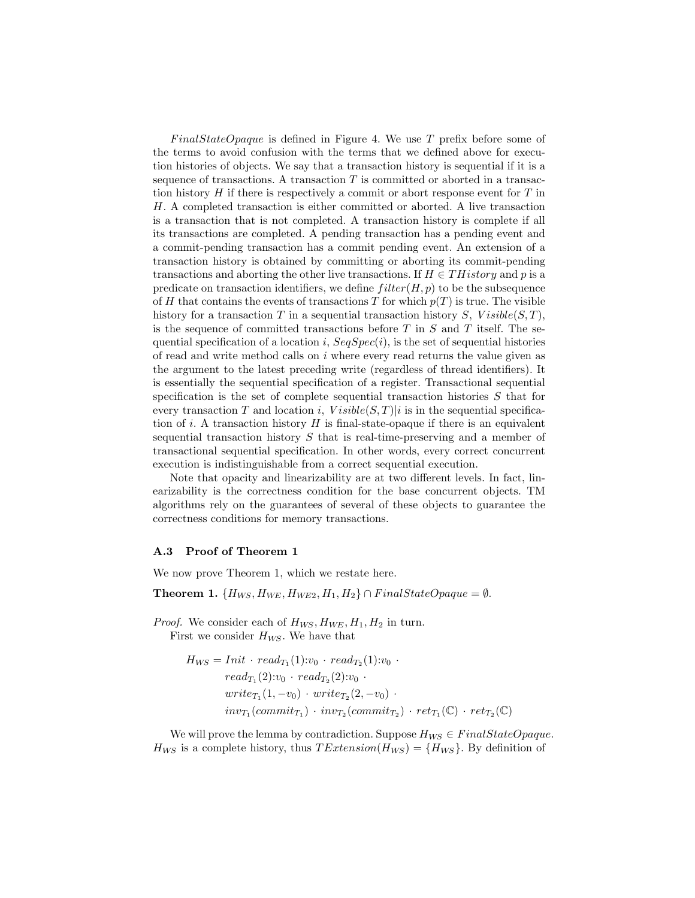$FinalStateOpaque$  is defined in Figure 4. We use T prefix before some of the terms to avoid confusion with the terms that we defined above for execution histories of objects. We say that a transaction history is sequential if it is a sequence of transactions. A transaction  $T$  is committed or aborted in a transaction history  $H$  if there is respectively a commit or abort response event for  $T$  in H. A completed transaction is either committed or aborted. A live transaction is a transaction that is not completed. A transaction history is complete if all its transactions are completed. A pending transaction has a pending event and a commit-pending transaction has a commit pending event. An extension of a transaction history is obtained by committing or aborting its commit-pending transactions and aborting the other live transactions. If  $H \in THistory$  and p is a predicate on transaction identifiers, we define  $filter(H, p)$  to be the subsequence of H that contains the events of transactions T for which  $p(T)$  is true. The visible history for a transaction T in a sequential transaction history  $S$ ,  $Visible(S, T)$ , is the sequence of committed transactions before  $T$  in  $S$  and  $T$  itself. The sequential specification of a location i,  $SeqSpec(i)$ , is the set of sequential histories of read and write method calls on i where every read returns the value given as the argument to the latest preceding write (regardless of thread identifiers). It is essentially the sequential specification of a register. Transactional sequential specification is the set of complete sequential transaction histories S that for every transaction T and location i,  $Visible(S, T)|i$  is in the sequential specification of i. A transaction history  $H$  is final-state-opaque if there is an equivalent sequential transaction history  $S$  that is real-time-preserving and a member of transactional sequential specification. In other words, every correct concurrent execution is indistinguishable from a correct sequential execution.

Note that opacity and linearizability are at two different levels. In fact, linearizability is the correctness condition for the base concurrent objects. TM algorithms rely on the guarantees of several of these objects to guarantee the correctness conditions for memory transactions.

### A.3 Proof of Theorem 1

We now prove Theorem 1, which we restate here.

**Theorem 1.**  $\{H_{WS}, H_{WE}, H_{WE2}, H_1, H_2\} \cap FinalStateOpaque = \emptyset.$ 

*Proof.* We consider each of  $H_{WS}, H_{WE}, H_1, H_2$  in turn. First we consider  $H_{WS}$ . We have that

$$
H_{WS} = Init \cdot read_{T_1}(1): v_0 \cdot read_{T_2}(1): v_0 \cdot read_{T_1}(2): v_0 \cdot read_{T_2}(2): v_0 \cdot
$$
  
\n
$$
write_{T_1}(1, -v_0) \cdot write_{T_2}(2, -v_0) \cdot
$$
  
\n
$$
inv_{T_1}(commit_{T_1}) \cdot inv_{T_2}(commit_{T_2}) \cdot ret_{T_1}(\mathbb{C}) \cdot ret_{T_2}(\mathbb{C})
$$

We will prove the lemma by contradiction. Suppose  $H_{WS} \in FinalStateOpaque$ .  $H_{WS}$  is a complete history, thus  $TExtension(H_{WS}) = {H_{WS}}$ . By definition of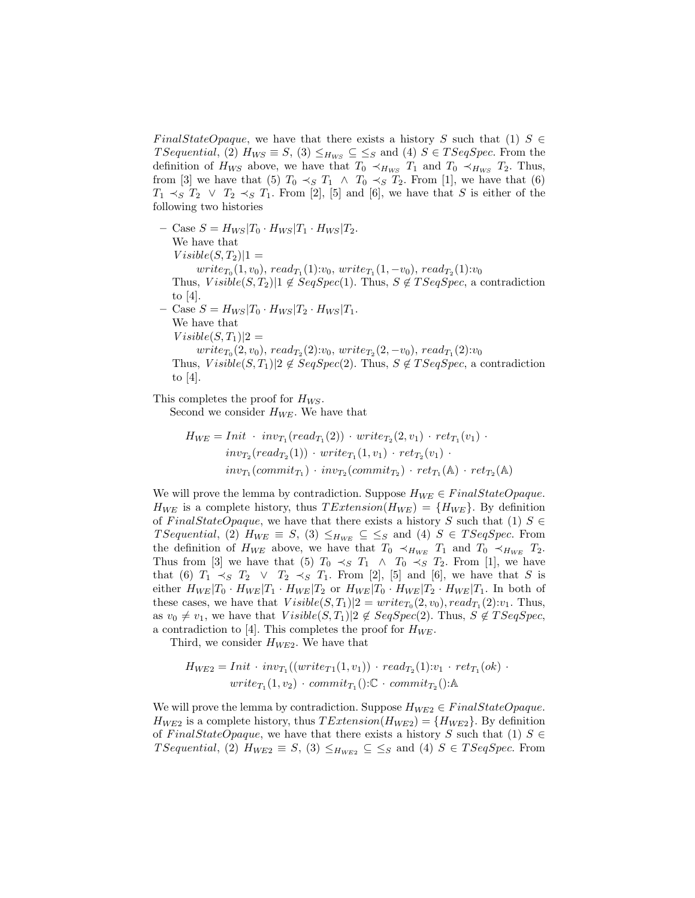FinalStateOpaque, we have that there exists a history S such that (1)  $S \in$ TSequential, (2)  $H_{WS} \equiv S$ , (3)  $\leq_{H_{WS}} \subseteq \leq_S$  and (4)  $S \in TSeqSpec$ . From the definition of  $H_{WS}$  above, we have that  $T_0 \prec_{H_{WS}} T_1$  and  $T_0 \prec_{H_{WS}} T_2$ . Thus, from [3] we have that (5)  $T_0 \prec_S T_1 \land T_0 \prec_S T_2$ . From [1], we have that (6)  $T_1 \prec_S T_2 \vee T_2 \prec_S T_1$ . From [2], [5] and [6], we have that S is either of the following two histories

– Case  $S = H_{WS}|T_0 \cdot H_{WS}|T_1 \cdot H_{WS}|T_2$ . We have that  $Visible(S, T_2)|1 =$  $\text{write}_{T_0}(1, v_0), \text{read}_{T_1}(1) \text{:} v_0, \text{write}_{T_1}(1, -v_0), \text{read}_{T_2}(1) \text{:} v_0$ Thus,  $Visible(S, T_2)|1 \notin SegSpec(1)$ . Thus,  $S \notin TSeqSpec$ , a contradiction to [4]. Case  $S = H_{WS}|T_0 \cdot H_{WS}|T_2 \cdot H_{WS}|T_1$ . We have that  $Visible(S, T_1)|2 =$  $\text{write}_{T_0}(2, v_0), \text{read}_{T_2}(2) \text{:} v_0, \text{write}_{T_2}(2, -v_0), \text{read}_{T_1}(2) \text{:} v_0$ Thus,  $Visible(S, T_1)|2 \notin SegSpec(2)$ . Thus,  $S \notin TSeqSpec$ , a contradiction to [4].

This completes the proof for  $H_{WS}$ .

Second we consider  $H_{WE}$ . We have that

$$
H_{WE} = Init \cdot inv_{T_1}(read_{T_1}(2)) \cdot write_{T_2}(2, v_1) \cdot ret_{T_1}(v_1) \cdot
$$
  
\n
$$
inv_{T_2}(read_{T_2}(1)) \cdot write_{T_1}(1, v_1) \cdot ret_{T_2}(v_1) \cdot
$$
  
\n
$$
inv_{T_1}(commit_{T_1}) \cdot inv_{T_2}(commit_{T_2}) \cdot ret_{T_1}(\mathbb{A}) \cdot ret_{T_2}(\mathbb{A})
$$

We will prove the lemma by contradiction. Suppose  $H_{WE} \in FinalStateOpaque$ .  $H_{WE}$  is a complete history, thus  $TExtension(H_{WE}) = {H_{WE}}$ . By definition of FinalStateOpaque, we have that there exists a history S such that (1)  $S \in$ *TSequential*, (2)  $H_{WE} \equiv S$ , (3)  $\leq_{H_{WE}} \subseteq \leq_S$  and (4)  $S \in TSeqSpec$ . From the definition of  $H_{WE}$  above, we have that  $T_0 \prec_{H_{WE}} T_1$  and  $T_0 \prec_{H_{WE}} T_2$ . Thus from [3] we have that (5)  $T_0 \prec_S T_1 \wedge T_0 \prec_S T_2$ . From [1], we have that (6)  $T_1 \prec_S T_2 \vee T_2 \prec_S T_1$ . From [2], [5] and [6], we have that S is either  $H_{WE}|T_0 \cdot H_{WE}|T_1 \cdot H_{WE}|T_2$  or  $H_{WE}|T_0 \cdot H_{WE}|T_2 \cdot H_{WE}|T_1$ . In both of these cases, we have that  $Visible(S,T_1)|2 = write_{T_0}(2, v_0), read_{T_1}(2):v_1$ . Thus, as  $v_0 \neq v_1$ , we have that  $Visible(S, T_1)|2 \notin SegSpec(2)$ . Thus,  $S \notin TSeqSpec$ , a contradiction to [4]. This completes the proof for  $H_{WE}$ .

Third, we consider  $H_{WE2}$ . We have that

$$
H_{WE2} =Init \cdot inv_{T_1}((write_{T_1}(1, v_1)) \cdot read_{T_2}(1):v_1 \cdot ret_{T_1}(ok) \cdot write_{T_1}(1, v_2) \cdot commit_{T_1}():\mathbb{C} \cdot commit_{T_2}():\mathbb{A}
$$

We will prove the lemma by contradiction. Suppose  $H_{WE2} \in FinalStateOpaque$ .  $H_{WE2}$  is a complete history, thus  $TEx tension(H_{WE2}) = {H_{WE2}}$ . By definition of FinalStateOpaque, we have that there exists a history S such that (1)  $S \in$ TSequential, (2)  $H_{WE2} \equiv S$ , (3)  $\leq_{H_{WE2}} \subseteq S$  and (4)  $S \in TSeqSpec$ . From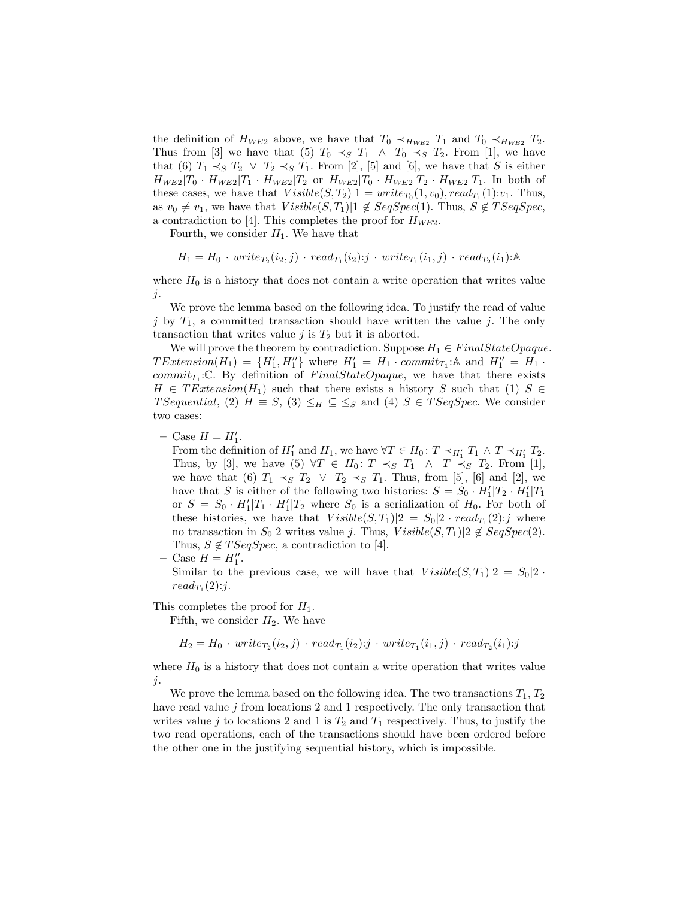the definition of  $H_{WE2}$  above, we have that  $T_0 \prec_{H_{WE2}} T_1$  and  $T_0 \prec_{H_{WE2}} T_2$ . Thus from [3] we have that (5)  $T_0 \prec_S T_1 \wedge T_0 \prec_S T_2$ . From [1], we have that (6)  $T_1 \prec_S T_2 \vee T_2 \prec_S T_1$ . From [2], [5] and [6], we have that S is either  $H_{WE2}|T_0 \cdot H_{WE2}|T_1 \cdot H_{WE2}|T_2$  or  $H_{WE2}|T_0 \cdot H_{WE2}|T_2 \cdot H_{WE2}|T_1$ . In both of these cases, we have that  $Visible(S, T_2)|1 = write_{T_0}(1, v_0)$ ,  $read_{T_1}(1):v_1$ . Thus, as  $v_0 \neq v_1$ , we have that  $Visible(S, T_1)|1 \notin SegSpec(1)$ . Thus,  $S \notin TSeqSpec$ , a contradiction to [4]. This completes the proof for  $H_{WE2}$ .

Fourth, we consider  $H_1$ . We have that

$$
H_1 = H_0 \cdot write_{T_2}(i_2, j) \cdot read_{T_1}(i_2); j \cdot write_{T_1}(i_1, j) \cdot read_{T_2}(i_1): \mathbb{A}
$$

where  $H_0$  is a history that does not contain a write operation that writes value j.

We prove the lemma based on the following idea. To justify the read of value j by  $T_1$ , a committed transaction should have written the value j. The only transaction that writes value  $j$  is  $T_2$  but it is aborted.

We will prove the theorem by contradiction. Suppose  $H_1 \in FinalStateOpaque$ . TExtension(H<sub>1</sub>) = {H<sub>1</sub>, H<sub>1</sub>'} where  $H_1' = H_1 \cdot commit_{T_1}$ : A and  $H_1'' = H_1 \cdot ...$ commit<sub>T1</sub>:  $\mathbb{C}$ . By definition of *FinalStateOpaque*, we have that there exists  $H \in T \mathbb{E}$ *xtension*( $H_1$ ) such that there exists a history S such that (1) S  $\in$ TSequential, (2)  $H \equiv S$ , (3)  $\leq_H \subseteq \leq_S$  and (4)  $S \in TSeqSpec$ . We consider two cases:

# $-$  Case  $H = H'_1$ .

From the definition of  $H'_1$  and  $H_1$ , we have  $\forall T \in H_0: T \prec_{H'_1} T_1 \wedge T \prec_{H'_1} T_2$ . Thus, by [3], we have (5)  $\forall T \in H_0: T \prec_S T_1 \wedge T \prec_S T_2$ . From [1], we have that (6)  $T_1 \prec_S T_2 \vee T_2 \prec_S T_1$ . Thus, from [5], [6] and [2], we have that S is either of the following two histories:  $S = S_0 \cdot H_1' | T_2 \cdot H_1' | T_1$ or  $S = S_0 \cdot H_1' | T_1 \cdot H_1' | T_2$  where  $S_0$  is a serialization of  $H_0$ . For both of these histories, we have that  $Visible(S,T_1)|2 = S_0|2 \cdot read_{T_1}(2)$ : j where no transaction in  $S_0/2$  writes value j. Thus,  $Visible(S, T_1)/2 \notin SeqSpec(2)$ . Thus,  $S \notin TSeqSpec$ , a contradiction to [4].

 $-$  Case  $H = H''_1$ .

Similar to the previous case, we will have that  $Visible(S,T_1)|2 = S_0|2$ .  $read_{T_1}(2):j.$ 

This completes the proof for  $H_1$ .

Fifth, we consider  $H_2$ . We have

 $H_2 = H_0 \cdot write_{T_2}(i_2, j) \cdot read_{T_1}(i_2); j \cdot write_{T_1}(i_1, j) \cdot read_{T_2}(i_1); j$ 

where  $H_0$  is a history that does not contain a write operation that writes value j.

We prove the lemma based on the following idea. The two transactions  $T_1, T_2$ have read value  $j$  from locations 2 and 1 respectively. The only transaction that writes value j to locations 2 and 1 is  $T_2$  and  $T_1$  respectively. Thus, to justify the two read operations, each of the transactions should have been ordered before the other one in the justifying sequential history, which is impossible.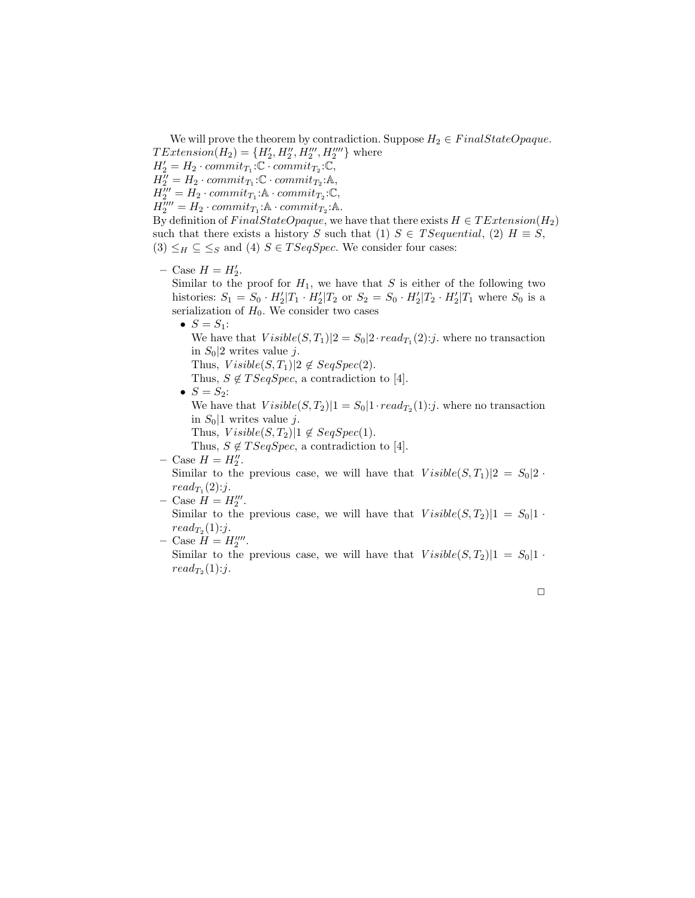We will prove the theorem by contradiction. Suppose  $H_2 \in FinalStateOpaque$ .  $TExtension(H_2) = {H'_2, H''_2, H'''_2, H'''_2}$  where

 $H_2' = H_2 \cdot commit_{T_1} : \mathbb{C} \cdot commit_{T_2} : \mathbb{C},$ 

 $H_2^{\prime\prime} = H_2 \cdot commit_{T_1} : \mathbb{C} \cdot commit_{T_2} : \mathbb{A},$ 

 $H_2^{\prime\prime\prime} = H_2 \cdot commit_{T_1} : \mathbb{A} \cdot commit_{T_2} : \mathbb{C},$ 

 $H_2^{III'} = H_2 \cdot commit_{T_1}$ : A  $\cdot commit_{T_2}$ : A.

By definition of  $FinalStateOpaque$ , we have that there exists  $H \in TExtension(H_2)$ such that there exists a history S such that (1)  $S \in TSequential$ , (2)  $H \equiv S$ ,  $(3) \leq_H \subseteq \leq_S$  and  $(4)$   $S \in TSeqSpec$ . We consider four cases:

– Case  $H = H'_2$ .

Similar to the proof for  $H_1$ , we have that S is either of the following two histories:  $S_1 = S_0 \cdot H_2' | T_1 \cdot H_2' | T_2$  or  $S_2 = S_0 \cdot H_2' | T_2 \cdot H_2' | T_1$  where  $S_0$  is a serialization of  $H_0$ . We consider two cases

•  $S = S_1$ :

We have that  $Visible(S,T_1)|2 = S_0|2 \cdot read_{T_1}(2) : j.$  where no transaction in  $S_0/2$  writes value j.

Thus,  $Visible(S, T_1)|2 \notin SegSpec(2)$ .

Thus,  $S \notin TSeqSpec$ , a contradiction to [4].

•  $S = S_2$ :

We have that  $Visible(S, T_2)|1 = S_0|1 \cdot read_{T_2}(1) : j.$  where no transaction in  $S_0|1$  writes value j.

Thus,  $Visible(S, T_2)|1 \notin SegSpec(1)$ .

Thus,  $S \notin TSeqSpec$ , a contradiction to [4].

- Case  $H = H_2''$ .

Similar to the previous case, we will have that  $Visible(S,T_1)|2 = S_0|2$ .  $read_{T_1}(2):j.$ 

 $-$  Case  $H = H_2'''$ .

Similar to the previous case, we will have that  $Visible(S, T_2)|1 = S_0|1$ .  $read_{T_2}(1):j.$ 

 $-$  Case  $H = H_2''''$ .

Similar to the previous case, we will have that  $Visible(S, T_2)|1 = S_0|1$ .  $read_{T_2}(1):j.$ 

 $\Box$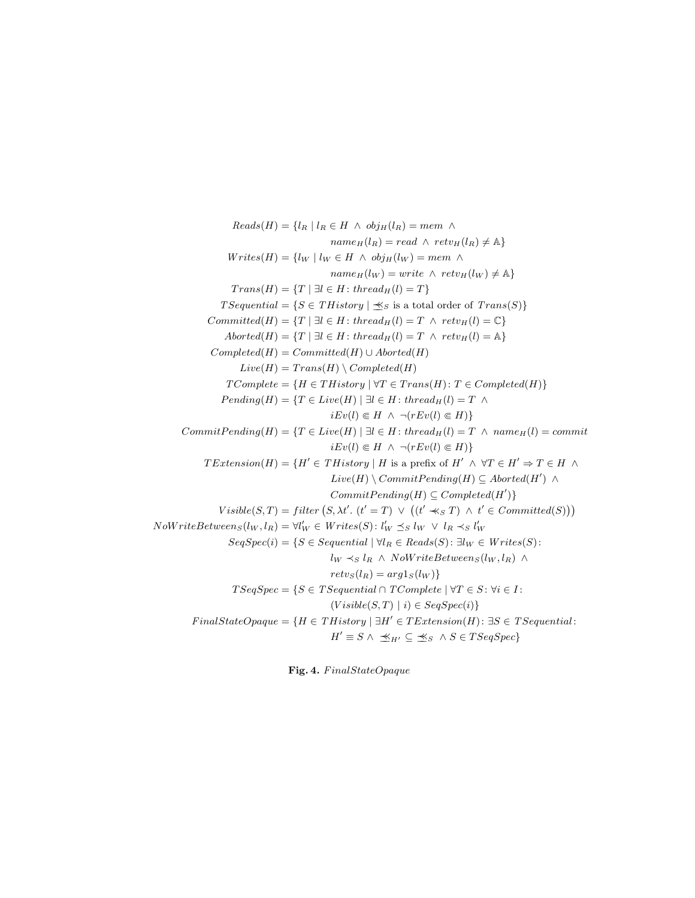$Reads(H) = {l_R | l_R \in H \wedge obj_H(l_R) = mem \wedge}$  $name_H(l_R) = read \wedge retv_H(l_R) \neq \mathbb{A}$  $Writes(H) = \{lw \mid lw \in H \land obj_H(l_W) = mem \land$  $name_H(l_W) = write \wedge return(l_W) \neq \mathbb{A}$  $Trans(H) = \{T \mid \exists l \in H : thread_H(l) = T\}$  $TSequential = \{S \in THistory \mid \underline{\preceq} S \text{ is a total order of } Trans(S)\}\$  $Committed(H) = \{T \mid \exists l \in H : thread_H(l) = T \land retv_H(l) = \mathbb{C}\}$  $Aborted(H) = \{T \mid \exists l \in H : thread_H(l) = T \land retv_H(l) = \mathbb{A}\}$  $Completed(H) = Committee(H) \cup Aborted(H)$  $Live(H) = Trans(H) \setminus Complete(d(H))$  $TComplete = \{H \in THistory \mid \forall T \in Trans(H): T \in Complete(d(H)\}\)$  $Pending(H) = \{T \in Live(H) \mid \exists l \in H : thread_H(l) = T \land$  $iEv(l) \in H \land \neg(rEv(l) \in H)$  $CommitPending(H) = \{T \in Live(H) \mid \exists l \in H : thread_H(l) = T \land name_H(l) = commit$  $iEv(l) \in H \land \neg(rEv(l) \in H)$  $TExtension(H) = {H' \in THistory \mid H \text{ is a prefix of } H' \land \forall T \in H' \Rightarrow T \in H \land$  $Live(H) \setminus CommitPending(H) \subseteq Aborted(H') \wedge$  $CommitPending(H) \subseteq Complete(d(H'))$  $Visible(S, T) = filter(S, \lambda t'. (t' = T) \vee ((t' \prec_S T) \wedge t' \in Committee(S)))$  $Now\,riteBetween_S(l_W, l_R) = \forall l'_W \in \,W\,rites(S): l'_W \preceq_S l_W \ \vee \ l_R \prec_S l'_W$  $SegSpec(i) = \{S \in Sequential \mid \forall l_R \in Reads(S): \exists l_W \in Writes(S):$  $l_W \prec_S l_R$  ∧ NoWriteBetween<sub>S</sub>( $l_W, l_R$ ) ∧  $retv_S(l_R) = arg1_S(l_W)$  $TSeqSpec = \{S \in TSequential \cap TComplete \mid \forall T \in S : \forall i \in I:$  $(Visible(S, T) | i) \in SegSpec(i)$  $FinalStateOpaque = \{H \in THistory \mid \exists H' \in TExtension(H): \exists S \in TSequential:\}$  $H' \equiv S \land \preceq_{H'} \subseteq \preceq_S \land S \in TSeqSpec$ 

Fig. 4. FinalStateOpaque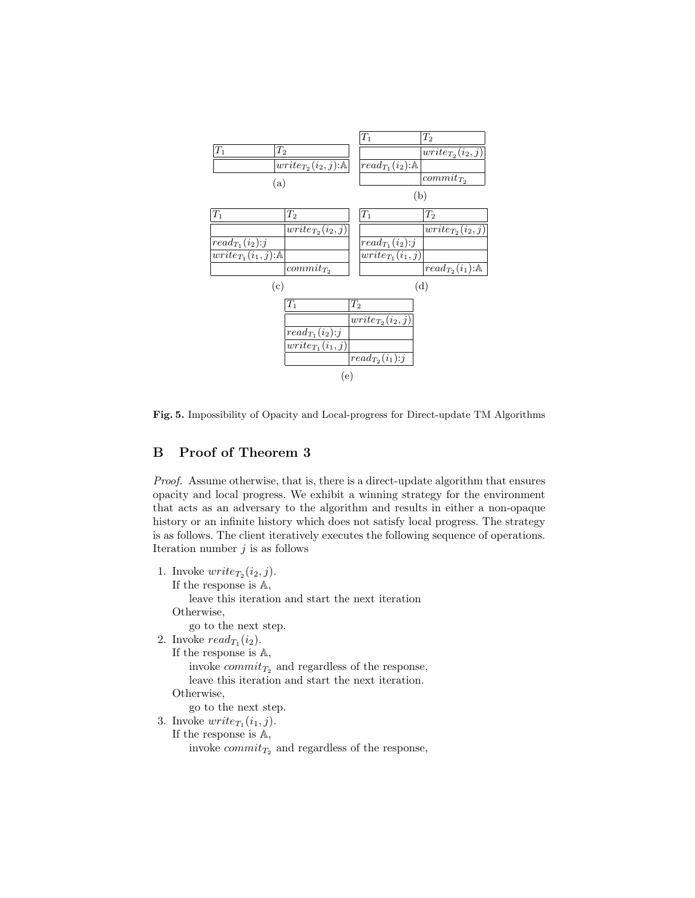

Fig. 5. Impossibility of Opacity and Local-progress for Direct-update TM Algorithms

# B Proof of Theorem 3

Proof. Assume otherwise, that is, there is a direct-update algorithm that ensures opacity and local progress. We exhibit a winning strategy for the environment that acts as an adversary to the algorithm and results in either a non-opaque history or an infinite history which does not satisfy local progress. The strategy is as follows. The client iteratively executes the following sequence of operations. Iteration number  $j$  is as follows

1. Invoke  $write_{T_2}(i_2, j)$ . If the response is A, leave this iteration and start the next iteration Otherwise, go to the next step. 2. Invoke  $read_{T_1}(i_2)$ . If the response is A, invoke  $commit_{T_2}$  and regardless of the response, leave this iteration and start the next iteration. Otherwise, go to the next step. 3. Invoke  $write_{T_1}(i_1, j)$ . If the response is A, invoke  $commit_{T_2}$  and regardless of the response,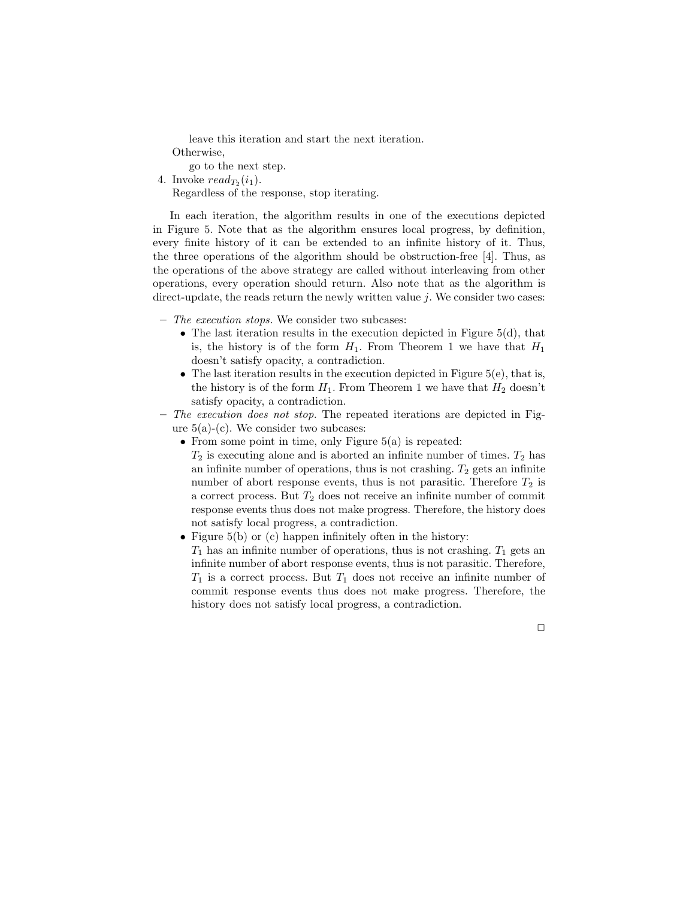leave this iteration and start the next iteration.

Otherwise, go to the next step. 4. Invoke  $read_{T_2}(i_1)$ . Regardless of the response, stop iterating.

In each iteration, the algorithm results in one of the executions depicted in Figure 5. Note that as the algorithm ensures local progress, by definition, every finite history of it can be extended to an infinite history of it. Thus, the three operations of the algorithm should be obstruction-free [4]. Thus, as the operations of the above strategy are called without interleaving from other operations, every operation should return. Also note that as the algorithm is direct-update, the reads return the newly written value  $j$ . We consider two cases:

- The execution stops. We consider two subcases:
	- The last iteration results in the execution depicted in Figure 5(d), that is, the history is of the form  $H_1$ . From Theorem 1 we have that  $H_1$ doesn't satisfy opacity, a contradiction.
	- The last iteration results in the execution depicted in Figure  $5(e)$ , that is, the history is of the form  $H_1$ . From Theorem 1 we have that  $H_2$  doesn't satisfy opacity, a contradiction.
- $-$  The execution does not stop. The repeated iterations are depicted in Figure  $5(a)-(c)$ . We consider two subcases:
	- From some point in time, only Figure 5(a) is repeated:

 $T_2$  is executing alone and is aborted an infinite number of times.  $T_2$  has an infinite number of operations, thus is not crashing.  $T_2$  gets an infinite number of abort response events, thus is not parasitic. Therefore  $T_2$  is a correct process. But  $T_2$  does not receive an infinite number of commit response events thus does not make progress. Therefore, the history does not satisfy local progress, a contradiction.

• Figure  $5(b)$  or (c) happen infinitely often in the history:  $T_1$  has an infinite number of operations, thus is not crashing.  $T_1$  gets an infinite number of abort response events, thus is not parasitic. Therefore,  $T_1$  is a correct process. But  $T_1$  does not receive an infinite number of commit response events thus does not make progress. Therefore, the history does not satisfy local progress, a contradiction.

 $\Box$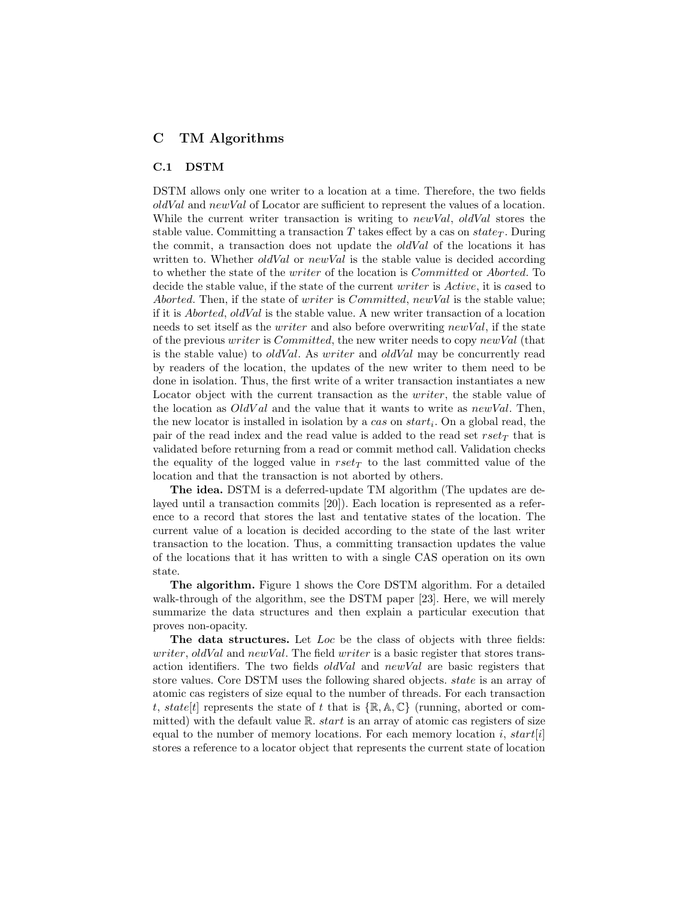## C TM Algorithms

### C.1 DSTM

DSTM allows only one writer to a location at a time. Therefore, the two fields oldVal and newVal of Locator are sufficient to represent the values of a location. While the current writer transaction is writing to  $newVal$ , oldVal stores the stable value. Committing a transaction T takes effect by a cas on  $state_T$ . During the commit, a transaction does not update the oldVal of the locations it has written to. Whether *oldVal* or  $newVal$  is the stable value is decided according to whether the state of the writer of the location is Committed or Aborted. To decide the stable value, if the state of the current *writer* is *Active*, it is cased to Aborted. Then, if the state of writer is *Committed, newVal* is the stable value; if it is Aborted, oldVal is the stable value. A new writer transaction of a location needs to set itself as the *writer* and also before overwriting *newVal*, if the state of the previous *writer* is *Committed*, the new writer needs to copy newVal (that is the stable value) to  $oldVal$ . As writer and  $oldVal$  may be concurrently read by readers of the location, the updates of the new writer to them need to be done in isolation. Thus, the first write of a writer transaction instantiates a new Locator object with the current transaction as the writer, the stable value of the location as  $OldVal$  and the value that it wants to write as newVal. Then, the new locator is installed in isolation by a cas on  $start_i$ . On a global read, the pair of the read index and the read value is added to the read set  $rset<sub>T</sub>$  that is validated before returning from a read or commit method call. Validation checks the equality of the logged value in  $rset_T$  to the last committed value of the location and that the transaction is not aborted by others.

The idea. DSTM is a deferred-update TM algorithm (The updates are delayed until a transaction commits [20]). Each location is represented as a reference to a record that stores the last and tentative states of the location. The current value of a location is decided according to the state of the last writer transaction to the location. Thus, a committing transaction updates the value of the locations that it has written to with a single CAS operation on its own state.

The algorithm. Figure 1 shows the Core DSTM algorithm. For a detailed walk-through of the algorithm, see the DSTM paper [23]. Here, we will merely summarize the data structures and then explain a particular execution that proves non-opacity.

The data structures. Let Loc be the class of objects with three fields: writer, oldVal and newVal. The field writer is a basic register that stores transaction identifiers. The two fields  $oldVal$  and  $newVal$  are basic registers that store values. Core DSTM uses the following shared objects. *state* is an array of atomic cas registers of size equal to the number of threads. For each transaction t, state[t] represents the state of t that is  $\{\mathbb{R}, \mathbb{A}, \mathbb{C}\}\$  (running, aborted or committed) with the default value  $\mathbb{R}$ . start is an array of atomic cas registers of size equal to the number of memory locations. For each memory location i,  $start[i]$ stores a reference to a locator object that represents the current state of location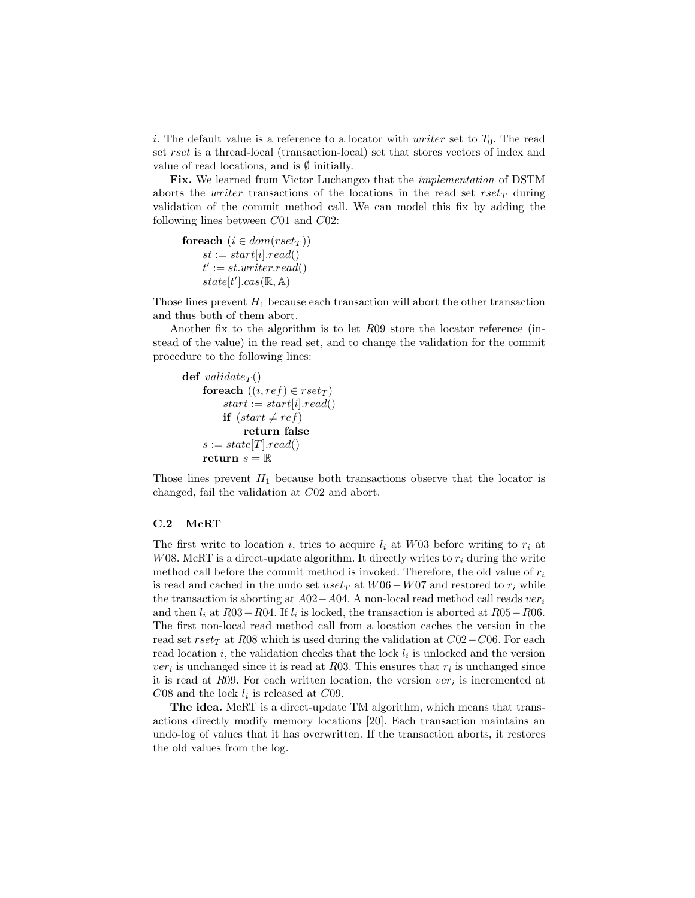i. The default value is a reference to a locator with *writer* set to  $T_0$ . The read set rset is a thread-local (transaction-local) set that stores vectors of index and value of read locations, and is  $\emptyset$  initially.

Fix. We learned from Victor Luchangco that the implementation of DSTM aborts the *writer* transactions of the locations in the read set  $rset_T$  during validation of the commit method call. We can model this fix by adding the following lines between C01 and C02:

foreach  $(i \in dom(rset_T))$  $st := start[i].read()$  $t' := st.write, read()$  $state[t'].cas(\mathbb{R}, \mathbb{A})$ 

Those lines prevent  $H_1$  because each transaction will abort the other transaction and thus both of them abort.

Another fix to the algorithm is to let R09 store the locator reference (instead of the value) in the read set, and to change the validation for the commit procedure to the following lines:

```
\det validate\tau()
    foreach ((i, ref) \in \text{rset}_T)start := start[i].read()if (start \neq ref)return false
    s := state[T].read()return s = \mathbb{R}
```
Those lines prevent  $H_1$  because both transactions observe that the locator is changed, fail the validation at C02 and abort.

### C.2 McRT

The first write to location i, tries to acquire  $l_i$  at  $W03$  before writing to  $r_i$  at  $W08$ . McRT is a direct-update algorithm. It directly writes to  $r_i$  during the write method call before the commit method is invoked. Therefore, the old value of  $r_i$ is read and cached in the undo set  $uset_T$  at  $W06-W07$  and restored to  $r_i$  while the transaction is aborting at  $A02-A04$ . A non-local read method call reads  $ver_i$ and then  $l_i$  at  $R03-R04$ . If  $l_i$  is locked, the transaction is aborted at  $R05-R06$ . The first non-local read method call from a location caches the version in the read set rset<sub>T</sub> at R08 which is used during the validation at  $C02-C06$ . For each read location  $i$ , the validation checks that the lock  $l_i$  is unlocked and the version  $ver_i$  is unchanged since it is read at R03. This ensures that  $r_i$  is unchanged since it is read at R09. For each written location, the version  $ver_i$  is incremented at  $C08$  and the lock  $l_i$  is released at  $C09$ .

The idea. McRT is a direct-update TM algorithm, which means that transactions directly modify memory locations [20]. Each transaction maintains an undo-log of values that it has overwritten. If the transaction aborts, it restores the old values from the log.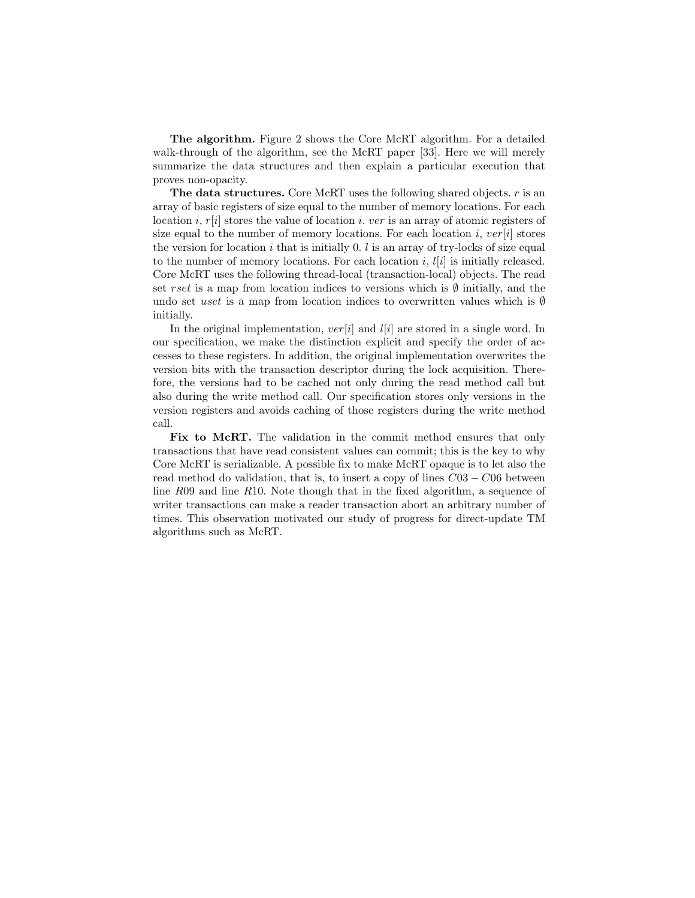The algorithm. Figure 2 shows the Core McRT algorithm. For a detailed walk-through of the algorithm, see the McRT paper [33]. Here we will merely summarize the data structures and then explain a particular execution that proves non-opacity.

The data structures. Core McRT uses the following shared objects.  $r$  is an array of basic registers of size equal to the number of memory locations. For each location i,  $r[i]$  stores the value of location i, ver is an array of atomic registers of size equal to the number of memory locations. For each location i, ver $[i]$  stores the version for location  $i$  that is initially 0.  $l$  is an array of try-locks of size equal to the number of memory locations. For each location  $i, l[i]$  is initially released. Core McRT uses the following thread-local (transaction-local) objects. The read set rset is a map from location indices to versions which is  $\emptyset$  initially, and the undo set uset is a map from location indices to overwritten values which is  $\emptyset$ initially.

In the original implementation,  $ver[i]$  and  $l[i]$  are stored in a single word. In our specification, we make the distinction explicit and specify the order of accesses to these registers. In addition, the original implementation overwrites the version bits with the transaction descriptor during the lock acquisition. Therefore, the versions had to be cached not only during the read method call but also during the write method call. Our specification stores only versions in the version registers and avoids caching of those registers during the write method call.

Fix to McRT. The validation in the commit method ensures that only transactions that have read consistent values can commit; this is the key to why Core McRT is serializable. A possible fix to make McRT opaque is to let also the read method do validation, that is, to insert a copy of lines  $C03 - C06$  between line R09 and line R10. Note though that in the fixed algorithm, a sequence of writer transactions can make a reader transaction abort an arbitrary number of times. This observation motivated our study of progress for direct-update TM algorithms such as McRT.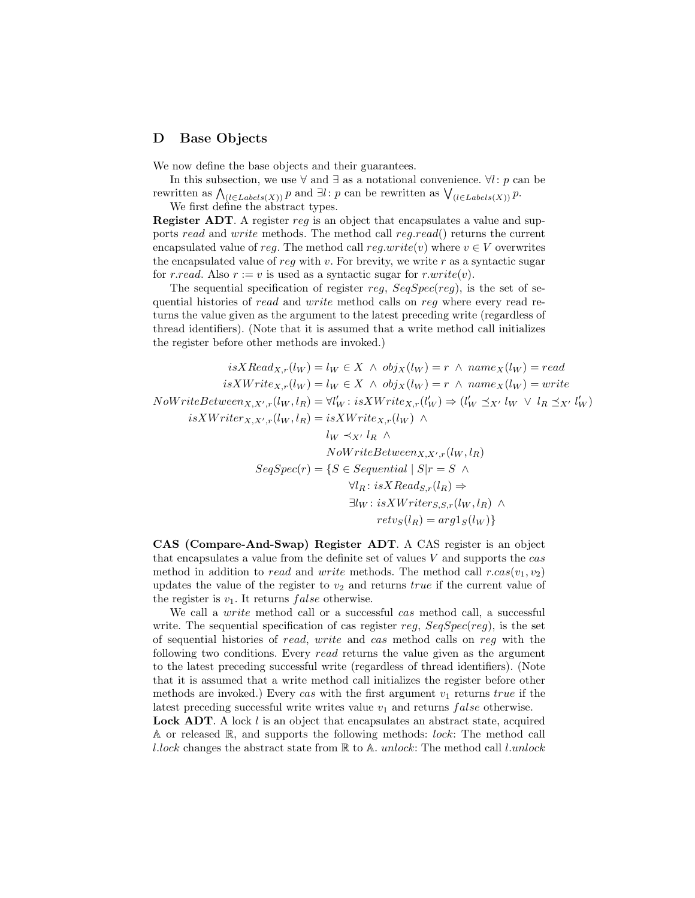## D Base Objects

We now define the base objects and their guarantees.

In this subsection, we use  $\forall$  and  $\exists$  as a notational convenience.  $\forall l: p$  can be rewritten as  $\bigwedge_{(l \in \text{Label}_S(X))} p$  and  $\exists l : p$  can be rewritten as  $\bigvee_{(l \in \text{Label}_S(X))} p$ .

We first define the abstract types. Register ADT. A register reg is an object that encapsulates a value and supports read and write methods. The method call reg.read() returns the current encapsulated value of reg. The method call reg.write $(v)$  where  $v \in V$  overwrites the encapsulated value of reg with  $v$ . For brevity, we write r as a syntactic sugar for r.read. Also  $r := v$  is used as a syntactic sugar for r.write(v).

The sequential specification of register reg,  $SegSpec(req)$ , is the set of sequential histories of read and write method calls on reg where every read returns the value given as the argument to the latest preceding write (regardless of thread identifiers). (Note that it is assumed that a write method call initializes the register before other methods are invoked.)

$$
isXRead_{X,r}(l_W) = l_W \in X \land obj_X(l_W) = r \land name_X(l_W) = read
$$
  
\n
$$
isXWrite_{X,r}(l_W) = l_W \in X \land obj_X(l_W) = r \land name_X(l_W) = write
$$
  
\n
$$
NowriteBetween_{X,X',r}(l_W, l_R) = \forall l'_W : isXWrite_{X,r}(l'_W) \Rightarrow (l'_W \preceq_{X'} l_W \lor l_R \preceq_{X'} l'_W)
$$
  
\n
$$
isXWriter_{X,X',r}(l_W, l_R) = isXWrite_{X,r}(l_W) \land
$$
  
\n
$$
l_W \prec_{X'} l_R \land
$$
  
\n
$$
NowriteBetween_{X,X',r}(l_W, l_R)
$$
  
\n
$$
SeqSpec(r) = \{S \in Sequential \mid S | r = S \land
$$
  
\n
$$
\forall l_R : isXRead_{S,r}(l_R) \Rightarrow
$$
  
\n
$$
\exists l_W : isXWriter_{S,S,r}(l_W, l_R) \land
$$
  
\n
$$
retvs(l_R) = arg1_S(l_W)\}
$$

CAS (Compare-And-Swap) Register ADT. A CAS register is an object that encapsulates a value from the definite set of values V and supports the cas method in addition to *read* and *write* methods. The method call  $r.cas(v_1, v_2)$ updates the value of the register to  $v_2$  and returns true if the current value of the register is  $v_1$ . It returns  $false$  otherwise.

We call a *write* method call or a successful *cas* method call, a successful write. The sequential specification of cas register reg,  $SeaSpec(req)$ , is the set of sequential histories of read, write and cas method calls on reg with the following two conditions. Every read returns the value given as the argument to the latest preceding successful write (regardless of thread identifiers). (Note that it is assumed that a write method call initializes the register before other methods are invoked.) Every cas with the first argument  $v_1$  returns true if the latest preceding successful write writes value  $v_1$  and returns false otherwise.

Lock ADT. A lock l is an object that encapsulates an abstract state, acquired A or released R, and supports the following methods: lock: The method call *l.lock* changes the abstract state from  $\mathbb R$  to  $\mathbb A$ . unlock: The method call *l.unlock*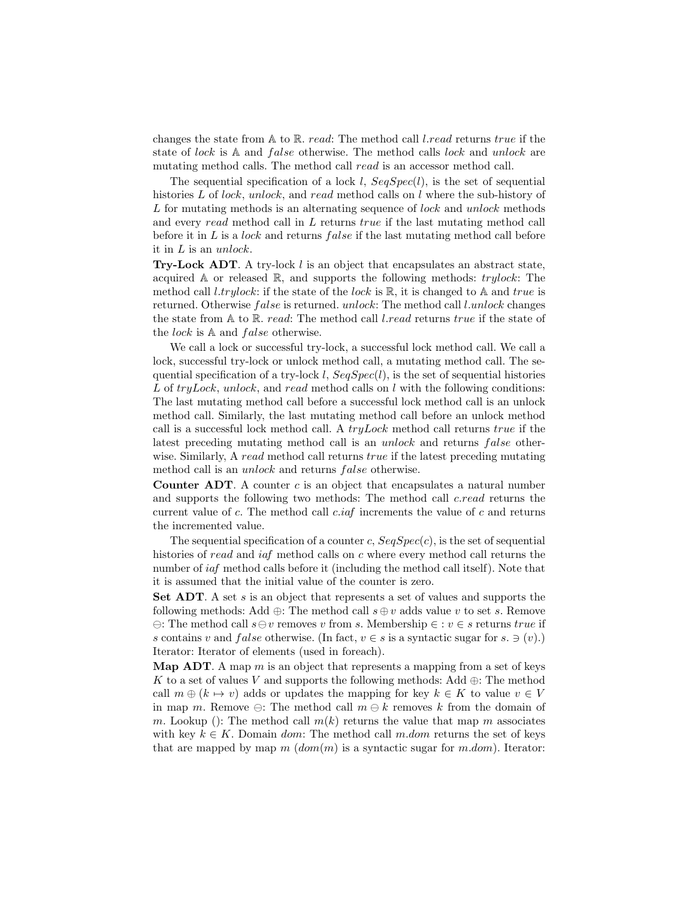changes the state from  $\mathbb A$  to  $\mathbb R$ . read: The method call l.read returns true if the state of lock is  $A$  and false otherwise. The method calls lock and unlock are mutating method calls. The method call read is an accessor method call.

The sequential specification of a lock l,  $SeqSpec(l)$ , is the set of sequential histories L of lock, unlock, and read method calls on l where the sub-history of L for mutating methods is an alternating sequence of lock and unlock methods and every read method call in L returns true if the last mutating method call before it in  $L$  is a *lock* and returns *false* if the last mutating method call before it in L is an unlock.

**Try-Lock ADT.** A try-lock  $l$  is an object that encapsulates an abstract state, acquired  $A$  or released  $\mathbb{R}$ , and supports the following methods: *trylock*: The method call *l.trylock*: if the state of the *lock* is  $\mathbb{R}$ , it is changed to A and *true* is returned. Otherwise false is returned. unlock: The method call *l.unlock* changes the state from A to R. read: The method call *l.read* returns true if the state of the *lock* is A and *false* otherwise.

We call a lock or successful try-lock, a successful lock method call. We call a lock, successful try-lock or unlock method call, a mutating method call. The sequential specification of a try-lock l,  $SeqSpec(l)$ , is the set of sequential histories L of  $tryLock$ , unlock, and read method calls on l with the following conditions: The last mutating method call before a successful lock method call is an unlock method call. Similarly, the last mutating method call before an unlock method call is a successful lock method call. A tryLock method call returns true if the latest preceding mutating method call is an *unlock* and returns false otherwise. Similarly, A read method call returns true if the latest preceding mutating method call is an *unlock* and returns *false* otherwise.

**Counter ADT.** A counter  $c$  is an object that encapsulates a natural number and supports the following two methods: The method call c.read returns the current value of  $c$ . The method call  $c.id$  increments the value of  $c$  and returns the incremented value.

The sequential specification of a counter c,  $SegSpec(c)$ , is the set of sequential histories of  $read$  and  $iaf$  method calls on  $c$  where every method call returns the number of *iaf* method calls before it (including the method call itself). Note that it is assumed that the initial value of the counter is zero.

Set ADT. A set s is an object that represents a set of values and supports the following methods: Add  $\oplus$ : The method call  $s \oplus v$  adds value v to set s. Remove  $\ominus$ : The method call  $s \ominus v$  removes v from s. Membership  $\in : v \in s$  returns true if s contains v and false otherwise. (In fact,  $v \in s$  is a syntactic sugar for  $s \in (v)$ .) Iterator: Iterator of elements (used in foreach).

**Map ADT.** A map  $m$  is an object that represents a mapping from a set of keys K to a set of values V and supports the following methods: Add  $\oplus$ : The method call  $m \oplus (k \mapsto v)$  adds or updates the mapping for key  $k \in K$  to value  $v \in V$ in map m. Remove  $\ominus$ : The method call  $m \ominus k$  removes k from the domain of m. Lookup (): The method call  $m(k)$  returns the value that map m associates with key  $k \in K$ . Domain dom: The method call m.dom returns the set of keys that are mapped by map m  $dom(m)$  is a syntactic sugar for m.dom). Iterator: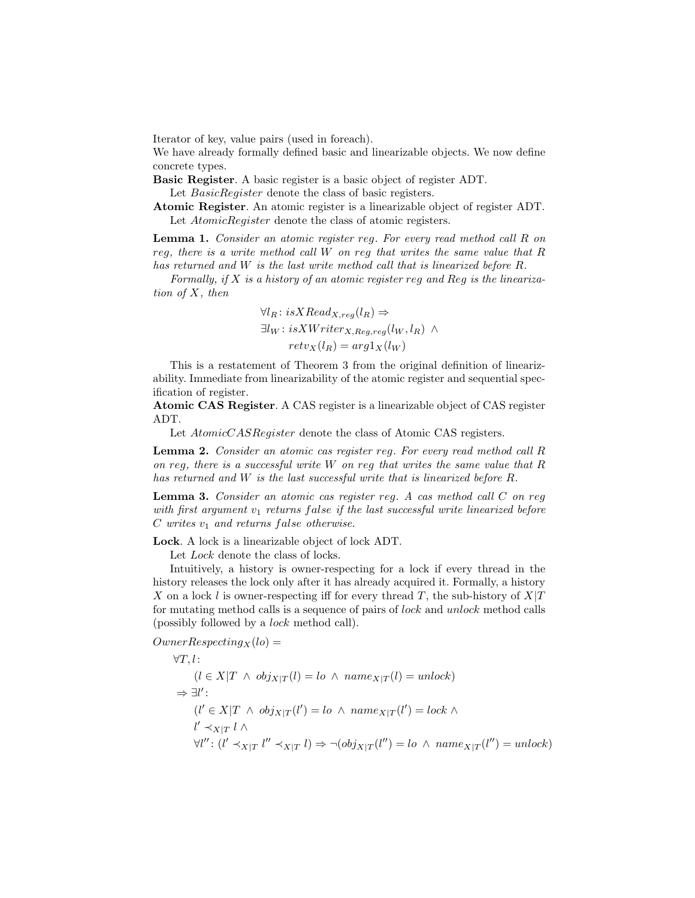Iterator of key, value pairs (used in foreach).

We have already formally defined basic and linearizable objects. We now define concrete types.

Basic Register. A basic register is a basic object of register ADT.

Let *BasicRegister* denote the class of basic registers.

Atomic Register. An atomic register is a linearizable object of register ADT. Let *AtomicRegister* denote the class of atomic registers.

Lemma 1. Consider an atomic register reg. For every read method call R on reg, there is a write method call W on reg that writes the same value that R has returned and W is the last write method call that is linearized before R.

Formally, if  $X$  is a history of an atomic register reg and Reg is the linearization of  $X$ , then

> $\forall l_R : is X Read_{X,req}(l_R) \Rightarrow$  $\exists l_W : \textit{isXWriter}_{X, \textit{Rea}, \textit{req}}(l_W, l_R) \; \wedge$  $retv_X(l_B) = arg1_X(l_W)$

This is a restatement of Theorem 3 from the original definition of linearizability. Immediate from linearizability of the atomic register and sequential specification of register.

Atomic CAS Register. A CAS register is a linearizable object of CAS register ADT.

Let *AtomicCASRegister* denote the class of Atomic CAS registers.

Lemma 2. Consider an atomic cas register reg. For every read method call R on reg, there is a successful write W on reg that writes the same value that R has returned and W is the last successful write that is linearized before R.

Lemma 3. Consider an atomic cas register reg. A cas method call C on reg with first argument  $v_1$  returns false if the last successful write linearized before  $C$  writes  $v_1$  and returns false otherwise.

Lock. A lock is a linearizable object of lock ADT.

Let *Lock* denote the class of locks.

Intuitively, a history is owner-respecting for a lock if every thread in the history releases the lock only after it has already acquired it. Formally, a history X on a lock l is owner-respecting iff for every thread T, the sub-history of  $X|T$ for mutating method calls is a sequence of pairs of lock and unlock method calls (possibly followed by a lock method call).

 $OwnerRespeting_X(lo) =$ 

 $\forall T, l$ :  $(l \in X | T \wedge obj_{X|T}(l) = lo \wedge name_{X|T}(l) = unlock)$  $\Rightarrow \exists l'$ :  $(l' \in X | T \wedge obj_{X|T}(l') = lo \wedge name_{X|T}(l') = lock \wedge$  $l' \prec_{X|T} l \wedge$  $\forall l'': (l' \prec_{X|T} l'' \prec_{X|T} l) \Rightarrow \neg(obj_{X|T}(l'') = lo \land name_{X|T}(l'') = unlock)$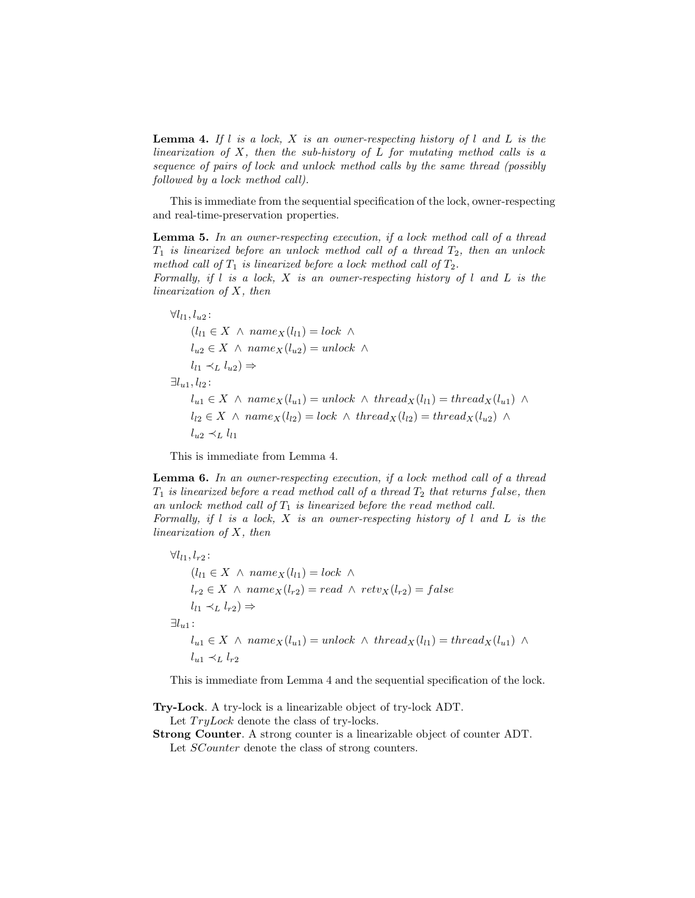**Lemma 4.** If l is a lock, X is an owner-respecting history of l and L is the linearization of X, then the sub-history of  $L$  for mutating method calls is a sequence of pairs of lock and unlock method calls by the same thread (possibly followed by a lock method call).

This is immediate from the sequential specification of the lock, owner-respecting and real-time-preservation properties.

Lemma 5. In an owner-respecting execution, if a lock method call of a thread  $T_1$  is linearized before an unlock method call of a thread  $T_2$ , then an unlock method call of  $T_1$  is linearized before a lock method call of  $T_2$ . Formally, if l is a lock,  $X$  is an owner-respecting history of l and  $L$  is the linearization of X, then

 $\forall l_{11}, l_{u2}$ :  $(l_{l1} \in X \ \wedge \ name_X(l_{l1}) = lock \ \wedge$  $l_{u2} \in X \land name_X(l_{u2}) = unlock \land$  $l_{l1} \prec_L l_{u2} \implies$  $\exists l_{u1}, l_{l2}$ :  $l_{u1} \in X \land name_X(l_{u1}) = unlock \land thread_X(l_{u1}) = thread_X(l_{u1}) \land$  $l_{l2} \in X \land name_X(l_{l2}) = lock \land thread_X(l_{l2}) = thread_X(l_{u2}) \land$  $l_{u2} \prec_L l_{l1}$ 

This is immediate from Lemma 4.

Lemma 6. In an owner-respecting execution, if a lock method call of a thread  $T_1$  is linearized before a read method call of a thread  $T_2$  that returns false, then an unlock method call of  $T_1$  is linearized before the read method call. Formally, if  $l$  is a lock,  $X$  is an owner-respecting history of  $l$  and  $L$  is the linearization of X, then

 $\forall l_{l1}, l_{r2}$ :  $(l_{l1} \in X \land name_X(l_{l1}) = lock \land$  $l_{r2} \in X \land name_X(l_{r2}) = read \land retv_X(l_{r2}) = false$  $l_{l1} \prec_L l_{r2}) \Rightarrow$  $\exists l_{u1}$ :  $l_{u1} \in X \land name_X(l_{u1}) = unlock \land thread_X(l_{u1}) = thread_X(l_{u1}) \land$  $l_{u1} \prec_L l_{r2}$ 

This is immediate from Lemma 4 and the sequential specification of the lock.

Try-Lock. A try-lock is a linearizable object of try-lock ADT.

Let  $TryLock$  denote the class of try-locks.

Strong Counter. A strong counter is a linearizable object of counter ADT. Let *SCounter* denote the class of strong counters.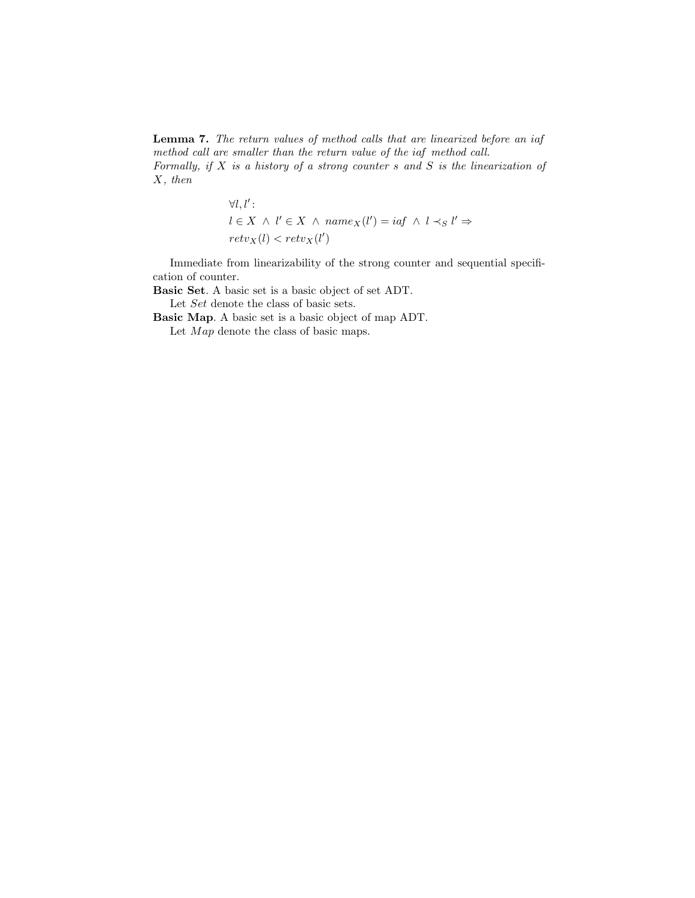Lemma 7. The return values of method calls that are linearized before an iaf method call are smaller than the return value of the iaf method call. Formally, if  $X$  is a history of a strong counter  $s$  and  $S$  is the linearization of X, then

$$
\forall l, l':
$$
  

$$
l \in X \ \land \ l' \in X \ \land \ name_X(l') = iaf \ \land \ l \prec_S l' \Rightarrow
$$
  

$$
retv_X(l) < retv_X(l')
$$

Immediate from linearizability of the strong counter and sequential specification of counter.

Basic Set. A basic set is a basic object of set ADT.

Let Set denote the class of basic sets.

Basic Map. A basic set is a basic object of map ADT.

Let  $Map$  denote the class of basic maps.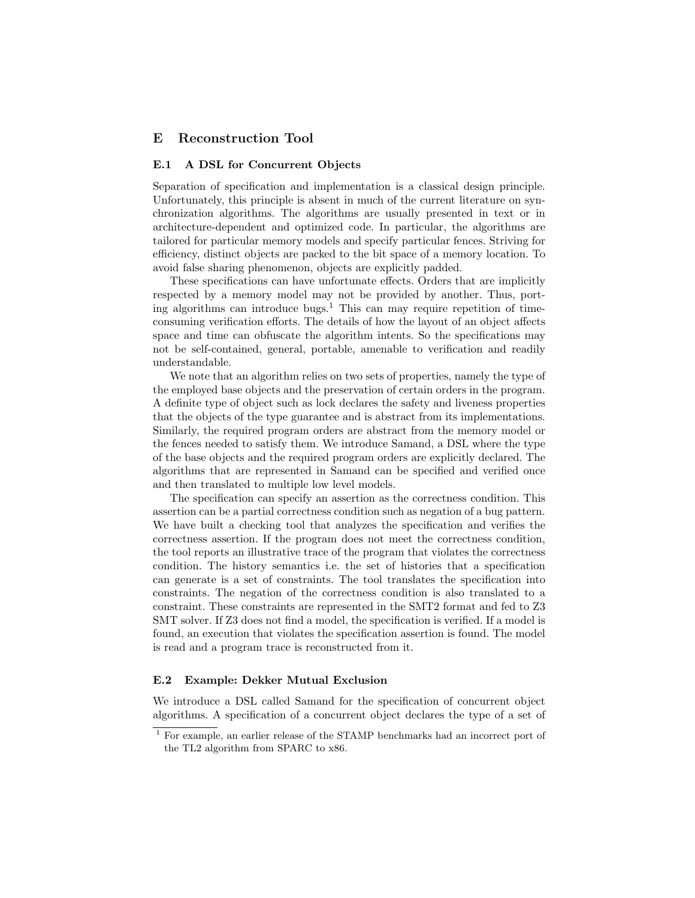## E Reconstruction Tool

### E.1 A DSL for Concurrent Objects

Separation of specification and implementation is a classical design principle. Unfortunately, this principle is absent in much of the current literature on synchronization algorithms. The algorithms are usually presented in text or in architecture-dependent and optimized code. In particular, the algorithms are tailored for particular memory models and specify particular fences. Striving for efficiency, distinct objects are packed to the bit space of a memory location. To avoid false sharing phenomenon, objects are explicitly padded.

These specifications can have unfortunate effects. Orders that are implicitly respected by a memory model may not be provided by another. Thus, porting algorithms can introduce bugs.<sup>1</sup> This can may require repetition of timeconsuming verification efforts. The details of how the layout of an object affects space and time can obfuscate the algorithm intents. So the specifications may not be self-contained, general, portable, amenable to verification and readily understandable.

We note that an algorithm relies on two sets of properties, namely the type of the employed base objects and the preservation of certain orders in the program. A definite type of object such as lock declares the safety and liveness properties that the objects of the type guarantee and is abstract from its implementations. Similarly, the required program orders are abstract from the memory model or the fences needed to satisfy them. We introduce Samand, a DSL where the type of the base objects and the required program orders are explicitly declared. The algorithms that are represented in Samand can be specified and verified once and then translated to multiple low level models.

The specification can specify an assertion as the correctness condition. This assertion can be a partial correctness condition such as negation of a bug pattern. We have built a checking tool that analyzes the specification and verifies the correctness assertion. If the program does not meet the correctness condition, the tool reports an illustrative trace of the program that violates the correctness condition. The history semantics i.e. the set of histories that a specification can generate is a set of constraints. The tool translates the specification into constraints. The negation of the correctness condition is also translated to a constraint. These constraints are represented in the SMT2 format and fed to Z3 SMT solver. If Z3 does not find a model, the specification is verified. If a model is found, an execution that violates the specification assertion is found. The model is read and a program trace is reconstructed from it.

### E.2 Example: Dekker Mutual Exclusion

We introduce a DSL called Samand for the specification of concurrent object algorithms. A specification of a concurrent object declares the type of a set of

<sup>1</sup> For example, an earlier release of the STAMP benchmarks had an incorrect port of the TL2 algorithm from SPARC to x86.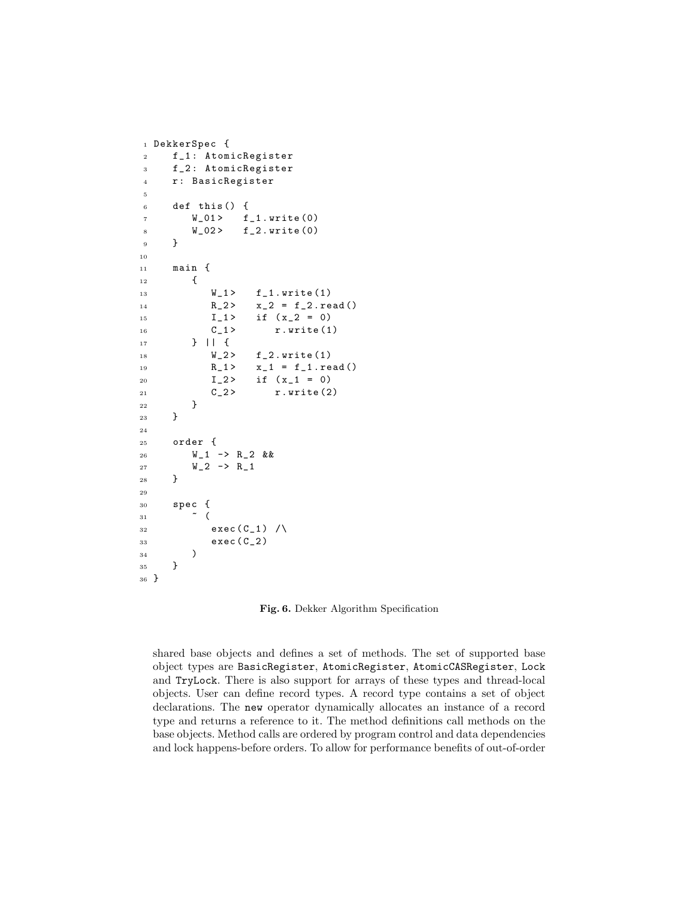```
1 DekkerSpec {
2 f_1 : AtomicRegister
3 f_2 : AtomicRegister
4 r: BasicRegister
5
6 def this () {
V = W_0 1 V = 1. write (0)8 W_002> f<sub>-</sub>2.write (0)
9 }
10
11 main {
12 {
13 W_1 > f_1 . write (1)
14 R_2 > x_2 = f_2 . read()15 I_1 > if (x_2 = 0)16 C_1> r.write (1)
17 } || {
18 W_2 > f_2. write (1)
19 R_1 > x_1 = f_1 . read()20 I_2 > if (x_1 = 0)21 C_2 C_2 r. write (2)22 }
23 }
24
25 order {
26 W_1 -> R_2 &&
27 W_2 -> R<sub>-1</sub>
28 }
29
30 spec {
31 \sim (
32 exec (C_1) /
33 exec (C_2)34 )
35 }
36 }
```
Fig. 6. Dekker Algorithm Specification

shared base objects and defines a set of methods. The set of supported base object types are BasicRegister, AtomicRegister, AtomicCASRegister, Lock and TryLock. There is also support for arrays of these types and thread-local objects. User can define record types. A record type contains a set of object declarations. The new operator dynamically allocates an instance of a record type and returns a reference to it. The method definitions call methods on the base objects. Method calls are ordered by program control and data dependencies and lock happens-before orders. To allow for performance benefits of out-of-order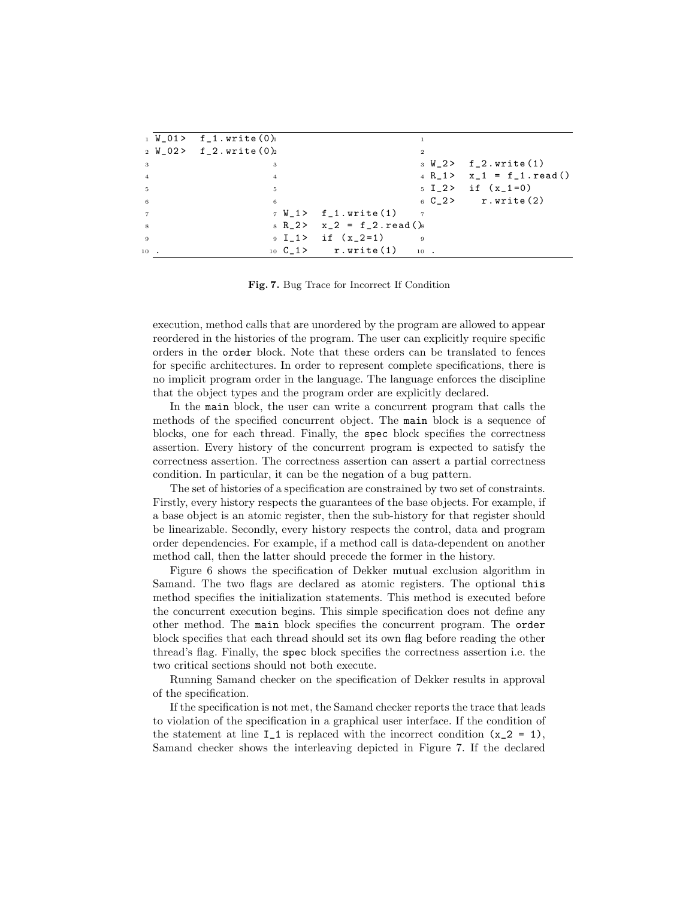|                         | $_1$ W_01> f_1.write(0)            |                                         | $\overline{1}$ |                                   |
|-------------------------|------------------------------------|-----------------------------------------|----------------|-----------------------------------|
|                         | 2 $W_0$ 02> f $_2$ . write $(0)_2$ |                                         | $\overline{2}$ |                                   |
| $\overline{\mathbf{3}}$ | 3                                  |                                         |                | $_3$ W_2> f_2.write $(1)$         |
| $\overline{4}$          | $\overline{4}$                     |                                         |                | $4 R_1 > x_1 = f_1 \text{. read}$ |
| $5\phantom{.0}$         | 5                                  |                                         |                | $5 L_2$ if $(x_1=0)$              |
| 6                       | 6                                  |                                         |                | $6 C_2$ r.write $(2)$             |
| $\overline{7}$          |                                    | $7 W_1 > f_1.$ write $(1)$              |                |                                   |
| $\mathbf{8}$            |                                    | $R_2 > x_2 = f_2.read(k)$               |                |                                   |
| $\overline{9}$          |                                    | $9 \text{ I}_1 > \text{ if } (x_2=1)$ 9 |                |                                   |
| 10 .                    |                                    | $_{10}$ C_1> r.write(1) $_{10}$ .       |                |                                   |
|                         |                                    |                                         |                |                                   |

Fig. 7. Bug Trace for Incorrect If Condition

execution, method calls that are unordered by the program are allowed to appear reordered in the histories of the program. The user can explicitly require specific orders in the order block. Note that these orders can be translated to fences for specific architectures. In order to represent complete specifications, there is no implicit program order in the language. The language enforces the discipline that the object types and the program order are explicitly declared.

In the main block, the user can write a concurrent program that calls the methods of the specified concurrent object. The main block is a sequence of blocks, one for each thread. Finally, the spec block specifies the correctness assertion. Every history of the concurrent program is expected to satisfy the correctness assertion. The correctness assertion can assert a partial correctness condition. In particular, it can be the negation of a bug pattern.

The set of histories of a specification are constrained by two set of constraints. Firstly, every history respects the guarantees of the base objects. For example, if a base object is an atomic register, then the sub-history for that register should be linearizable. Secondly, every history respects the control, data and program order dependencies. For example, if a method call is data-dependent on another method call, then the latter should precede the former in the history.

Figure 6 shows the specification of Dekker mutual exclusion algorithm in Samand. The two flags are declared as atomic registers. The optional this method specifies the initialization statements. This method is executed before the concurrent execution begins. This simple specification does not define any other method. The main block specifies the concurrent program. The order block specifies that each thread should set its own flag before reading the other thread's flag. Finally, the spec block specifies the correctness assertion i.e. the two critical sections should not both execute.

Running Samand checker on the specification of Dekker results in approval of the specification.

If the specification is not met, the Samand checker reports the trace that leads to violation of the specification in a graphical user interface. If the condition of the statement at line  $I_1$  is replaced with the incorrect condition  $(x_2 = 1)$ , Samand checker shows the interleaving depicted in Figure 7. If the declared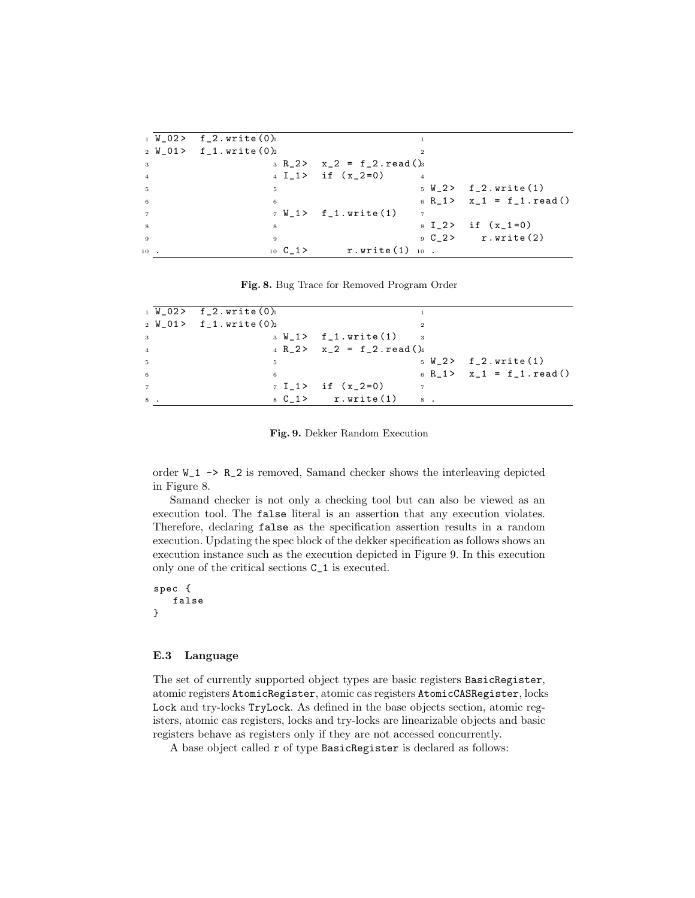|                 | $_1$ W_02> f_2.write $(0)_1$   |                                                   |                                                               |
|-----------------|--------------------------------|---------------------------------------------------|---------------------------------------------------------------|
|                 | 2 $W_0$ 01> f_1. write $(0)_2$ |                                                   |                                                               |
| $\mathbf{3}$    |                                | $R_2 > x_2 = f_2.read$ ()                         |                                                               |
| $\overline{4}$  |                                | $\frac{1}{4}$ I_1> if $(x_2=0)$<br>$\overline{4}$ |                                                               |
| $5\phantom{.0}$ | 5                              |                                                   | $5 W_2$ > f_2. write $(1)$                                    |
| $6\phantom{.}6$ | 6                              |                                                   | 6 R <sub>1</sub> $>$ x <sub>1</sub> = f <sub>1</sub> . read() |
| $\overline{7}$  |                                | $7 W_1 > f_1.$ write $(1)$<br>$\overline{7}$      |                                                               |
| 8               | 8                              |                                                   | $s I_2$ if $(x_1=0)$                                          |
| -9              | 9                              |                                                   | $\text{g C}_2$ r. write (2)                                   |
| 10 .            | 10 $C_1$ >                     | $r.$ write (1) $_{10}$ .                          |                                                               |

Fig. 8. Bug Trace for Removed Program Order

|                | $_1$ W_02> $f_2$ .write(0) $_1$  |                                              |                                                     |
|----------------|----------------------------------|----------------------------------------------|-----------------------------------------------------|
|                | $_2$ W_01> $f_1.$ write (0) $_2$ | $\overline{2}$                               |                                                     |
| 3              |                                  | $3 \text{ W}_1$ > f_1. write $(1)$ $3$       |                                                     |
| $\overline{4}$ |                                  | $R_2 > x_2 = f_2 \text{. read } (A)$         |                                                     |
| 5              | 5                                |                                              | $5 W_2$ $\rightarrow$ $f_2 W_1$ $\rightarrow$ $(1)$ |
| 6              | 6                                |                                              | 6 R_1> $x_1 = f_1 \text{. read}$ ()                 |
| $\overline{7}$ |                                  | $7 I_1 > if (x_2=0)$<br>$\overline{7}$       |                                                     |
| 8.             |                                  | $s \, C_1$ > $r \cdot \text{write}(1)$<br>8. |                                                     |

Fig. 9. Dekker Random Execution

order W\_1 -> R\_2 is removed, Samand checker shows the interleaving depicted in Figure 8.

Samand checker is not only a checking tool but can also be viewed as an execution tool. The false literal is an assertion that any execution violates. Therefore, declaring false as the specification assertion results in a random execution. Updating the spec block of the dekker specification as follows shows an execution instance such as the execution depicted in Figure 9. In this execution only one of the critical sections C\_1 is executed.

spec { false }

### E.3 Language

The set of currently supported object types are basic registers BasicRegister, atomic registers AtomicRegister, atomic cas registers AtomicCASRegister, locks Lock and try-locks TryLock. As defined in the base objects section, atomic registers, atomic cas registers, locks and try-locks are linearizable objects and basic registers behave as registers only if they are not accessed concurrently.

A base object called r of type BasicRegister is declared as follows: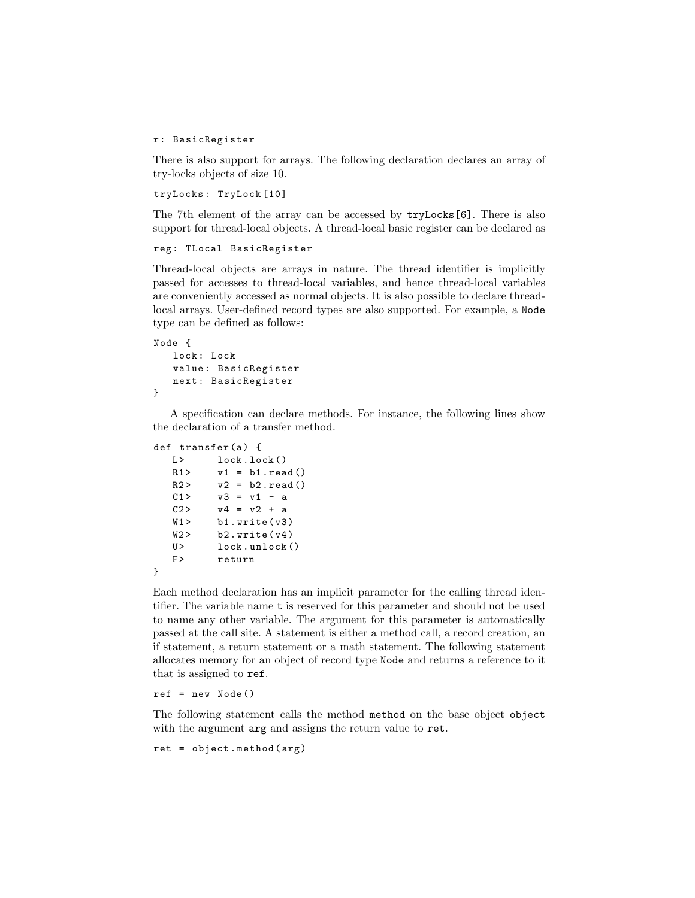#### r : BasicRegister

There is also support for arrays. The following declaration declares an array of try-locks objects of size 10.

```
tryLocks : TryLock [10]
```
The 7th element of the array can be accessed by tryLocks[6]. There is also support for thread-local objects. A thread-local basic register can be declared as

```
reg : TLocal BasicRegister
```
Thread-local objects are arrays in nature. The thread identifier is implicitly passed for accesses to thread-local variables, and hence thread-local variables are conveniently accessed as normal objects. It is also possible to declare threadlocal arrays. User-defined record types are also supported. For example, a Node type can be defined as follows:

```
Node {
   lock : Lock
   value : BasicRegister
   next : BasicRegister
}
```
A specification can declare methods. For instance, the following lines show the declaration of a transfer method.

```
def transfer(a) {
  L> lock.lock()
  R1 > v1 = b1.read()R2 > v2 = b2.read()C1 > v3 = v1 - aC2 > v4 = v2 + aW1 > 1. write (v3)W2 >  b2. write (v4)U> lock.unlock()
  F> return
}
```
Each method declaration has an implicit parameter for the calling thread identifier. The variable name t is reserved for this parameter and should not be used to name any other variable. The argument for this parameter is automatically passed at the call site. A statement is either a method call, a record creation, an if statement, a return statement or a math statement. The following statement allocates memory for an object of record type Node and returns a reference to it that is assigned to ref.

 $ref = new Node()$ 

The following statement calls the method method on the base object object with the argument arg and assigns the return value to ret.

ret = object . method ( arg )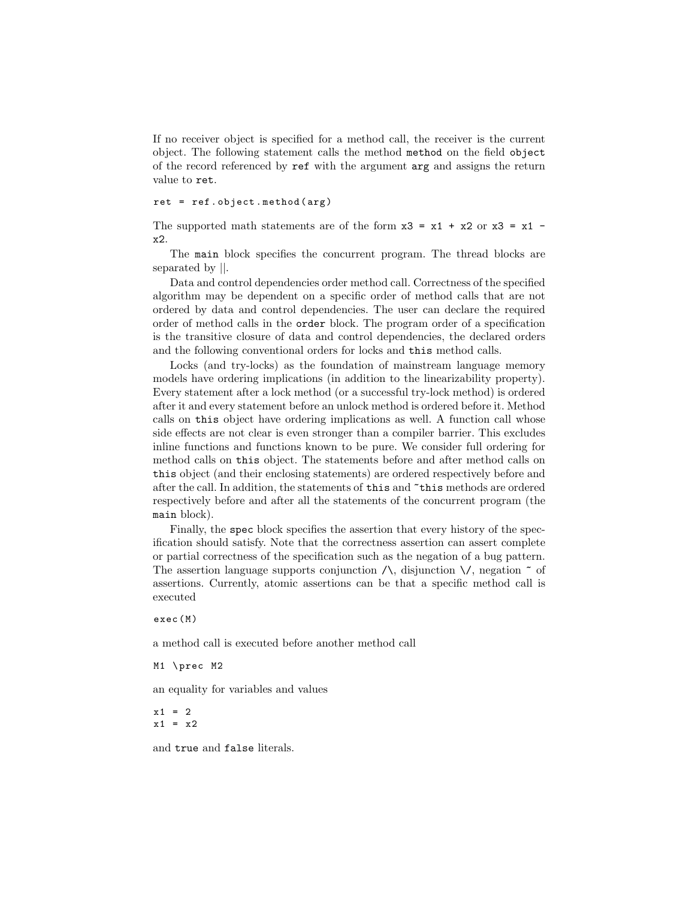If no receiver object is specified for a method call, the receiver is the current object. The following statement calls the method method on the field object of the record referenced by ref with the argument arg and assigns the return value to ret.

### ret = ref . object . method ( arg )

The supported math statements are of the form  $x3 = x1 + x2$  or  $x3 = x1$ x2.

The main block specifies the concurrent program. The thread blocks are separated by ||.

Data and control dependencies order method call. Correctness of the specified algorithm may be dependent on a specific order of method calls that are not ordered by data and control dependencies. The user can declare the required order of method calls in the order block. The program order of a specification is the transitive closure of data and control dependencies, the declared orders and the following conventional orders for locks and this method calls.

Locks (and try-locks) as the foundation of mainstream language memory models have ordering implications (in addition to the linearizability property). Every statement after a lock method (or a successful try-lock method) is ordered after it and every statement before an unlock method is ordered before it. Method calls on this object have ordering implications as well. A function call whose side effects are not clear is even stronger than a compiler barrier. This excludes inline functions and functions known to be pure. We consider full ordering for method calls on this object. The statements before and after method calls on this object (and their enclosing statements) are ordered respectively before and after the call. In addition, the statements of this and ~this methods are ordered respectively before and after all the statements of the concurrent program (the main block).

Finally, the spec block specifies the assertion that every history of the specification should satisfy. Note that the correctness assertion can assert complete or partial correctness of the specification such as the negation of a bug pattern. The assertion language supports conjunction  $\land$ , disjunction  $\land$ , negation  $\check{\,}$  of assertions. Currently, atomic assertions can be that a specific method call is executed

exec (M)

a method call is executed before another method call

M1 \ prec M2

an equality for variables and values

 $x1 = 2$  $x1 = x2$ 

and true and false literals.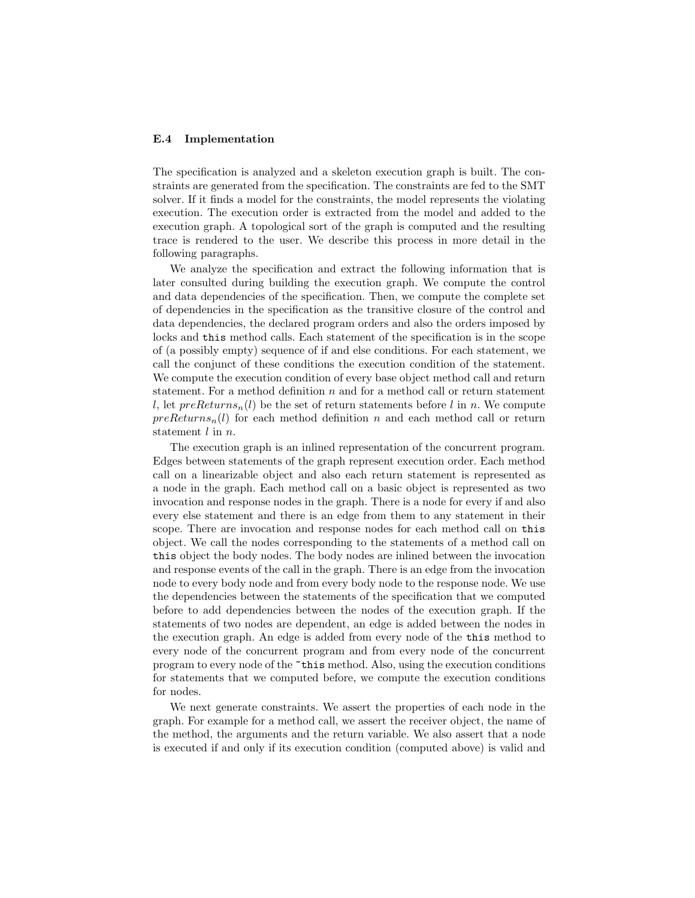#### E.4 Implementation

The specification is analyzed and a skeleton execution graph is built. The constraints are generated from the specification. The constraints are fed to the SMT solver. If it finds a model for the constraints, the model represents the violating execution. The execution order is extracted from the model and added to the execution graph. A topological sort of the graph is computed and the resulting trace is rendered to the user. We describe this process in more detail in the following paragraphs.

We analyze the specification and extract the following information that is later consulted during building the execution graph. We compute the control and data dependencies of the specification. Then, we compute the complete set of dependencies in the specification as the transitive closure of the control and data dependencies, the declared program orders and also the orders imposed by locks and this method calls. Each statement of the specification is in the scope of (a possibly empty) sequence of if and else conditions. For each statement, we call the conjunct of these conditions the execution condition of the statement. We compute the execution condition of every base object method call and return statement. For a method definition  $n$  and for a method call or return statement l, let  $preReturns_n(l)$  be the set of return statements before l in n. We compute  $preReturns<sub>n</sub>(l)$  for each method definition n and each method call or return statement *l* in *n*.

The execution graph is an inlined representation of the concurrent program. Edges between statements of the graph represent execution order. Each method call on a linearizable object and also each return statement is represented as a node in the graph. Each method call on a basic object is represented as two invocation and response nodes in the graph. There is a node for every if and also every else statement and there is an edge from them to any statement in their scope. There are invocation and response nodes for each method call on this object. We call the nodes corresponding to the statements of a method call on this object the body nodes. The body nodes are inlined between the invocation and response events of the call in the graph. There is an edge from the invocation node to every body node and from every body node to the response node. We use the dependencies between the statements of the specification that we computed before to add dependencies between the nodes of the execution graph. If the statements of two nodes are dependent, an edge is added between the nodes in the execution graph. An edge is added from every node of the this method to every node of the concurrent program and from every node of the concurrent program to every node of the ~this method. Also, using the execution conditions for statements that we computed before, we compute the execution conditions for nodes.

We next generate constraints. We assert the properties of each node in the graph. For example for a method call, we assert the receiver object, the name of the method, the arguments and the return variable. We also assert that a node is executed if and only if its execution condition (computed above) is valid and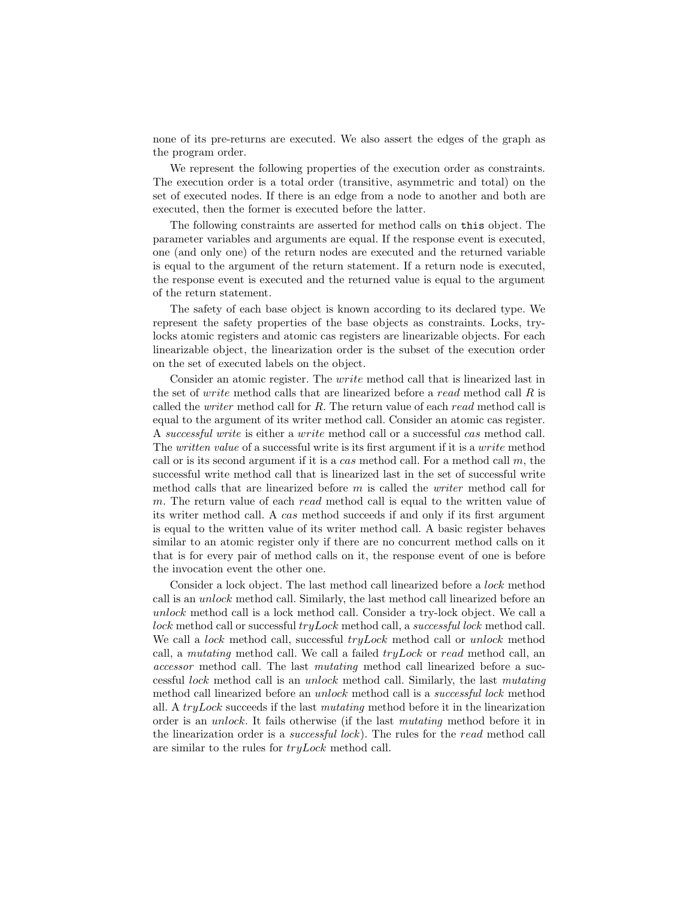none of its pre-returns are executed. We also assert the edges of the graph as the program order.

We represent the following properties of the execution order as constraints. The execution order is a total order (transitive, asymmetric and total) on the set of executed nodes. If there is an edge from a node to another and both are executed, then the former is executed before the latter.

The following constraints are asserted for method calls on this object. The parameter variables and arguments are equal. If the response event is executed, one (and only one) of the return nodes are executed and the returned variable is equal to the argument of the return statement. If a return node is executed, the response event is executed and the returned value is equal to the argument of the return statement.

The safety of each base object is known according to its declared type. We represent the safety properties of the base objects as constraints. Locks, trylocks atomic registers and atomic cas registers are linearizable objects. For each linearizable object, the linearization order is the subset of the execution order on the set of executed labels on the object.

Consider an atomic register. The write method call that is linearized last in the set of *write* method calls that are linearized before a read method call  $R$  is called the writer method call for R. The return value of each read method call is equal to the argument of its writer method call. Consider an atomic cas register. A successful write is either a write method call or a successful cas method call. The *written value* of a successful write is its first argument if it is a *write* method call or is its second argument if it is a cas method call. For a method call  $m$ , the successful write method call that is linearized last in the set of successful write method calls that are linearized before m is called the writer method call for m. The return value of each read method call is equal to the written value of its writer method call. A cas method succeeds if and only if its first argument is equal to the written value of its writer method call. A basic register behaves similar to an atomic register only if there are no concurrent method calls on it that is for every pair of method calls on it, the response event of one is before the invocation event the other one.

Consider a lock object. The last method call linearized before a lock method call is an unlock method call. Similarly, the last method call linearized before an unlock method call is a lock method call. Consider a try-lock object. We call a lock method call or successful  $tryLock$  method call, a *successful lock* method call. We call a *lock* method call, successful *tryLock* method call or *unlock* method call, a mutating method call. We call a failed tryLock or read method call, an accessor method call. The last mutating method call linearized before a successful lock method call is an unlock method call. Similarly, the last mutating method call linearized before an unlock method call is a successful lock method all. A tryLock succeeds if the last mutating method before it in the linearization order is an unlock. It fails otherwise (if the last mutating method before it in the linearization order is a successful lock). The rules for the read method call are similar to the rules for tryLock method call.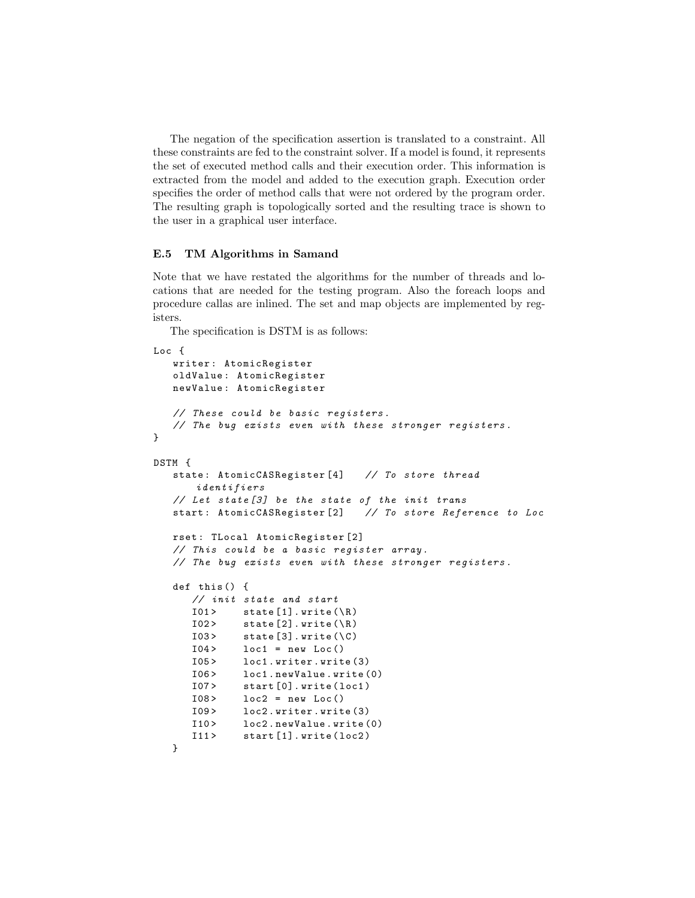The negation of the specification assertion is translated to a constraint. All these constraints are fed to the constraint solver. If a model is found, it represents the set of executed method calls and their execution order. This information is extracted from the model and added to the execution graph. Execution order specifies the order of method calls that were not ordered by the program order. The resulting graph is topologically sorted and the resulting trace is shown to the user in a graphical user interface.

### E.5 TM Algorithms in Samand

Note that we have restated the algorithms for the number of threads and locations that are needed for the testing program. Also the foreach loops and procedure callas are inlined. The set and map objects are implemented by registers.

The specification is DSTM is as follows:

```
Loc {
   writer : AtomicRegister
   oldValue : AtomicRegister
   newValue : AtomicRegister
   // These could be basic registers .
   // The bug exists even with these stronger registers .
}
DSTM {
   state: AtomicCASRegister [4] // To store thread
       identifiers
   // Let state [3] be the state of the init trans
   start: AtomicCASRegister [2] // To store Reference to Loc
   rset : TLocal AtomicRegister [2]
   // This could be a basic register array .
   // The bug exists even with these stronger registers .
   def this () {
      // init state and start
      I01 > state [1]. write (\R)I02 > state [2]. write (\n\ \setminus R)103 > state [3]. write (\C)104 > 10c1 = new Loc()I05 > loc1 . writer . write (3)
      I06 > loc1 . newValue . write (0)
      I07> start [0]. write (loc1)
      108 > 10c2 = new Loc()I09> loc2.writer.write(3)
      I10> loc2.newValue.write(0)
      I11> start [1]. write (loc2)
   }
```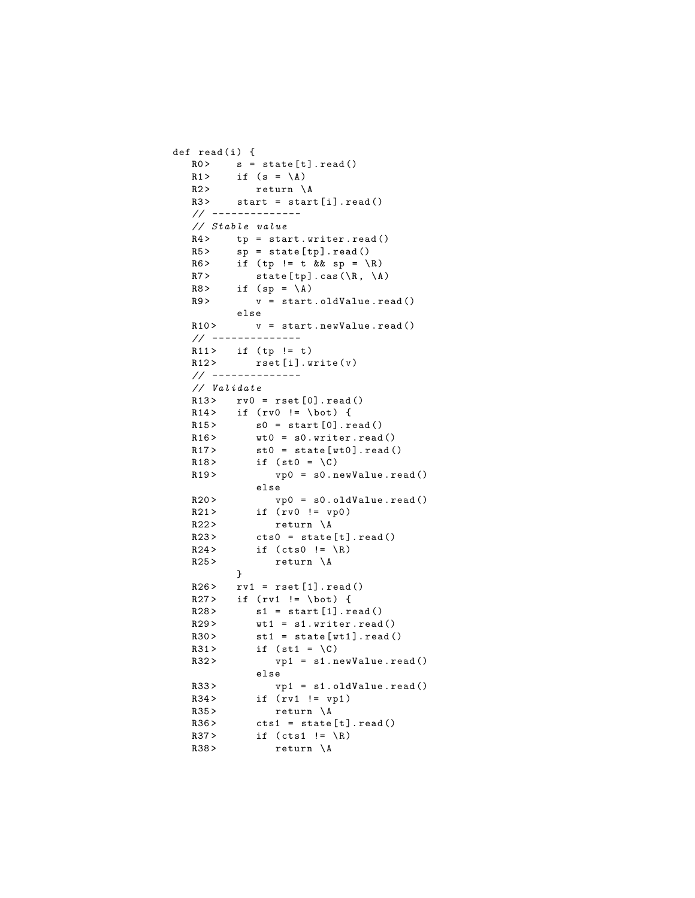```
def read(i) {
  R0 > s = state [t]. read ()
  R1> if (s = \ A)R2 > return \AR3 start = start [i]. read ()
  // --------------
  // Stable value
  R4 > tp = start.writer.read()
  R5 sp = state [tp]. read ()
  R6> if (tp != t & & sp = \R)<br>R7> state[tp].cas(\R, \A
           state [tp]. cas (\R, \ A)R8 > if (sp = \setminus A)R9 > v = start. oldValue.read()else
  R10 > v = start.newValue.read()// --------------
  R11> if (tp := t)R12 rset [i]. write (v)// --------------
  // Validate
  R13 rv0 = rset [0].read()R14> if (rv0 != \bot) {
  R15 s0 = start [0]. read ()
  R16 > wt0 = s0. writer. read ()
  R17 > st0 = state [wt0].read ()
  R18> if (st0 = \{C\})R19 > vp0 = s0. newValue. read()else
  R20 > vp0 = s0. oldValue.read ()
  R21> if (rv0 != vp0)R22 > return \A
  R23 cts0 = state[t].read()R24> if (cts0 != \n)R25> return \A
         }
  R26 > rv1 = rset [1].read()R27> if (rv1 != \bot bot) {
  R28 > s1 = start[1].read()R29 > wt1 = s1.writer.read()
  R30 > st1 = state [wt1] . read()R31> if (st1 = \C)R32 > vp1 = s1.newValue.read ()
            else
  R33 > vp1 = s1. oldValue.read ()
  R34 > if (rv1 != vp1)R35 > r return \Lambda<br>R36 > cts1 = statects1 = state[t].read()R37> if (cts1 != \nR)R38> return \A
```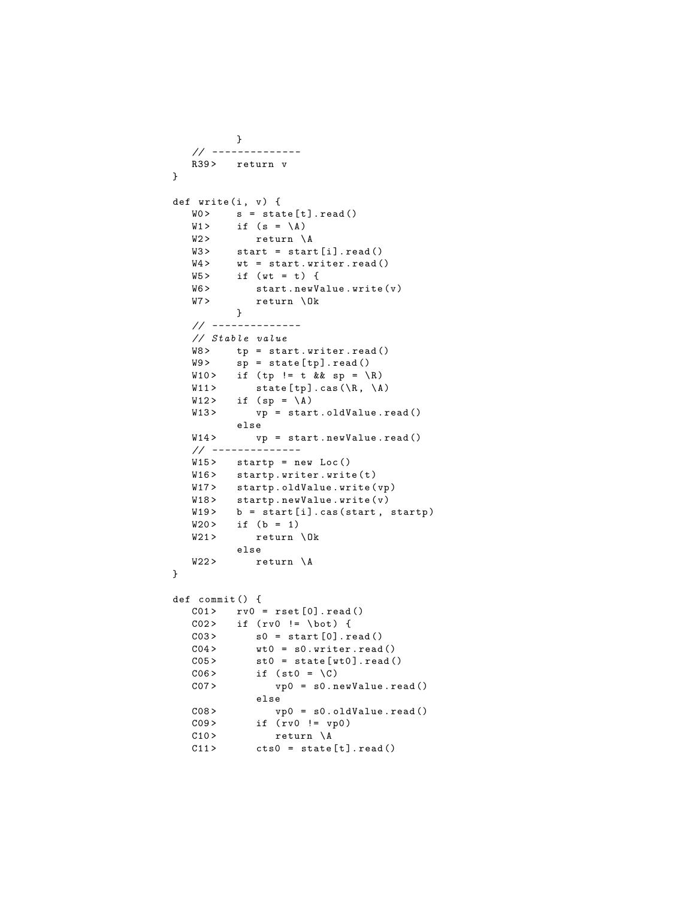```
}
   // --------------
   R39> return v
}
def write(i, v) {
   W0 > s = state [t]. read ()
   W1 > if (s = \A)
   W2> return \A
   W3 start = start [i]. read ()
   W4 > wt = start.writer.read()<br>W5 > if (wt = t) {
         if (wt = t) {
   W6 > start.newValue.write (v)W7> return \ Ok
          }
   // --------------
   // Stable value
   W8> tp = start.writer.read()
   W9 sp = state [tp]. read ()
   W10> if (tp := t \&& sp = \R)W11 > state [tp].cas (\R, \A)
   W12 if (sp = \A)
   W13> vp = start.oldValue.read()
          else
   W14> vp = start.newValue.read()
   // --------------
   W15 startp = new Loc()
   W16> startp.writer.write(t)
   W17> startp.oldValue.write(vp)
   W18 > startp.newValue.write (v)W19 b = start [i]. cas (start, startp)
   W20 > if (b = 1)W21> return \ Ok
         else
   W22> return \A
}
def commit () {
   C01 > rv0 = rset[0].read()<br>C02 > if (rv0 != \bot) {if (rv0 != \bot) {
   C03 > S0 = start[0].read()C04 > wt0 = s0.writer.read()<br>C05 > st0 = state[wt0].read(
             sto = state [wt0] . read()C06 > if (st0 = \C)
   C07 > vp0 = s0.newValue.read()else
   C08 > vp0 = s0. oldValue. read ()<br>C09 > if (rv0 != vp0)if (rv0 != vp0)C10 > return \A
   C11 > cts0 = state[t].read()
```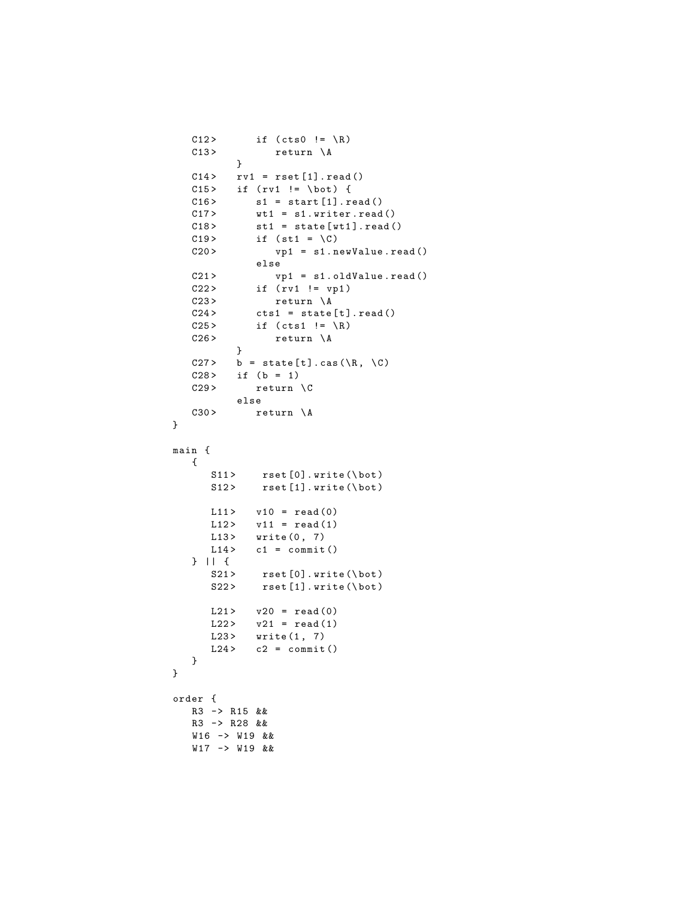```
C12> if (cts0 |= \n\hline\nRC13 > return \Lambda}
   C14 > rv1 = rset [1].read()C15> if (rv1 != \bot) {
   C16 s1 = start [1]. read ()
   C17 > wt1 = s1.writer.read()
   C18 > st1 = state [wt1]. read ()
   C19> if (st1 = \C)C20 > vp1 = s1.newValue.read()else
   C21 > vp1 = s1. oldValue.read()<br>C22 > if (rv1 != vp1)if (rv1 != vp1)C23 > return \LambdaC24 C1 = state[t].read()C25> if (\text{cts1 } != \ R)C26 > r eturn \Lambda}
   C27> b = state [t]. cas (\R, \setminus C)C28 > if (b = 1)C29 return \setminus Celse
  C30> return \A
}
main {
  {
      S11 > rset [0]. write (\bot)
      S12 rset [1]. write (\bot)
     L11 > v10 = read(0)L12 > v11 = read(1)L13 > write (0, 7)L14 > c1 = commit()} || {
     S21 > rset [0]. write (\bot)
      S22  rset [1]. write (\bot)
     L21> v20 = read(0)<br>L22> v21 = read(1)v21 = \text{read}(1)L23> write (1, 7)
     L24 > c2 = commit()}
}
order {
  R3 -> R15 &&
  R3 -> R28 &&
  W16 -> W19 &&
  W17 -> W19 &&
```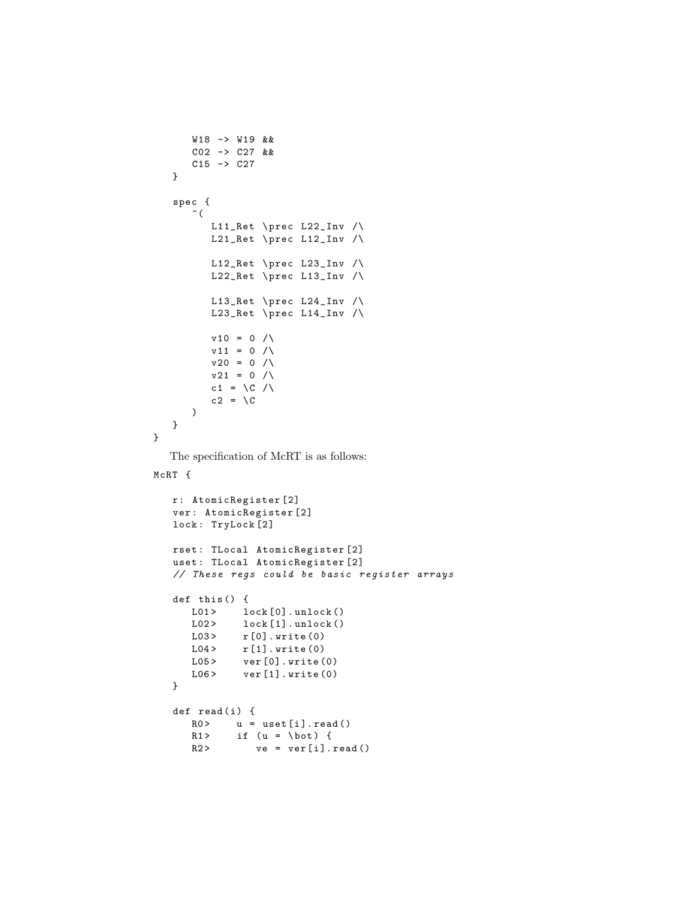```
W18 -> W19 &&
      CO2 \rightarrow CO27 & &
      C15 -> C27}
   spec {
       ~(
          L11_Ret \ prec L22_Inv /\
          L21_Ret \ prec L12_Inv /\
          L12_Ret \ prec L23_Inv /\
          L22_Ret \ prec L13_Inv /\
          L13_Ret \ prec L24_Inv /\
          L23_Ret \ prec L14_Inv /\
          v10 = 0 / \sqrt{2}v11 = 0 / \sqrt{2}v20 = 0 / \sqrt{25}v21 = 0 / \sqrt{2}c1 = \setminusC /\setminusc2 = \sqrt{c})
   }
}
  The specification of McRT is as follows:
McRT {
   r : AtomicRegister [2]
   ver: AtomicRegister [2]
   lock : TryLock [2]
   rset : TLocal AtomicRegister [2]
   uset: TLocal AtomicRegister [2]
   // These regs could be basic register arrays
   def this () {
      L01> lock [0].unlock ()<br>L02> lock [1].unlock ()
               lock[1].unk()L03 r[0] . write (0)L04 r[1]. write (0)L05> ver [0]. write (0)
      L06 > ver [1]. write (0)}
   def read(i) { }R0 > u = uset [i]. read ()
      R1> if (u = \bot) {
      R2 ve = ver [i]. read ()
```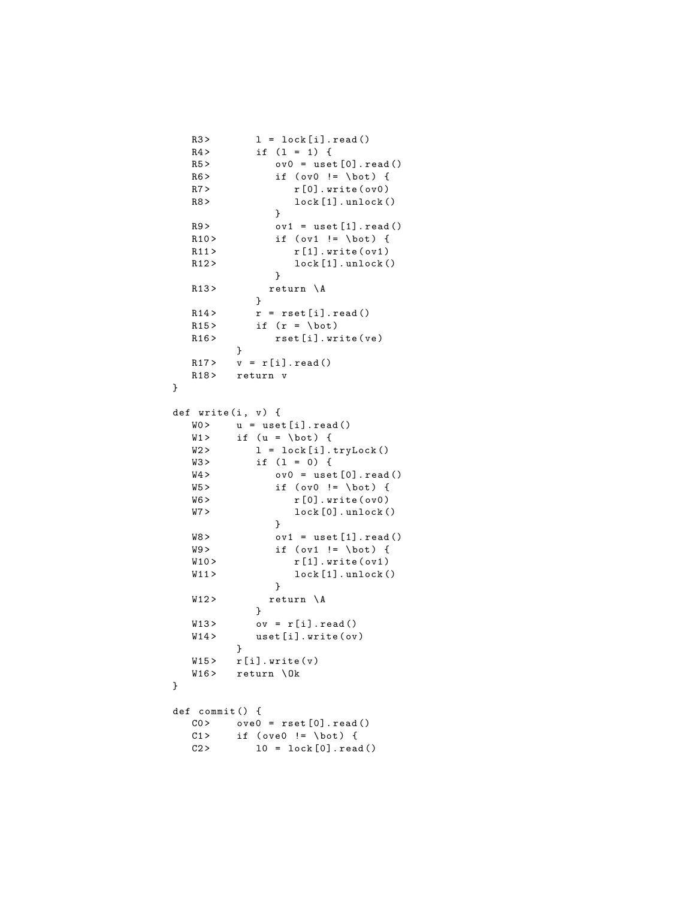```
R3 > 1 = \text{lock}[i].\text{read}()R4> if (1 = 1) {
  R5 > ov0 = uset [0].read()R6 > if (ov0 != \bot) {
  R7 > r[0]. write (\text{ov}(0))
  R8> lock [1].unlock ()
              }
  R9 > 001 = 001 over [1]. read ()
  R10> if (ov1 != \bot) {
  R11 > r [1] . write (ov1)R12> lock [1].unlock ()
              }
  R13> return \A
           }
  R14 > r = rset[i].read()R15> if (r = \text{bot})R16> rset [i]. write (ve)
         }
  R17 > v = r[i].read()R18> return v
}
def write(i, v) {
  W0 > u = uset[i].read()W1> if (u = \bot) {
  W2 > 1 = \text{lock} [i].tryLock()<br>W3 > 1f (1 = 0) {if (1 = 0) {
  W4 > ov0 = uset[0].read()W5 if ( ov0 ! = \bot) {
  W6 r[0]. write (ov0)
  W7> lock [0].unlock ()
              }
  W8 > 0V1 = used [1].read()W9 > if ( ov1 != \bot) {
  W10 > r [1] . write (ov1)W11> lock [1].unlock ()
              }
  W12 > return \A
           }
  W13 ov = r[i]. read ()
  W14 > uset [i]. write (ov)
         }
  W15 r[i] . write(v)W16> return \ Ok
}
def commit () {<br>CO> ove0
      ove0 = rset[0].read()C1 > if (ove0 != \bot) {
  C2 > 10 = \text{lock} [0]. \text{read}()
```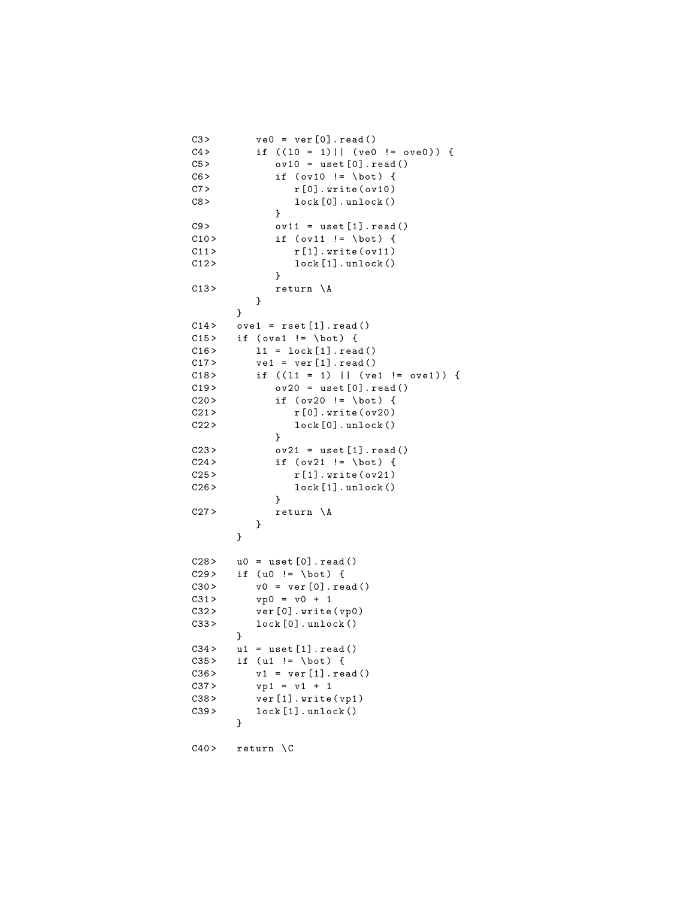```
C3 > ve0 = ver[0].read()C4> if ((10 = 1) || (ve0 != ove0)) {
C5 > ov10 = uset [0].read()C6 > if (ov10 != \bot) {
C7 > r [0]. write ( ov10 )
C8> lock [0].unlock ()
           }
C9 > OV11 = uset [1].read()C10 > if ( ov11 != \bot) {
C11 > r [1] . write (ov11)C12> lock [1].unlock ()
           }
C13 \rightarrow Tetturn \ \A}
      }
C14 > ove1 = rset[1].read()C15> if (ove1 != \bot) {
C16 > 11 = \text{lock} [1]. \text{read}()C17 ve1 = ver [1]. read ()
C18> if ((11 = 1) || (vel != over1))C19 > ov20 = uset [0].read()C20 > if (ov20 != \bot) {
C21 > r [0] . write (ov20)C22> lock [0].unlock ()
           }
C23 > ov21 = uset [1].read()C24> if (ov21 != \bot) {
C25 r [1] . write (ov21)C26> lock [1].unlock ()
           }
C27> return \A
        }
      }
C28 > u0 = uset [0].read()C29> if (u0 != \bot) {
C30 > v0 = ver[0].read()C31 > vp0 = v0 + 1C32> ver [0]. write (vp0)
C33> lock [0].unlock ()
      }
C34 > u1 = uset [1].read()C35> if (u1 != \bot) {
C36 > v1 = ver[1].read()C37 > vp1 = v1 + 1C38 > ver [1]. write (vp1)<br>C39 > lock [1]. unlock ()
        lock[1].unk()}
C40 return \C
```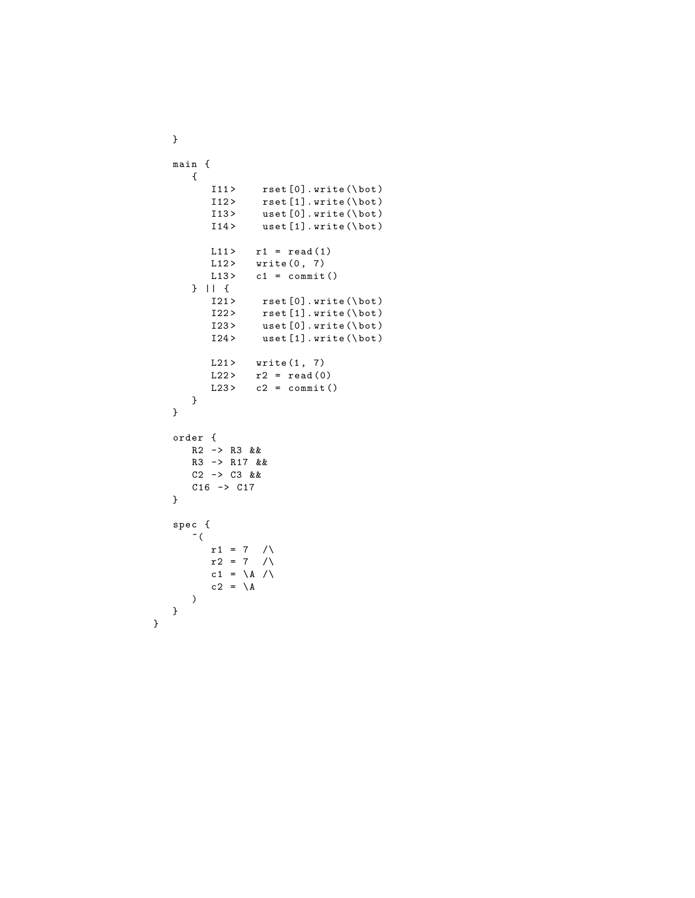```
}
main {
    {
        I11 > rset [0]. write (\text{bot})I12 rset [1] . write (\text{bot})I13 > uset [0]. write (\text{bot})I14 > uset [1]. write (\bot)
        L11 > r1 = read(1)L12> write(0, 7)<br>L13> c1 = commit
                 c1 = commit ()
    } || {
        I21> rset [0]. write (\bot)<br>I22> rset [1]. write (\bot)
                  rset [1] . write (\text{bot})I23 > uset [0]. write (\text{bot})I24 > uset [1]. write (\text{bot})L21 > write (1, 7)L22> r2 = read(0)<br>L23> c2 = commit(c2 = commit ()
    }
}
order {
    R2 -> R3 &&
    R3 -> R17 &&
    C2 -> C3 &&
    C16 -> C17}
spec {
    \tilde{\phantom{a}} (
         r1 = 7 /\
         r2 = 7 /\
        c1 = \lambda /\lambdac2 = \Lambda)
}
```
}